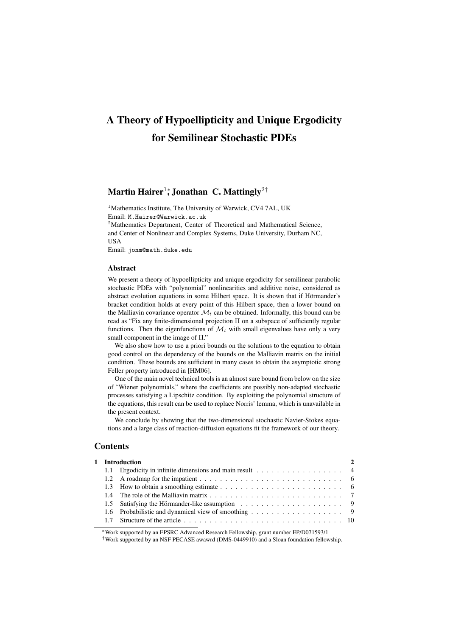# A Theory of Hypoellipticity and Unique Ergodicity for Semilinear Stochastic PDEs

# Martin Hairer<sup>1</sup>\*, Jonathan C. Mattingly<sup>2†</sup>

<sup>1</sup>Mathematics Institute, The University of Warwick, CV4 7AL, UK Email: M.Hairer@Warwick.ac.uk

<sup>2</sup>Mathematics Department, Center of Theoretical and Mathematical Science, and Center of Nonlinear and Complex Systems, Duke University, Durham NC, USA

Email: jonm@math.duke.edu

#### Abstract

We present a theory of hypoellipticity and unique ergodicity for semilinear parabolic stochastic PDEs with "polynomial" nonlinearities and additive noise, considered as abstract evolution equations in some Hilbert space. It is shown that if Hörmander's bracket condition holds at every point of this Hilbert space, then a lower bound on the Malliavin covariance operator  $\mathcal{M}_t$  can be obtained. Informally, this bound can be read as "Fix any finite-dimensional projection Π on a subspace of sufficiently regular functions. Then the eigenfunctions of  $\mathcal{M}_t$  with small eigenvalues have only a very small component in the image of Π."

We also show how to use a priori bounds on the solutions to the equation to obtain good control on the dependency of the bounds on the Malliavin matrix on the initial condition. These bounds are sufficient in many cases to obtain the asymptotic strong Feller property introduced in [HM06].

One of the main novel technical tools is an almost sure bound from below on the size of "Wiener polynomials," where the coefficients are possibly non-adapted stochastic processes satisfying a Lipschitz condition. By exploiting the polynomial structure of the equations, this result can be used to replace Norris' lemma, which is unavailable in the present context.

We conclude by showing that the two-dimensional stochastic Navier-Stokes equations and a large class of reaction-diffusion equations fit the framework of our theory.

# **Contents**

|  | 1 Introduction                                          |  |
|--|---------------------------------------------------------|--|
|  | 1.1 Ergodicity in infinite dimensions and main result 4 |  |
|  |                                                         |  |
|  |                                                         |  |
|  |                                                         |  |
|  |                                                         |  |
|  |                                                         |  |
|  |                                                         |  |
|  |                                                         |  |

<sup>∗</sup>Work supported by an EPSRC Advanced Research Fellowship, grant number EP/D071593/1

†Work supported by an NSF PECASE awawrd (DMS-0449910) and a Sloan foundation fellowship.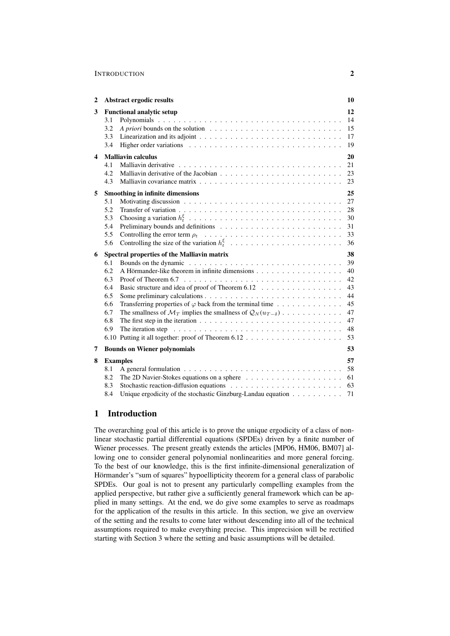| $\overline{2}$ | Abstract ergodic results                                                                                                                                                                                                                                                                                                                                                                                                                                                                                                                                                                                                                 | 10                                                             |
|----------------|------------------------------------------------------------------------------------------------------------------------------------------------------------------------------------------------------------------------------------------------------------------------------------------------------------------------------------------------------------------------------------------------------------------------------------------------------------------------------------------------------------------------------------------------------------------------------------------------------------------------------------------|----------------------------------------------------------------|
| 3              | <b>Functional analytic setup</b><br>3.1<br>3.2<br>A priori bounds on the solution $\ldots$ , , , , , , ,<br>3.3<br>3.4                                                                                                                                                                                                                                                                                                                                                                                                                                                                                                                   | 12<br>14<br>15<br>17<br>19                                     |
| 4              | <b>Malliavin calculus</b><br>4.1<br>4.2<br>4.3                                                                                                                                                                                                                                                                                                                                                                                                                                                                                                                                                                                           | 20<br>21<br>23<br>23                                           |
| 5              | <b>Smoothing in infinite dimensions</b><br>5.1<br>5.2<br>5.3<br>5.4<br>5.5<br>5.6                                                                                                                                                                                                                                                                                                                                                                                                                                                                                                                                                        | 25<br>27<br>28<br>30<br>31<br>33<br>36                         |
| 6              | Spectral properties of the Malliavin matrix<br>Bounds on the dynamic $\ldots \ldots \ldots \ldots \ldots \ldots \ldots \ldots \ldots \ldots$<br>6.1<br>6.2<br>6.3<br>Basic structure and idea of proof of Theorem 6.12<br>6.4<br>6.5<br>Transferring properties of $\varphi$ back from the terminal time<br>6.6<br>6.7<br>The smallness of $\mathcal{M}_T$ implies the smallness of $\mathcal{Q}_N(u_{T-\delta})$<br>The first step in the iteration $\ldots \ldots \ldots \ldots \ldots \ldots \ldots \ldots \ldots$<br>6.8<br>6.9<br>The iteration step $\ldots \ldots \ldots \ldots \ldots \ldots \ldots \ldots \ldots \ldots \ldots$ | 38<br>39<br>40<br>42<br>43<br>44<br>45<br>47<br>47<br>48<br>53 |
| 7              | <b>Bounds on Wiener polynomials</b>                                                                                                                                                                                                                                                                                                                                                                                                                                                                                                                                                                                                      | 53                                                             |
| 8              | <b>Examples</b><br>8.1<br>8.2<br>8.3<br>Unique ergodicity of the stochastic Ginzburg-Landau equation<br>8.4                                                                                                                                                                                                                                                                                                                                                                                                                                                                                                                              | 57<br>- 58<br>71                                               |

# 1 Introduction

The overarching goal of this article is to prove the unique ergodicity of a class of nonlinear stochastic partial differential equations (SPDEs) driven by a finite number of Wiener processes. The present greatly extends the articles [MP06, HM06, BM07] allowing one to consider general polynomial nonlinearities and more general forcing. To the best of our knowledge, this is the first infinite-dimensional generalization of Hörmander's "sum of squares" hypoellipticity theorem for a general class of parabolic SPDEs. Our goal is not to present any particularly compelling examples from the applied perspective, but rather give a sufficiently general framework which can be applied in many settings. At the end, we do give some examples to serve as roadmaps for the application of the results in this article. In this section, we give an overview of the setting and the results to come later without descending into all of the technical assumptions required to make everything precise. This imprecision will be rectified starting with Section 3 where the setting and basic assumptions will be detailed.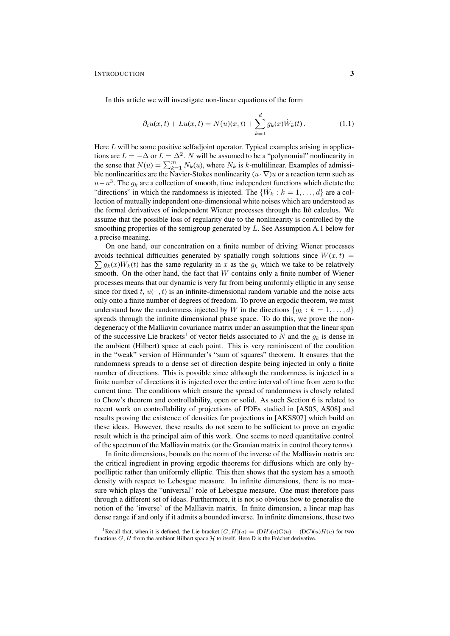In this article we will investigate non-linear equations of the form

$$
\partial_t u(x, t) + Lu(x, t) = N(u)(x, t) + \sum_{k=1}^d g_k(x) \dot{W}_k(t).
$$
 (1.1)

Here  $L$  will be some positive selfadjoint operator. Typical examples arising in applications are  $L = -\Delta$  or  $L = \Delta^2$ . N will be assumed to be a "polynomial" nonlinearity in the sense that  $N(u) = \sum_{k=1}^{m} N_k(u)$ , where  $N_k$  is k-multilinear. Examples of admissible nonlinearities are the Navier-Stokes nonlinearity  $(u \cdot \nabla)u$  or a reaction term such as  $u-u^3$ . The  $g_k$  are a collection of smooth, time independent functions which dictate the "directions" in which the randomness is injected. The  $\{\dot{W}_k : k = 1, \dots, d\}$  are a collection of mutually independent one-dimensional white noises which are understood as the formal derivatives of independent Wiener processes through the Itô calculus. We assume that the possible loss of regularity due to the nonlinearity is controlled by the smoothing properties of the semigroup generated by  $L$ . See Assumption A.1 below for a precise meaning.

On one hand, our concentration on a finite number of driving Wiener processes avoids technical difficulties generated by spatially rough solutions since  $W(x,t) =$  $\sum g_k(x)W_k(t)$  has the same regularity in x as the  $g_k$  which we take to be relatively smooth. On the other hand, the fact that  $W$  contains only a finite number of Wiener processes means that our dynamic is very far from being uniformly elliptic in any sense since for fixed t,  $u(\cdot, t)$  is an infinite-dimensional random variable and the noise acts only onto a finite number of degrees of freedom. To prove an ergodic theorem, we must understand how the randomness injected by W in the directions  $\{g_k : k = 1, \ldots, d\}$ spreads through the infinite dimensional phase space. To do this, we prove the nondegeneracy of the Malliavin covariance matrix under an assumption that the linear span of the successive Lie brackets<sup>1</sup> of vector fields associated to N and the  $q_k$  is dense in the ambient (Hilbert) space at each point. This is very reminiscent of the condition in the "weak" version of Hörmander's "sum of squares" theorem. It ensures that the randomness spreads to a dense set of direction despite being injected in only a finite number of directions. This is possible since although the randomness is injected in a finite number of directions it is injected over the entire interval of time from zero to the current time. The conditions which ensure the spread of randomness is closely related to Chow's theorem and controllability, open or solid. As such Section 6 is related to recent work on controllability of projections of PDEs studied in [AS05, AS08] and results proving the existence of densities for projections in [AKSS07] which build on these ideas. However, these results do not seem to be sufficient to prove an ergodic result which is the principal aim of this work. One seems to need quantitative control of the spectrum of the Malliavin matrix (or the Gramian matrix in control theory terms).

In finite dimensions, bounds on the norm of the inverse of the Malliavin matrix are the critical ingredient in proving ergodic theorems for diffusions which are only hypoelliptic rather than uniformly elliptic. This then shows that the system has a smooth density with respect to Lebesgue measure. In infinite dimensions, there is no measure which plays the "universal" role of Lebesgue measure. One must therefore pass through a different set of ideas. Furthermore, it is not so obvious how to generalise the notion of the 'inverse' of the Malliavin matrix. In finite dimension, a linear map has dense range if and only if it admits a bounded inverse. In infinite dimensions, these two

<sup>&</sup>lt;sup>1</sup>Recall that, when it is defined, the Lie bracket  $[G, H](u) = (DH)(u)G(u) - (DG)(u)H(u)$  for two functions  $G, H$  from the ambient Hilbert space  $H$  to itself. Here D is the Fréchet derivative.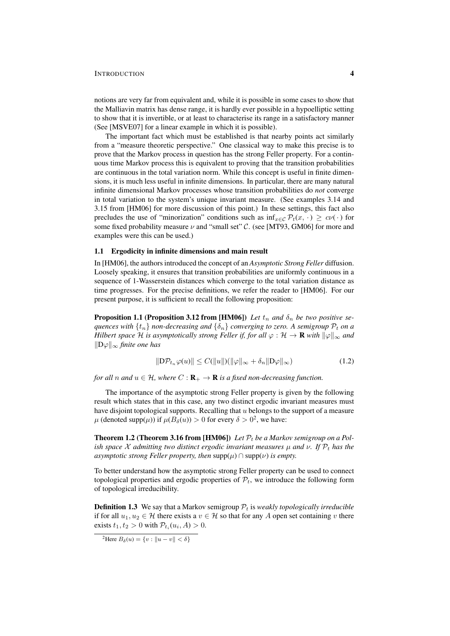notions are very far from equivalent and, while it is possible in some cases to show that the Malliavin matrix has dense range, it is hardly ever possible in a hypoelliptic setting to show that it is invertible, or at least to characterise its range in a satisfactory manner (See [MSVE07] for a linear example in which it is possible).

The important fact which must be established is that nearby points act similarly from a "measure theoretic perspective." One classical way to make this precise is to prove that the Markov process in question has the strong Feller property. For a continuous time Markov process this is equivalent to proving that the transition probabilities are continuous in the total variation norm. While this concept is useful in finite dimensions, it is much less useful in infinite dimensions. In particular, there are many natural infinite dimensional Markov processes whose transition probabilities do *not* converge in total variation to the system's unique invariant measure. (See examples 3.14 and 3.15 from [HM06] for more discussion of this point.) In these settings, this fact also precludes the use of "minorization" conditions such as  $\inf_{x \in \mathcal{C}} \mathcal{P}_t(x, \cdot) \geq c \nu(\cdot)$  for some fixed probability measure  $\nu$  and "small set" C. (see [MT93, GM06] for more and examples were this can be used.)

#### 1.1 Ergodicity in infinite dimensions and main result

In [HM06], the authors introduced the concept of an *Asymptotic Strong Feller* diffusion. Loosely speaking, it ensures that transition probabilities are uniformly continuous in a sequence of 1-Wasserstein distances which converge to the total variation distance as time progresses. For the precise definitions, we refer the reader to [HM06]. For our present purpose, it is sufficient to recall the following proposition:

**Proposition 1.1 (Proposition 3.12 from [HM06])** *Let*  $t_n$  *and*  $\delta_n$  *be two positive sequences with*  $\{t_n\}$  *non-decreasing and*  $\{\delta_n\}$  *converging to zero. A semigroup*  $\mathcal{P}_t$  *on a Hilbert space*  $H$  *is asymptotically strong Feller if, for all*  $\varphi : H \to \mathbf{R}$  *with*  $\|\varphi\|_{\infty}$  *and* kDϕk<sup>∞</sup> *finite one has*

$$
\|\mathcal{D}\mathcal{P}_{t_n}\varphi(u)\| \le C(\|u\|)(\|\varphi\|_{\infty} + \delta_n \|\mathcal{D}\varphi\|_{\infty})
$$
\n(1.2)

*for all* n *and*  $u \in H$ *, where*  $C: \mathbf{R}_{+} \to \mathbf{R}$  *is a fixed non-decreasing function.* 

The importance of the asymptotic strong Feller property is given by the following result which states that in this case, any two distinct ergodic invariant measures must have disjoint topological supports. Recalling that  $u$  belongs to the support of a measure  $\mu$  (denoted supp( $\mu$ )) if  $\mu(B_\delta(u)) > 0$  for every  $\delta > 0^2$ , we have:

**Theorem 1.2 (Theorem 3.16 from [HM06])** Let  $P_t$  be a Markov semigroup on a Pol*ish space* X admitting two distinct ergodic invariant measures  $\mu$  and  $\nu$ . If  $\mathcal{P}_t$  has the *asymptotic strong Feller property, then*  $\text{supp}(\mu) \cap \text{supp}(\nu)$  *is empty.* 

To better understand how the asymptotic strong Feller property can be used to connect topological properties and ergodic properties of  $\mathcal{P}_t$ , we introduce the following form of topological irreducibility.

**Definition 1.3** We say that a Markov semigroup  $P_t$  is *weakly topologically irreducible* if for all  $u_1, u_2 \in \mathcal{H}$  there exists a  $v \in \mathcal{H}$  so that for any A open set containing v there exists  $t_1, t_2 > 0$  with  $\mathcal{P}_{t_i}(u_i, A) > 0$ .

<sup>&</sup>lt;sup>2</sup>Here  $B_\delta(u) = \{v : ||u - v|| < \delta\}$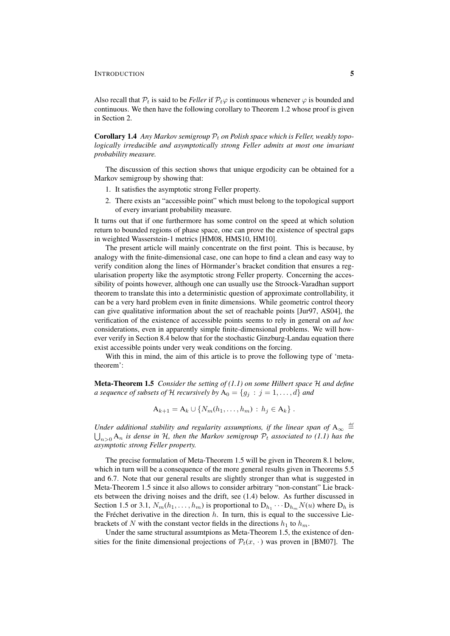Also recall that  $P_t$  is said to be *Feller* if  $P_t\varphi$  is continuous whenever  $\varphi$  is bounded and continuous. We then have the following corollary to Theorem 1.2 whose proof is given in Section 2.

Corollary 1.4 Any Markov semigroup  $P_t$  on Polish space which is Feller, weakly topo*logically irreducible and asymptotically strong Feller admits at most one invariant probability measure.*

The discussion of this section shows that unique ergodicity can be obtained for a Markov semigroup by showing that:

- 1. It satisfies the asymptotic strong Feller property.
- 2. There exists an "accessible point" which must belong to the topological support of every invariant probability measure.

It turns out that if one furthermore has some control on the speed at which solution return to bounded regions of phase space, one can prove the existence of spectral gaps in weighted Wasserstein-1 metrics [HM08, HMS10, HM10].

The present article will mainly concentrate on the first point. This is because, by analogy with the finite-dimensional case, one can hope to find a clean and easy way to verify condition along the lines of Hörmander's bracket condition that ensures a regularisation property like the asymptotic strong Feller property. Concerning the accessibility of points however, although one can usually use the Stroock-Varadhan support theorem to translate this into a deterministic question of approximate controllability, it can be a very hard problem even in finite dimensions. While geometric control theory can give qualitative information about the set of reachable points [Jur97, AS04], the verification of the existence of accessible points seems to rely in general on *ad hoc* considerations, even in apparently simple finite-dimensional problems. We will however verify in Section 8.4 below that for the stochastic Ginzburg-Landau equation there exist accessible points under very weak conditions on the forcing.

With this in mind, the aim of this article is to prove the following type of 'metatheorem':

Meta-Theorem 1.5 *Consider the setting of (1.1) on some Hilbert space* H *and define a sequence of subsets of* H *recursively by*  $A_0 = \{g_i : j = 1, ..., d\}$  *and* 

 $A_{k+1} = A_k \cup \{N_m(h_1, \ldots, h_m) : h_i \in A_k\}.$ 

*Under additional stability and regularity assumptions, if the linear span of*  $A_{\infty} \stackrel{\text{def}}{=}$  $\bigcup_{n>0} A_n$  is dense in H, then the Markov semigroup  $\mathcal{P}_t$  associated to (1.1) has the *asymptotic strong Feller property.*

The precise formulation of Meta-Theorem 1.5 will be given in Theorem 8.1 below, which in turn will be a consequence of the more general results given in Theorems 5.5 and 6.7. Note that our general results are slightly stronger than what is suggested in Meta-Theorem 1.5 since it also allows to consider arbitrary "non-constant" Lie brackets between the driving noises and the drift, see (1.4) below. As further discussed in Section 1.5 or 3.1,  $N_m(h_1, \ldots, h_m)$  is proportional to  $D_{h_1} \cdots D_{h_m} N(u)$  where  $D_h$  is the Fréchet derivative in the direction  $h$ . In turn, this is equal to the successive Liebrackets of N with the constant vector fields in the directions  $h_1$  to  $h_m$ .

Under the same structural assumtpions as Meta-Theorem 1.5, the existence of densities for the finite dimensional projections of  $\mathcal{P}_t(x, \cdot)$  was proven in [BM07]. The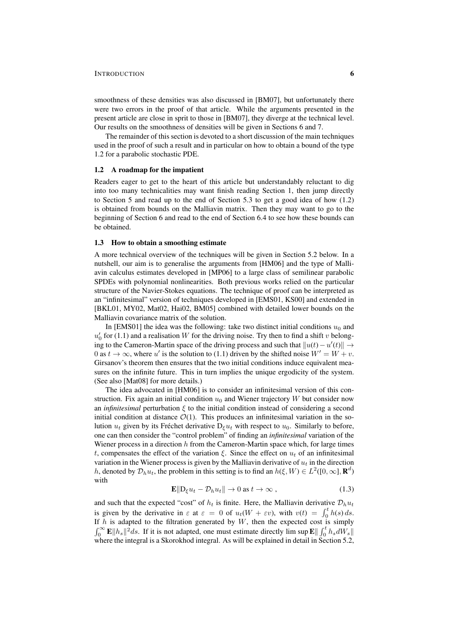smoothness of these densities was also discussed in [BM07], but unfortunately there were two errors in the proof of that article. While the arguments presented in the present article are close in sprit to those in [BM07], they diverge at the technical level. Our results on the smoothness of densities will be given in Sections 6 and 7.

The remainder of this section is devoted to a short discussion of the main techniques used in the proof of such a result and in particular on how to obtain a bound of the type 1.2 for a parabolic stochastic PDE.

#### 1.2 A roadmap for the impatient

Readers eager to get to the heart of this article but understandably reluctant to dig into too many technicalities may want finish reading Section 1, then jump directly to Section 5 and read up to the end of Section 5.3 to get a good idea of how (1.2) is obtained from bounds on the Malliavin matrix. Then they may want to go to the beginning of Section 6 and read to the end of Section 6.4 to see how these bounds can be obtained.

#### 1.3 How to obtain a smoothing estimate

A more technical overview of the techniques will be given in Section 5.2 below. In a nutshell, our aim is to generalise the arguments from [HM06] and the type of Malliavin calculus estimates developed in [MP06] to a large class of semilinear parabolic SPDEs with polynomial nonlinearities. Both previous works relied on the particular structure of the Navier-Stokes equations. The technique of proof can be interpreted as an "infinitesimal" version of techniques developed in [EMS01, KS00] and extended in [BKL01, MY02, Mat02, Hai02, BM05] combined with detailed lower bounds on the Malliavin covariance matrix of the solution.

In [EMS01] the idea was the following: take two distinct initial conditions  $u_0$  and  $u'_0$  for (1.1) and a realisation W for the driving noise. Try then to find a shift v belonging to the Cameron-Martin space of the driving process and such that  $||u(t) - u'(t)||$  → 0 as  $t \to \infty$ , where u' is the solution to (1.1) driven by the shifted noise  $W' = W + v$ . Girsanov's theorem then ensures that the two initial conditions induce equivalent measures on the infinite future. This in turn implies the unique ergodicity of the system. (See also [Mat08] for more details.)

The idea advocated in [HM06] is to consider an infinitesimal version of this construction. Fix again an initial condition  $u_0$  and Wiener trajectory W but consider now an *infinitesimal* perturbation ξ to the initial condition instead of considering a second initial condition at distance  $\mathcal{O}(1)$ . This produces an infinitesimal variation in the solution  $u_t$  given by its Fréchet derivative  $D_\varepsilon u_t$  with respect to  $u_0$ . Similarly to before, one can then consider the "control problem" of finding an *infinitesimal* variation of the Wiener process in a direction  $h$  from the Cameron-Martin space which, for large times t, compensates the effect of the variation  $\xi$ . Since the effect on  $u_t$  of an infinitesimal variation in the Wiener process is given by the Malliavin derivative of  $u_t$  in the direction h, denoted by  $\mathcal{D}_h u_t$ , the problem in this setting is to find an  $h(\xi, W) \in L^2([0,\infty], \mathbf{R}^d)$ with

$$
\mathbf{E} \|\mathbf{D}_{\xi} u_t - \mathcal{D}_h u_t\| \to 0 \text{ as } t \to \infty , \qquad (1.3)
$$

and such that the expected "cost" of  $h_t$  is finite. Here, the Malliavin derivative  $\mathcal{D}_h u_t$ is given by the derivative in  $\varepsilon$  at  $\varepsilon = 0$  of  $u_t(W + \varepsilon v)$ , with  $v(t) = \int_0^t h(s) ds$ . If  $h$  is adapted to the filtration generated by  $W$ , then the expected cost is simply  $\int_0^\infty \mathbf{E} ||h_s||^2 ds$ . If it is not adapted, one must estimate directly lim sup  $\mathbf{E} \|\int_0^t h_s dW_s\|$ where the integral is a Skorokhod integral. As will be explained in detail in Section 5.2,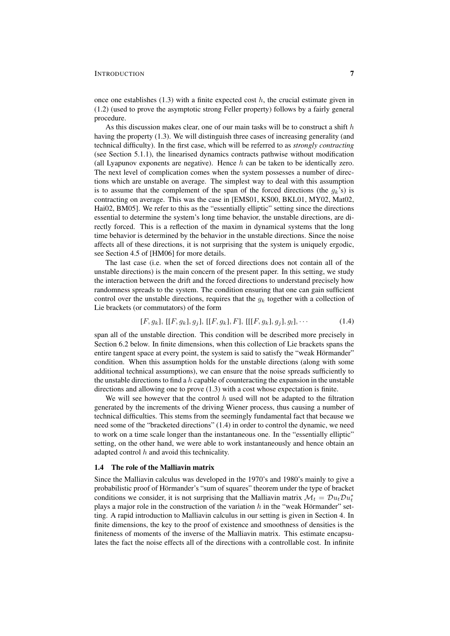once one establishes  $(1.3)$  with a finite expected cost h, the crucial estimate given in (1.2) (used to prove the asymptotic strong Feller property) follows by a fairly general procedure.

As this discussion makes clear, one of our main tasks will be to construct a shift  $h$ having the property (1.3). We will distinguish three cases of increasing generality (and technical difficulty). In the first case, which will be referred to as *strongly contracting* (see Section 5.1.1), the linearised dynamics contracts pathwise without modification (all Lyapunov exponents are negative). Hence  $h$  can be taken to be identically zero. The next level of complication comes when the system possesses a number of directions which are unstable on average. The simplest way to deal with this assumption is to assume that the complement of the span of the forced directions (the  $g_k$ 's) is contracting on average. This was the case in [EMS01, KS00, BKL01, MY02, Mat02, Hai02, BM05]. We refer to this as the "essentially elliptic" setting since the directions essential to determine the system's long time behavior, the unstable directions, are directly forced. This is a reflection of the maxim in dynamical systems that the long time behavior is determined by the behavior in the unstable directions. Since the noise affects all of these directions, it is not surprising that the system is uniquely ergodic, see Section 4.5 of [HM06] for more details.

The last case (i.e. when the set of forced directions does not contain all of the unstable directions) is the main concern of the present paper. In this setting, we study the interaction between the drift and the forced directions to understand precisely how randomness spreads to the system. The condition ensuring that one can gain sufficient control over the unstable directions, requires that the  $g_k$  together with a collection of Lie brackets (or commutators) of the form

$$
[F, g_k], [[F, g_k], g_j], [[F, g_k], F], [[[F, g_k], g_j], g_l], \cdots
$$
\n(1.4)

span all of the unstable direction. This condition will be described more precisely in Section 6.2 below. In finite dimensions, when this collection of Lie brackets spans the entire tangent space at every point, the system is said to satisfy the "weak Hörmander" condition. When this assumption holds for the unstable directions (along with some additional technical assumptions), we can ensure that the noise spreads sufficiently to the unstable directions to find a  $h$  capable of counteracting the expansion in the unstable directions and allowing one to prove (1.3) with a cost whose expectation is finite.

We will see however that the control  $h$  used will not be adapted to the filtration generated by the increments of the driving Wiener process, thus causing a number of technical difficulties. This stems from the seemingly fundamental fact that because we need some of the "bracketed directions" (1.4) in order to control the dynamic, we need to work on a time scale longer than the instantaneous one. In the "essentially elliptic" setting, on the other hand, we were able to work instantaneously and hence obtain an adapted control  $h$  and avoid this technicality.

#### 1.4 The role of the Malliavin matrix

Since the Malliavin calculus was developed in the 1970's and 1980's mainly to give a probabilistic proof of Hörmander's "sum of squares" theorem under the type of bracket conditions we consider, it is not surprising that the Malliavin matrix  $\mathcal{M}_t = \mathcal{D} u_t \mathcal{D} u_t^*$ plays a major role in the construction of the variation  $h$  in the "weak Hörmander" setting. A rapid introduction to Malliavin calculus in our setting is given in Section 4. In finite dimensions, the key to the proof of existence and smoothness of densities is the finiteness of moments of the inverse of the Malliavin matrix. This estimate encapsulates the fact the noise effects all of the directions with a controllable cost. In infinite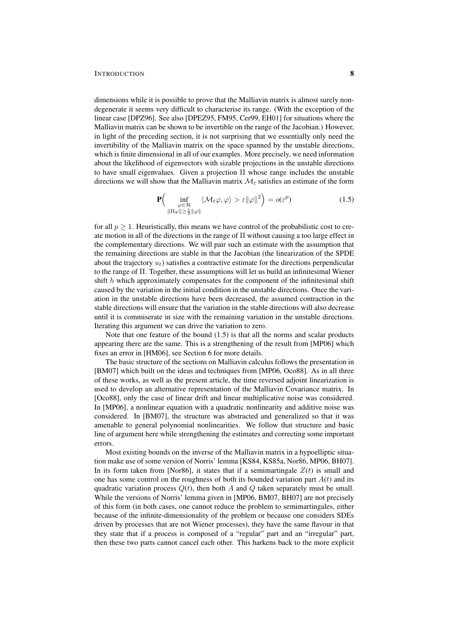dimensions while it is possible to prove that the Malliavin matrix is almost surely nondegenerate it seems very difficult to characterise its range. (With the exception of the linear case [DPZ96]. See also [DPEZ95, FM95, Cer99, EH01] for situations where the Malliavin matrix can be shown to be invertible on the range of the Jacobian.) However, in light of the preceding section, it is not surprising that we essentially only need the invertibility of the Malliavin matrix on the space spanned by the unstable directions, which is finite dimensional in all of our examples. More precisely, we need information about the likelihood of eigenvectors with sizable projections in the unstable directions to have small eigenvalues. Given a projection Π whose range includes the unstable directions we will show that the Malliavin matrix  $\mathcal{M}_t$  satisfies an estimate of the form

$$
\mathbf{P}\Big(\inf_{\substack{\varphi \in \mathcal{H} \\ \|\Pi\varphi\| \ge \frac{1}{2}\|\varphi\|}} \langle \mathcal{M}_t \varphi, \varphi \rangle > \varepsilon \|\varphi\|^2\Big) = o(\varepsilon^p) \tag{1.5}
$$

for all  $p > 1$ . Heuristically, this means we have control of the probabilistic cost to create motion in all of the directions in the range of Π without causing a too large effect in the complementary directions. We will pair such an estimate with the assumption that the remaining directions are stable in that the Jacobian (the linearization of the SPDE about the trajectory  $u_t$ ) satisfies a contractive estimate for the directions perpendicular to the range of Π. Together, these assumptions will let us build an infinitesimal Wiener shift  $h$  which approximately compensates for the component of the infinitesimal shift caused by the variation in the initial condition in the unstable directions. Once the variation in the unstable directions have been decreased, the assumed contraction in the stable directions will ensure that the variation in the stable directions will also decrease until it is commiserate in size with the remaining variation in the unstable directions. Iterating this argument we can drive the variation to zero.

Note that one feature of the bound (1.5) is that all the norms and scalar products appearing there are the same. This is a strengthening of the result from [MP06] which fixes an error in [HM06], see Section 6 for more details.

The basic structure of the sections on Malliavin calculus follows the presentation in [BM07] which built on the ideas and techniques from [MP06, Oco88]. As in all three of these works, as well as the present article, the time reversed adjoint linearization is used to develop an alternative representation of the Malliavin Covariance matrix. In [Oco88], only the case of linear drift and linear multiplicative noise was considered. In [MP06], a nonlinear equation with a quadratic nonlinearity and additive noise was considered. In [BM07], the structure was abstracted and generalized so that it was amenable to general polynomial nonlinearities. We follow that structure and basic line of argument here while strengthening the estimates and correcting some important errors.

Most existing bounds on the inverse of the Malliavin matrix in a hypoelliptic situation make use of some version of Norris' lemma [KS84, KS85a, Nor86, MP06, BH07]. In its form taken from [Nor86], it states that if a semimartingale  $Z(t)$  is small and one has some control on the roughness of both its bounded variation part  $A(t)$  and its quadratic variation process  $Q(t)$ , then both A and Q taken separately must be small. While the versions of Norris' lemma given in [MP06, BM07, BH07] are not precisely of this form (in both cases, one cannot reduce the problem to semimartingales, either because of the infinite-dimensionality of the problem or because one considers SDEs driven by processes that are not Wiener processes), they have the same flavour in that they state that if a process is composed of a "regular" part and an "irregular" part, then these two parts cannot cancel each other. This harkens back to the more explicit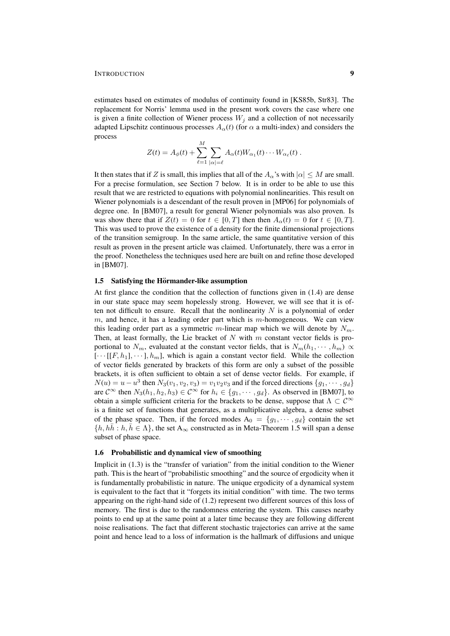estimates based on estimates of modulus of continuity found in [KS85b, Str83]. The replacement for Norris' lemma used in the present work covers the case where one is given a finite collection of Wiener process  $W_i$  and a collection of not necessarily adapted Lipschitz continuous processes  $A_{\alpha}(t)$  (for  $\alpha$  a multi-index) and considers the process

$$
Z(t) = A_{\phi}(t) + \sum_{\ell=1}^{M} \sum_{|\alpha|=\ell} A_{\alpha}(t) W_{\alpha_1}(t) \cdots W_{\alpha_{\ell}}(t).
$$

It then states that if Z is small, this implies that all of the  $A_{\alpha}$ 's with  $|\alpha| \leq M$  are small. For a precise formulation, see Section 7 below. It is in order to be able to use this result that we are restricted to equations with polynomial nonlinearities. This result on Wiener polynomials is a descendant of the result proven in [MP06] for polynomials of degree one. In [BM07], a result for general Wiener polynomials was also proven. Is was show there that if  $Z(t) = 0$  for  $t \in [0, T]$  then then  $A_{\alpha}(t) = 0$  for  $t \in [0, T]$ . This was used to prove the existence of a density for the finite dimensional projections of the transition semigroup. In the same article, the same quantitative version of this result as proven in the present article was claimed. Unfortunately, there was a error in the proof. Nonetheless the techniques used here are built on and refine those developed in [BM07].

#### 1.5 Satisfying the Hörmander-like assumption

At first glance the condition that the collection of functions given in (1.4) are dense in our state space may seem hopelessly strong. However, we will see that it is often not difficult to ensure. Recall that the nonlinearity  $N$  is a polynomial of order  $m$ , and hence, it has a leading order part which is  $m$ -homogeneous. We can view this leading order part as a symmetric m-linear map which we will denote by  $N_m$ . Then, at least formally, the Lie bracket of  $N$  with  $m$  constant vector fields is proportional to  $N_m$ , evaluated at the constant vector fields, that is  $N_m(h_1, \dots, h_m) \propto$  $[\cdots[[F,h_1],\cdots],h_m]$ , which is again a constant vector field. While the collection of vector fields generated by brackets of this form are only a subset of the possible brackets, it is often sufficient to obtain a set of dense vector fields. For example, if  $N(u) = u - u^3$  then  $N_3(v_1, v_2, v_3) = v_1v_2v_3$  and if the forced directions  $\{g_1, \dots, g_d\}$ are  $C^{\infty}$  then  $N_3(h_1, h_2, h_3) \in C^{\infty}$  for  $h_i \in \{g_1, \dots, g_d\}$ . As observed in [BM07], to obtain a simple sufficient criteria for the brackets to be dense, suppose that  $\Lambda \subset \mathcal{C}^{\infty}$ is a finite set of functions that generates, as a multiplicative algebra, a dense subset of the phase space. Then, if the forced modes  $A_0 = \{g_1, \dots, g_d\}$  contain the set  $\{h, h\overline{h} : h, \overline{h} \in \Lambda\}$ , the set  $A_{\infty}$  constructed as in Meta-Theorem 1.5 will span a dense subset of phase space.

#### 1.6 Probabilistic and dynamical view of smoothing

Implicit in (1.3) is the "transfer of variation" from the initial condition to the Wiener path. This is the heart of "probabilistic smoothing" and the source of ergodicity when it is fundamentally probabilistic in nature. The unique ergodicity of a dynamical system is equivalent to the fact that it "forgets its initial condition" with time. The two terms appearing on the right-hand side of (1.2) represent two different sources of this loss of memory. The first is due to the randomness entering the system. This causes nearby points to end up at the same point at a later time because they are following different noise realisations. The fact that different stochastic trajectories can arrive at the same point and hence lead to a loss of information is the hallmark of diffusions and unique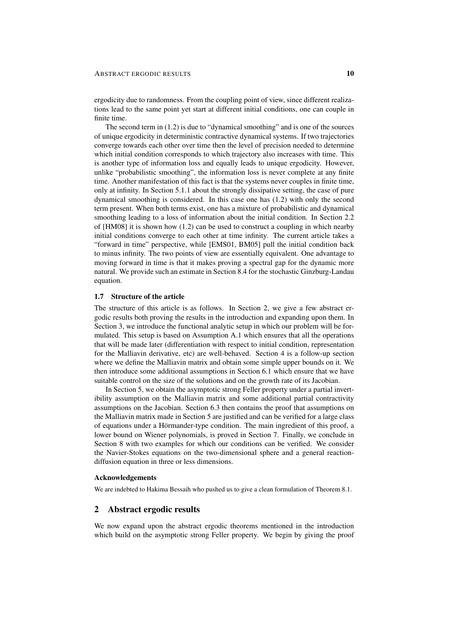ergodicity due to randomness. From the coupling point of view, since different realizations lead to the same point yet start at different initial conditions, one can couple in finite time.

The second term in (1.2) is due to "dynamical smoothing" and is one of the sources of unique ergodicity in deterministic contractive dynamical systems. If two trajectories converge towards each other over time then the level of precision needed to determine which initial condition corresponds to which trajectory also increases with time. This is another type of information loss and equally leads to unique ergodicity. However, unlike "probabilistic smoothing", the information loss is never complete at any finite time. Another manifestation of this fact is that the systems never couples in finite time, only at infinity. In Section 5.1.1 about the strongly dissipative setting, the case of pure dynamical smoothing is considered. In this case one has (1.2) with only the second term present. When both terms exist, one has a mixture of probabilistic and dynamical smoothing leading to a loss of information about the initial condition. In Section 2.2 of [HM08] it is shown how (1.2) can be used to construct a coupling in which nearby initial conditions converge to each other at time infinity. The current article takes a "forward in time" perspective, while [EMS01, BM05] pull the initial condition back to minus infinity. The two points of view are essentially equivalent. One advantage to moving forward in time is that it makes proving a spectral gap for the dynamic more natural. We provide such an estimate in Section 8.4 for the stochastic Ginzburg-Landau equation.

#### 1.7 Structure of the article

The structure of this article is as follows. In Section 2, we give a few abstract ergodic results both proving the results in the introduction and expanding upon them. In Section 3, we introduce the functional analytic setup in which our problem will be formulated. This setup is based on Assumption A.1 which ensures that all the operations that will be made later (differentiation with respect to initial condition, representation for the Malliavin derivative, etc) are well-behaved. Section 4 is a follow-up section where we define the Malliavin matrix and obtain some simple upper bounds on it. We then introduce some additional assumptions in Section 6.1 which ensure that we have suitable control on the size of the solutions and on the growth rate of its Jacobian.

In Section 5, we obtain the asymptotic strong Feller property under a partial invertibility assumption on the Malliavin matrix and some additional partial contractivity assumptions on the Jacobian. Section 6.3 then contains the proof that assumptions on the Malliavin matrix made in Section 5 are justified and can be verified for a large class of equations under a Hörmander-type condition. The main ingredient of this proof, a lower bound on Wiener polynomials, is proved in Section 7. Finally, we conclude in Section 8 with two examples for which our conditions can be verified. We consider the Navier-Stokes equations on the two-dimensional sphere and a general reactiondiffusion equation in three or less dimensions.

#### Acknowledgements

We are indebted to Hakima Bessaih who pushed us to give a clean formulation of Theorem 8.1.

# 2 Abstract ergodic results

We now expand upon the abstract ergodic theorems mentioned in the introduction which build on the asymptotic strong Feller property. We begin by giving the proof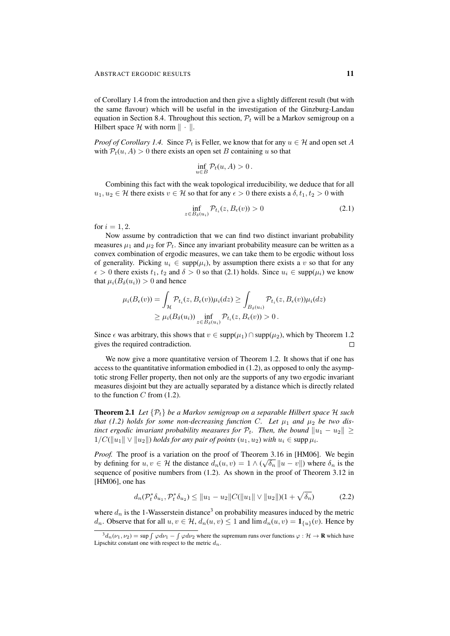of Corollary 1.4 from the introduction and then give a slightly different result (but with the same flavour) which will be useful in the investigation of the Ginzburg-Landau equation in Section 8.4. Throughout this section,  $P_t$  will be a Markov semigroup on a Hilbert space  $\mathcal H$  with norm  $\|\cdot\|$ .

*Proof of Corollary 1.4.* Since  $\mathcal{P}_t$  is Feller, we know that for any  $u \in \mathcal{H}$  and open set A with  $P_t(u, A) > 0$  there exists an open set B containing u so that

$$
\inf_{u \in B} \mathcal{P}_t(u, A) > 0.
$$

Combining this fact with the weak topological irreducibility, we deduce that for all  $u_1, u_2 \in \mathcal{H}$  there exists  $v \in \mathcal{H}$  so that for any  $\epsilon > 0$  there exists a  $\delta, t_1, t_2 > 0$  with

$$
\inf_{z \in B_{\delta}(u_i)} \mathcal{P}_{t_i}(z, B_{\epsilon}(v)) > 0
$$
\n(2.1)

for  $i = 1, 2$ .

Now assume by contradiction that we can find two distinct invariant probability measures  $\mu_1$  and  $\mu_2$  for  $\mathcal{P}_t$ . Since any invariant probability measure can be written as a convex combination of ergodic measures, we can take them to be ergodic without loss of generality. Picking  $u_i \in \text{supp}(\mu_i)$ , by assumption there exists a v so that for any  $\epsilon > 0$  there exists  $t_1, t_2$  and  $\delta > 0$  so that (2.1) holds. Since  $u_i \in \text{supp}(\mu_i)$  we know that  $\mu_i(B_\delta(u_i)) > 0$  and hence

$$
\mu_i(B_{\epsilon}(v)) = \int_{\mathcal{H}} \mathcal{P}_{t_i}(z, B_{\epsilon}(v)) \mu_i(dz) \ge \int_{B_{\delta}(u_i)} \mathcal{P}_{t_i}(z, B_{\epsilon}(v)) \mu_i(dz)
$$
  
\n
$$
\ge \mu_i(B_{\delta}(u_i)) \inf_{z \in B_{\delta}(u_i)} \mathcal{P}_{t_i}(z, B_{\epsilon}(v)) > 0.
$$

Since  $\epsilon$  was arbitrary, this shows that  $v \in \text{supp}(\mu_1) \cap \text{supp}(\mu_2)$ , which by Theorem 1.2 gives the required contradiction.  $\Box$ 

We now give a more quantitative version of Theorem 1.2. It shows that if one has access to the quantitative information embodied in (1.2), as opposed to only the asymptotic strong Feller property, then not only are the supports of any two ergodic invariant measures disjoint but they are actually separated by a distance which is directly related to the function  $C$  from  $(1.2)$ .

**Theorem 2.1** Let  $\{\mathcal{P}_t\}$  be a Markov semigroup on a separable Hilbert space H such *that (1.2) holds for some non-decreasing function C. Let*  $\mu_1$  *and*  $\mu_2$  *be two distinct ergodic invariant probability measures for*  $\mathcal{P}_t$ . *Then, the bound*  $||u_1 - u_2||$  >  $1/C(\|u_1\| \vee \|u_2\|)$  *holds for any pair of points*  $(u_1, u_2)$  *with*  $u_i \in \text{supp } \mu_i$ *.* 

*Proof.* The proof is a variation on the proof of Theorem 3.16 in [HM06]. We begin by defining for  $u, v \in \mathcal{H}$  the distance  $d_n(u, v) = 1 \wedge (\sqrt{\delta_n} || u - v ||)$  where  $\delta_n$  is the sequence of positive numbers from (1.2). As shown in the proof of Theorem 3.12 in [HM06], one has

$$
d_n(\mathcal{P}_t^* \delta_{u_1}, \mathcal{P}_t^* \delta_{u_2}) \le ||u_1 - u_2||C(||u_1|| \vee ||u_2||)(1 + \sqrt{\delta_n})
$$
\n(2.2)

where  $d_n$  is the 1-Wasserstein distance<sup>3</sup> on probability measures induced by the metric  $d_n$ . Observe that for all  $u, v \in \mathcal{H}$ ,  $d_n(u, v) \leq 1$  and  $\lim d_n(u, v) = \mathbf{1}_{\{u\}}(v)$ . Hence by

 $\int^3 d_n(\nu_1, \nu_2) = \sup \int \varphi d\nu_1 - \int \varphi d\nu_2$  where the supremum runs over functions  $\varphi : \mathcal{H} \to \mathbf{R}$  which have Lipschitz constant one with respect to the metric  $d_n$ .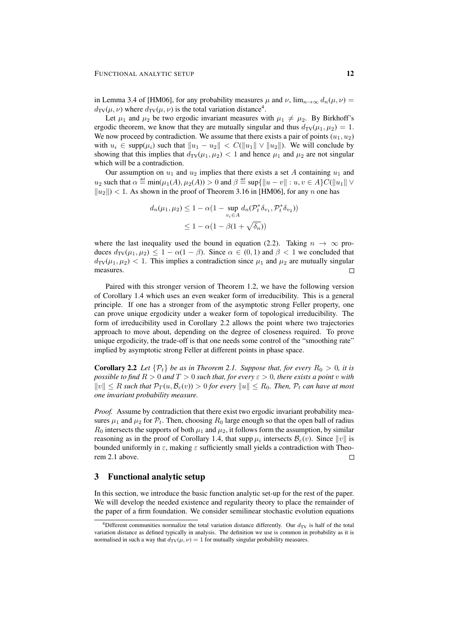in Lemma 3.4 of [HM06], for any probability measures  $\mu$  and  $\nu$ ,  $\lim_{n\to\infty} d_n(\mu, \nu) =$  $d_{\text{TV}}(\mu, \nu)$  where  $d_{\text{TV}}(\mu, \nu)$  is the total variation distance<sup>4</sup>.

Let  $\mu_1$  and  $\mu_2$  be two ergodic invariant measures with  $\mu_1 \neq \mu_2$ . By Birkhoff's ergodic theorem, we know that they are mutually singular and thus  $d_{TV}(\mu_1, \mu_2) = 1$ . We now proceed by contradiction. We assume that there exists a pair of points  $(u_1, u_2)$ with  $u_i \in \text{supp}(\mu_i)$  such that  $\|u_1 - u_2\| < C(\|u_1\| \vee \|u_2\|)$ . We will conclude by showing that this implies that  $d_{TV}(\mu_1, \mu_2) < 1$  and hence  $\mu_1$  and  $\mu_2$  are not singular which will be a contradiction.

Our assumption on  $u_1$  and  $u_2$  implies that there exists a set A containing  $u_1$  and  $u_2$  such that  $\alpha \stackrel{\text{def}}{=} \min(\mu_1(A), \mu_2(A)) > 0$  and  $\beta \stackrel{\text{def}}{=} \sup\{\|u - v\| : u, v \in A\}C(\|u_1\| \vee$  $||u_2||$  < 1. As shown in the proof of Theorem 3.16 in [HM06], for any n one has

$$
d_n(\mu_1, \mu_2) \le 1 - \alpha (1 - \sup_{v_i \in A} d_n(\mathcal{P}_t^* \delta_{v_1}, \mathcal{P}_t^* \delta_{v_2}))
$$
  
 
$$
\le 1 - \alpha (1 - \beta (1 + \sqrt{\delta_n}))
$$

where the last inequality used the bound in equation (2.2). Taking  $n \to \infty$  produces  $d_{\text{TV}}(\mu_1, \mu_2) \leq 1 - \alpha(1 - \beta)$ . Since  $\alpha \in (0, 1)$  and  $\beta < 1$  we concluded that  $d_{\text{TV}}(\mu_1, \mu_2)$  < 1. This implies a contradiction since  $\mu_1$  and  $\mu_2$  are mutually singular measures.  $\Box$ 

Paired with this stronger version of Theorem 1.2, we have the following version of Corollary 1.4 which uses an even weaker form of irreducibility. This is a general principle. If one has a stronger from of the asymptotic strong Feller property, one can prove unique ergodicity under a weaker form of topological irreducibility. The form of irreducibility used in Corollary 2.2 allows the point where two trajectories approach to move about, depending on the degree of closeness required. To prove unique ergodicity, the trade-off is that one needs some control of the "smoothing rate" implied by asymptotic strong Feller at different points in phase space.

**Corollary 2.2** Let  $\{\mathcal{P}_t\}$  be as in Theorem 2.1. Suppose that, for every  $R_0 > 0$ , it is *possible to find*  $R > 0$  *and*  $T > 0$  *such that, for every*  $\epsilon > 0$ *, there exists a point v with*  $||v|| \leq R$  *such that*  $\mathcal{P}_T(u, \mathcal{B}_{\varepsilon}(v)) > 0$  *for every*  $||u|| \leq R_0$ *. Then,*  $\mathcal{P}_t$  *can have at most one invariant probability measure.*

*Proof.* Assume by contradiction that there exist two ergodic invariant probability measures  $\mu_1$  and  $\mu_2$  for  $\mathcal{P}_t$ . Then, choosing  $R_0$  large enough so that the open ball of radius  $R_0$  intersects the supports of both  $\mu_1$  and  $\mu_2$ , it follows form the assumption, by similar reasoning as in the proof of Corollary 1.4, that supp  $\mu_i$  intersects  $\mathcal{B}_{\varepsilon}(v)$ . Since  $||v||$  is bounded uniformly in  $\varepsilon$ , making  $\varepsilon$  sufficiently small yields a contradiction with Theorem 2.1 above.  $\Box$ 

# 3 Functional analytic setup

In this section, we introduce the basic function analytic set-up for the rest of the paper. We will develop the needed existence and regularity theory to place the remainder of the paper of a firm foundation. We consider semilinear stochastic evolution equations

<sup>&</sup>lt;sup>4</sup>Different communities normalize the total variation distance differently. Our  $d_{TV}$  is half of the total variation distance as defined typically in analysis. The definition we use is common in probability as it is normalised in such a way that  $d_{TV}(\mu, \nu) = 1$  for mutually singular probability measures.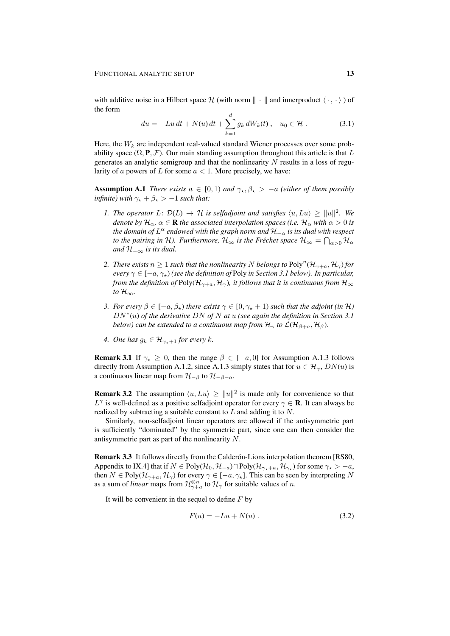with additive noise in a Hilbert space H (with norm  $\|\cdot\|$  and innerproduct  $\langle \cdot, \cdot \rangle$ ) of the form

$$
du = -Lu \, dt + N(u) \, dt + \sum_{k=1}^{d} g_k \, dW_k(t) \,, \quad u_0 \in \mathcal{H} \,.
$$
 (3.1)

Here, the  $W_k$  are independent real-valued standard Wiener processes over some probability space  $(\Omega, \mathbf{P}, \mathcal{F})$ . Our main standing assumption throughout this article is that L generates an analytic semigroup and that the nonlinearity  $N$  results in a loss of regularity of a powers of L for some  $a < 1$ . More precisely, we have:

**Assumption A.1** *There exists*  $a \in [0, 1)$  *and*  $\gamma_\star$ ,  $\beta_\star$  >  $-a$  *(either of them possibly infinite*) with  $\gamma_* + \beta_* > -1$  *such that:* 

- *1. The operator*  $L: \mathcal{D}(L) \to \mathcal{H}$  *is selfadjoint and satisfies*  $\langle u, Lu \rangle \ge ||u||^2$ *. We denote by*  $\mathcal{H}_\alpha$ ,  $\alpha \in \mathbf{R}$  *the associated interpolation spaces (i.e.*  $\mathcal{H}_\alpha$  *with*  $\alpha > 0$  *is the domain of* L <sup>α</sup> *endowed with the graph norm and* H<sup>−</sup><sup>α</sup> *is its dual with respect to the pairing in H). Furthermore,*  $\mathcal{H}_\infty$  *is the Fréchet space*  $\mathcal{H}_\infty = \bigcap_{\alpha>0} \mathcal{H}_\alpha$ *and*  $H_{-\infty}$  *is its dual.*
- 2. *There exists*  $n \geq 1$  *such that the nonlinearity* N *belongs to*  $Poly^{n}(\mathcal{H}_{\gamma+a}, \mathcal{H}_{\gamma})$  *for every*  $\gamma \in [-a, \gamma_*)$  *(see the definition of Poly in Section 3.1 below). In particular, from the definition of* Poly( $\mathcal{H}_{\gamma+a}$ ,  $\mathcal{H}_{\gamma}$ )*, it follows that it is continuous from*  $\mathcal{H}_{\infty}$ *to*  $\mathcal{H}_{\infty}$ *.*
- *3. For every*  $\beta \in [-a, \beta_\star)$  *there exists*  $\gamma \in [0, \gamma_\star + 1)$  *such that the adjoint (in* H) DN<sup>∗</sup> (u) *of the derivative* DN *of* N *at* u *(see again the definition in Section 3.1 below) can be extended to a continuous map from*  $\mathcal{H}_{\gamma}$  *to*  $\mathcal{L}(\mathcal{H}_{\beta+a}, \mathcal{H}_{\beta})$ *.*
- *4. One has*  $g_k \in \mathcal{H}_{\gamma_*+1}$  *for every*  $k$ *.*

**Remark 3.1** If  $\gamma_{\star} \geq 0$ , then the range  $\beta \in [-a, 0]$  for Assumption A.1.3 follows directly from Assumption A.1.2, since A.1.3 simply states that for  $u \in \mathcal{H}_{\gamma}$ ,  $DN(u)$  is a continuous linear map from  $\mathcal{H}_{-\beta}$  to  $\mathcal{H}_{-\beta-a}$ .

**Remark 3.2** The assumption  $\langle u, Lu \rangle \ge ||u||^2$  is made only for convenience so that  $L^{\gamma}$  is well-defined as a positive selfadjoint operator for every  $\gamma \in \mathbf{R}$ . It can always be realized by subtracting a suitable constant to  $L$  and adding it to  $N$ .

Similarly, non-selfadjoint linear operators are allowed if the antisymmetric part is sufficiently "dominated" by the symmetric part, since one can then consider the antisymmetric part as part of the nonlinearity N.

**Remark 3.3** It follows directly from the Calderón-Lions interpolation theorem [RS80, Appendix to IX.4] that if  $N \in Poly(\mathcal{H}_0, \mathcal{H}_{-a}) \cap Poly(\mathcal{H}_{\gamma_*+a}, \mathcal{H}_{\gamma_*})$  for some  $\gamma_* > -a$ , then  $N \in Poly(\mathcal{H}_{\gamma+a}, \mathcal{H}_{\gamma})$  for every  $\gamma \in [-a, \gamma_{\star}]$ . This can be seen by interpreting N as a sum of *linear* maps from  $\mathcal{H}_{\gamma+a}^{\otimes n}$  to  $\mathcal{H}_{\gamma}$  for suitable values of *n*.

It will be convenient in the sequel to define  $F$  by

$$
F(u) = -Lu + N(u) \,. \tag{3.2}
$$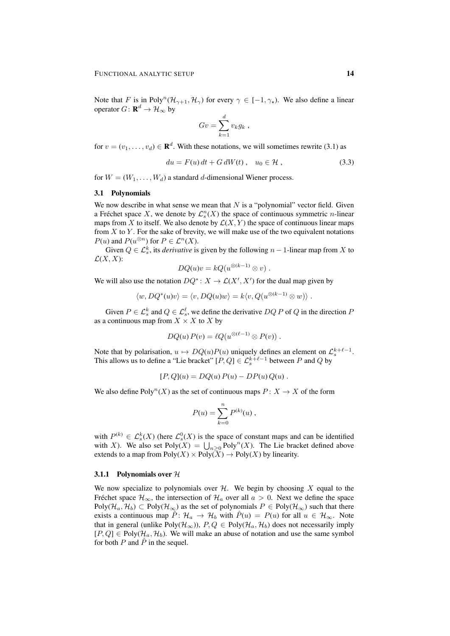Note that F is in Poly<sup>n</sup> $(\mathcal{H}_{\gamma+1}, \mathcal{H}_{\gamma})$  for every  $\gamma \in [-1, \gamma_{\star})$ . We also define a linear operator  $G: \mathbf{R}^d \to \mathcal{H}_{\infty}$  by

$$
Gv = \sum_{k=1}^d v_k g_k,
$$

for  $v = (v_1, \dots, v_d) \in \mathbf{R}^d$ . With these notations, we will sometimes rewrite (3.1) as

$$
du = F(u) dt + G dW(t), \quad u_0 \in \mathcal{H}, \tag{3.3}
$$

for  $W = (W_1, \ldots, W_d)$  a standard d-dimensional Wiener process.

#### 3.1 Polynomials

We now describe in what sense we mean that  $N$  is a "polynomial" vector field. Given a Fréchet space X, we denote by  $\mathcal{L}_s^n(X)$  the space of continuous symmetric *n*-linear maps from X to itself. We also denote by  $\mathcal{L}(X, Y)$  the space of continuous linear maps from  $X$  to  $Y$ . For the sake of brevity, we will make use of the two equivalent notations  $P(u)$  and  $P(u^{\otimes n})$  for  $P \in \mathcal{L}^n(X)$ .

Given  $Q \in \mathcal{L}_s^k$ , its *derivative* is given by the following  $n-1$ -linear map from X to  $\mathcal{L}(X,X)$ :

$$
DQ(u)v = kQ(u^{\otimes (k-1)} \otimes v) .
$$

We will also use the notation  $DQ^*: X \to \mathcal{L}(X', X')$  for the dual map given by

$$
\langle w, DQ^*(u)v \rangle = \langle v, DQ(u)w \rangle = k \langle v, Q(u^{\otimes (k-1)} \otimes w) \rangle.
$$

Given  $P \in \mathcal{L}_s^k$  and  $Q \in \mathcal{L}_s^{\ell}$ , we define the derivative  $DQ P$  of Q in the direction F as a continuous map from  $X \times X$  to X by

$$
DQ(u) P(v) = \ell Q(u^{\otimes (\ell-1)} \otimes P(v)).
$$

Note that by polarisation,  $u \mapsto DQ(u)P(u)$  uniquely defines an element on  $\mathcal{L}_s^{k+\ell-1}$ . This allows us to define a "Lie bracket"  $[P,Q] \in \mathcal{L}_s^{k+\ell-1}$  between P and Q by

$$
[P,Q](u) = DQ(u) P(u) - DP(u) Q(u) .
$$

We also define  $Poly^n(X)$  as the set of continuous maps  $P: X \to X$  of the form

$$
P(u) = \sum_{k=0}^{n} P^{(k)}(u) ,
$$

with  $P^{(k)} \in \mathcal{L}_s^k(X)$  (here  $\mathcal{L}_s^0(X)$  is the space of constant maps and can be identified with X). We also set  $Poly(X) = \bigcup_{n>0} Poly^n(X)$ . The Lie bracket defined above extends to a map from  $Poly(X) \times Poly(X) \rightarrow Poly(X)$  by linearity.

#### 3.1.1 Polynomials over  $H$

We now specialize to polynomials over  $H$ . We begin by choosing X equal to the Fréchet space  $\mathcal{H}_{\infty}$ , the intersection of  $\mathcal{H}_{a}$  over all  $a > 0$ . Next we define the space Poly( $\mathcal{H}_a$ ,  $\mathcal{H}_b$ )  $\subset$  Poly( $\mathcal{H}_{\infty}$ ) as the set of polynomials  $P \in \text{Poly}(\mathcal{H}_{\infty})$  such that there exists a continuous map  $\hat{P}$ :  $\mathcal{H}_a \to \mathcal{H}_b$  with  $\hat{P}(u) = P(u)$  for all  $u \in \mathcal{H}_{\infty}$ . Note that in general (unlike Poly( $\mathcal{H}_{\infty}$ )),  $P, Q \in Poly(\mathcal{H}_{a}, \mathcal{H}_{b})$  does not necessarily imply  $[P,Q] \in Poly(\mathcal{H}_a, \mathcal{H}_b)$ . We will make an abuse of notation and use the same symbol for both P and  $\hat{P}$  in the sequel.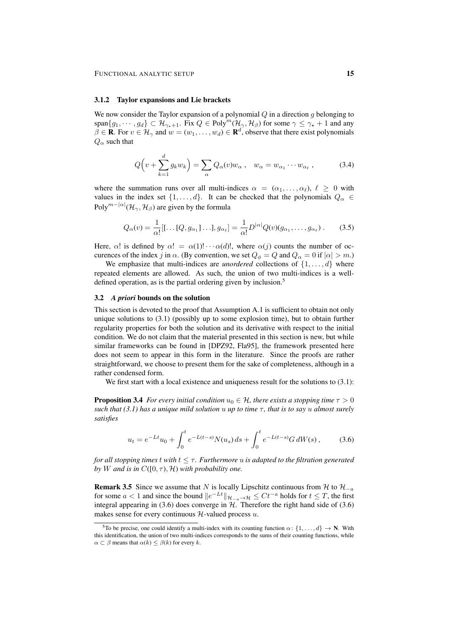#### 3.1.2 Taylor expansions and Lie brackets

We now consider the Taylor expansion of a polynomial  $Q$  in a direction g belonging to span $\{g_1, \dots, g_d\} \subset \mathcal{H}_{\gamma_*+1}$ . Fix  $Q \in \text{Poly}^m(\mathcal{H}_{\gamma}, \mathcal{H}_{\beta})$  for some  $\gamma \leq \gamma_*+1$  and any  $\beta \in \mathbf{R}$ . For  $v \in \mathcal{H}_{\gamma}$  and  $w = (w_1, \dots, w_d) \in \mathbf{R}^d$ , observe that there exist polynomials  $Q_{\alpha}$  such that

$$
Q(v + \sum_{k=1}^{d} g_k w_k) = \sum_{\alpha} Q_{\alpha}(v) w_{\alpha} , \quad w_{\alpha} = w_{\alpha_1} \cdots w_{\alpha_\ell} , \tag{3.4}
$$

where the summation runs over all multi-indices  $\alpha = (\alpha_1, \dots, \alpha_\ell), \ell \geq 0$  with values in the index set  $\{1, \ldots, d\}$ . It can be checked that the polynomials  $Q_{\alpha} \in$ Poly $^{m-|\alpha|}(\mathcal{H}_{\gamma},\mathcal{H}_{\beta})$  are given by the formula

$$
Q_{\alpha}(v) = \frac{1}{\alpha!} [[\dots [Q, g_{\alpha_1}] \dots], g_{\alpha_\ell}] = \frac{1}{\alpha!} D^{|\alpha|} Q(v) (g_{\alpha_1}, \dots, g_{\alpha_\ell}). \tag{3.5}
$$

Here,  $\alpha$ ! is defined by  $\alpha$ ! =  $\alpha(1)! \cdots \alpha(d)!$ , where  $\alpha(j)$  counts the number of occurences of the index j in  $\alpha$ . (By convention, we set  $Q_{\phi} = Q$  and  $Q_{\alpha} = 0$  if  $|\alpha| > m$ .)

We emphasize that multi-indices are *unordered* collections of  $\{1, \ldots, d\}$  where repeated elements are allowed. As such, the union of two multi-indices is a welldefined operation, as is the partial ordering given by inclusion.<sup>5</sup>

#### 3.2 *A priori* bounds on the solution

This section is devoted to the proof that Assumption A.1 is sufficient to obtain not only unique solutions to (3.1) (possibly up to some explosion time), but to obtain further regularity properties for both the solution and its derivative with respect to the initial condition. We do not claim that the material presented in this section is new, but while similar frameworks can be found in [DPZ92, Fla95], the framework presented here does not seem to appear in this form in the literature. Since the proofs are rather straightforward, we choose to present them for the sake of completeness, although in a rather condensed form.

We first start with a local existence and uniqueness result for the solutions to  $(3.1)$ :

**Proposition 3.4** *For every initial condition*  $u_0 \in \mathcal{H}$ *, there exists a stopping time*  $\tau > 0$ *such that (3.1) has a unique mild solution* u *up to time*  $\tau$ *, that is to say* u *almost surely satisfies*

$$
u_t = e^{-Lt}u_0 + \int_0^t e^{-L(t-s)} N(u_s) ds + \int_0^t e^{-L(t-s)} G dW(s), \qquad (3.6)
$$

*for all stopping times t with*  $t \leq \tau$ . Furthermore u is adapted to the filtration generated *by W* and is in  $C([0, \tau), \mathcal{H})$  *with probability one.* 

**Remark 3.5** Since we assume that N is locally Lipschitz continuous from H to  $\mathcal{H}_{-a}$ for some  $a < 1$  and since the bound  $||e^{-Lt}||_{\mathcal{H}_{-a} \to \mathcal{H}} \leq Ct^{-a}$  holds for  $t \leq T$ , the first integral appearing in (3.6) does converge in  $H$ . Therefore the right hand side of (3.6) makes sense for every continuous  $H$ -valued process  $u$ .

<sup>&</sup>lt;sup>5</sup>To be precise, one could identify a multi-index with its counting function  $\alpha$ :  $\{1, \ldots, d\} \rightarrow \mathbb{N}$ . With this identification, the union of two multi-indices corresponds to the sums of their counting functions, while  $\alpha \subset \beta$  means that  $\alpha(k) \leq \beta(k)$  for every k.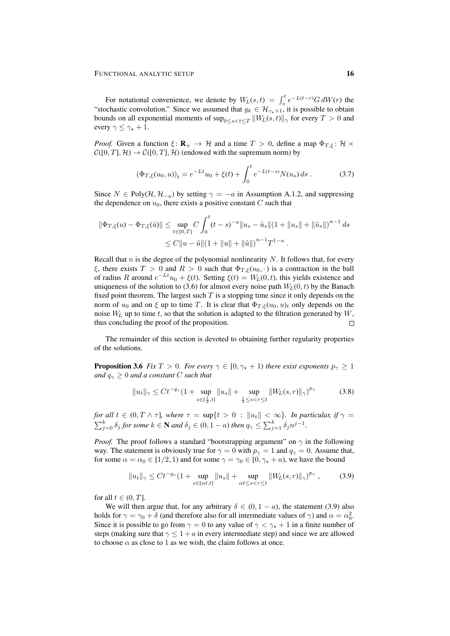For notational convenience, we denote by  $W_L(s,t) = \int_s^t e^{-L(t-r)} G dW(r)$  the "stochastic convolution." Since we assumed that  $g_k \in \mathcal{H}_{\gamma_*+1}$ , it is possible to obtain bounds on all exponential moments of  $\sup_{0\leq s < t \leq T}\|W_L(s,t)\|_\gamma$  for every  $T>0$  and every  $\gamma \leq \gamma_{\star} + 1$ .

*Proof.* Given a function  $\xi \colon \mathbf{R}_+ \to \mathcal{H}$  and a time  $T > 0$ , define a map  $\Phi_{T,\xi} \colon \mathcal{H} \times$  $C([0, T], \mathcal{H}) \to C([0, T], \mathcal{H})$  (endowed with the supremum norm) by

$$
\left(\Phi_{T,\xi}(u_0, u)\right)_t = e^{-Lt}u_0 + \xi(t) + \int_0^t e^{-L(t-s)} N(u_s) \, ds \tag{3.7}
$$

Since  $N \in Poly(\mathcal{H}, \mathcal{H}_{-a})$  by setting  $\gamma = -a$  in Assumption A.1.2, and suppressing the dependence on  $u_0$ , there exists a positive constant  $C$  such that

$$
\|\Phi_{T,\xi}(u) - \Phi_{T,\xi}(\tilde{u})\| \le \sup_{t \in [0,T]} C \int_0^t (t-s)^{-a} \|u_s - \tilde{u}_s\| (1 + \|u_s\| + \|\tilde{u}_s\|)^{n-1} ds
$$
  

$$
\le C \|u - \tilde{u}\| (1 + \|u\| + \|\tilde{u}\|)^{n-1} T^{1-a} .
$$

Recall that  $n$  is the degree of the polynomial nonlinearity  $N$ . It follows that, for every ξ, there exists  $T > 0$  and  $R > 0$  such that  $\Phi_{T,\xi}(u_0, \cdot)$  is a contraction in the ball of radius R around  $e^{-Lt}u_0 + \xi(t)$ . Setting  $\xi(t) = W_L(0, t)$ , this yields existence and uniqueness of the solution to (3.6) for almost every noise path  $W_L(0, t)$  by the Banach fixed point theorem. The largest such  $T$  is a stopping time since it only depends on the norm of  $u_0$  and on  $\xi$  up to time T. It is clear that  $\Phi_{T,\xi}(u_0, u)_t$  only depends on the noise  $W_L$  up to time t, so that the solution is adapted to the filtration generated by  $W$ , thus concluding the proof of the proposition.  $\Box$ 

The remainder of this section is devoted to obtaining further regularity properties of the solutions.

**Proposition 3.6** *Fix*  $T > 0$ *. For every*  $\gamma \in [0, \gamma_* + 1)$  *there exist exponents*  $p_{\gamma} \geq 1$ *and*  $q_{\gamma} \geq 0$  *and a constant C such that* 

$$
||u_t||_{\gamma} \le Ct^{-q_{\gamma}}(1 + \sup_{s \in [\frac{t}{2}, t]} ||u_s|| + \sup_{\frac{t}{2} \le s < r \le t} ||W_L(s, r)||_{\gamma})^{p_{\gamma}} \tag{3.8}
$$

*for all*  $t \in (0, T \wedge \tau]$ *, where*  $\tau = \sup\{t > 0 : ||u_t|| < \infty\}$ *. In particular, if*  $\gamma =$  $\sum_{j=0}^k \delta_j$  *for some*  $k \in \mathbf{N}$  *and*  $\delta_j \in (0, 1 - a)$  *then*  $q_\gamma \leq \sum_{j=1}^k \delta_j n^{j-1}$ *.* 

*Proof.* The proof follows a standard "bootstrapping argument" on  $\gamma$  in the following way. The statement is obviously true for  $\gamma = 0$  with  $p_{\gamma} = 1$  and  $q_{\gamma} = 0$ . Assume that, for some  $\alpha = \alpha_0 \in [1/2, 1)$  and for some  $\gamma = \gamma_0 \in [0, \gamma_* + a)$ , we have the bound

$$
||u_t||_{\gamma} \le Ct^{-q_{\gamma}} (1 + \sup_{s \in [\alpha t, t]} ||u_s|| + \sup_{\alpha t \le s < r \le t} ||W_L(s, r)||_{\gamma})^{p_{\gamma}}, \qquad (3.9)
$$

for all  $t \in (0, T]$ .

We will then argue that, for any arbitrary  $\delta \in (0, 1 - a)$ , the statement (3.9) also holds for  $\gamma = \gamma_0 + \delta$  (and therefore also for all intermediate values of  $\gamma$ ) and  $\alpha = \alpha_0^2$ . Since it is possible to go from  $\gamma = 0$  to any value of  $\gamma < \gamma_{\star} + 1$  in a finite number of steps (making sure that  $\gamma \leq 1 + a$  in every intermediate step) and since we are allowed to choose  $\alpha$  as close to 1 as we wish, the claim follows at once.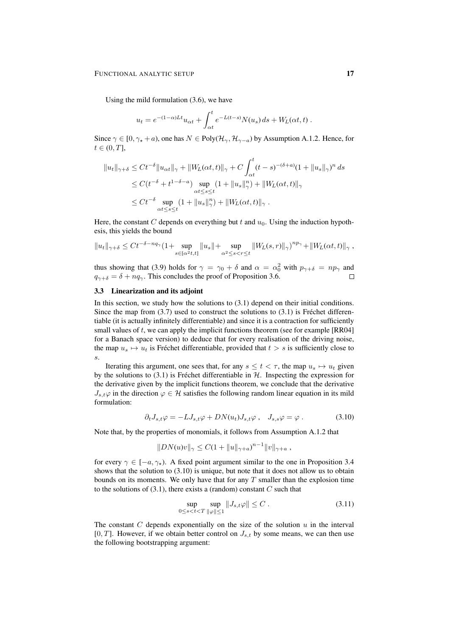Using the mild formulation (3.6), we have

$$
u_t = e^{-(1-\alpha)Lt}u_{\alpha t} + \int_{\alpha t}^t e^{-L(t-s)}N(u_s) ds + W_L(\alpha t, t).
$$

Since  $\gamma \in [0, \gamma_* + a)$ , one has  $N \in Poly(\mathcal{H}_{\gamma}, \mathcal{H}_{\gamma-a})$  by Assumption A.1.2. Hence, for  $t \in (0, T],$ 

$$
||u_t||_{\gamma+\delta} \le Ct^{-\delta} ||u_{\alpha t}||_{\gamma} + ||W_L(\alpha t, t)||_{\gamma} + C \int_{\alpha t}^t (t - s)^{-(\delta + a)} (1 + ||u_s||_{\gamma})^n ds
$$
  
\n
$$
\le C(t^{-\delta} + t^{1 - \delta - a}) \sup_{\alpha t \le s \le t} (1 + ||u_s||_{\gamma}^n) + ||W_L(\alpha t, t)||_{\gamma}
$$
  
\n
$$
\le Ct^{-\delta} \sup_{\alpha t \le s \le t} (1 + ||u_s||_{\gamma}^n) + ||W_L(\alpha t, t)||_{\gamma} .
$$

Here, the constant C depends on everything but t and  $u_0$ . Using the induction hypothesis, this yields the bound

$$
||u_t||_{\gamma+\delta} \le Ct^{-\delta-nq_{\gamma}}(1+\sup_{s\in[\alpha^2t,t]}||u_s||+\sup_{\alpha^2\le s
$$

thus showing that (3.9) holds for  $\gamma = \gamma_0 + \delta$  and  $\alpha = \alpha_0^2$  with  $p_{\gamma+\delta} = np_{\gamma}$  and  $q_{\gamma+\delta} = \delta + nq_{\gamma}$ . This concludes the proof of Proposition 3.6.  $\Box$ 

## 3.3 Linearization and its adjoint

In this section, we study how the solutions to (3.1) depend on their initial conditions. Since the map from  $(3.7)$  used to construct the solutions to  $(3.1)$  is Fréchet differentiable (it is actually infinitely differentiable) and since it is a contraction for sufficiently small values of  $t$ , we can apply the implicit functions theorem (see for example  $[RR04]$ for a Banach space version) to deduce that for every realisation of the driving noise, the map  $u_s \mapsto u_t$  is Fréchet differentiable, provided that  $t > s$  is sufficiently close to s.

Iterating this argument, one sees that, for any  $s \le t < \tau$ , the map  $u_s \mapsto u_t$  given by the solutions to  $(3.1)$  is Fréchet differentiable in  $H$ . Inspecting the expression for the derivative given by the implicit functions theorem, we conclude that the derivative  $J_{s,t}\varphi$  in the direction  $\varphi \in \mathcal{H}$  satisfies the following random linear equation in its mild formulation:

$$
\partial_t J_{s,t}\varphi = -L J_{s,t}\varphi + DN(u_t)J_{s,t}\varphi , \quad J_{s,s}\varphi = \varphi . \tag{3.10}
$$

Note that, by the properties of monomials, it follows from Assumption A.1.2 that

$$
||DN(u)v||_{\gamma} \leq C(1 + ||u||_{\gamma+a})^{n-1} ||v||_{\gamma+a} ,
$$

for every  $\gamma \in [-a, \gamma_{\star})$ . A fixed point argument similar to the one in Proposition 3.4 shows that the solution to (3.10) is unique, but note that it does not allow us to obtain bounds on its moments. We only have that for any  $T$  smaller than the explosion time to the solutions of  $(3.1)$ , there exists a (random) constant C such that

$$
\sup_{0 \le s < t < T} \sup_{\|\varphi\| \le 1} \|J_{s,t}\varphi\| \le C \,. \tag{3.11}
$$

The constant  $C$  depends exponentially on the size of the solution  $u$  in the interval  $[0, T]$ . However, if we obtain better control on  $J_{s,t}$  by some means, we can then use the following bootstrapping argument: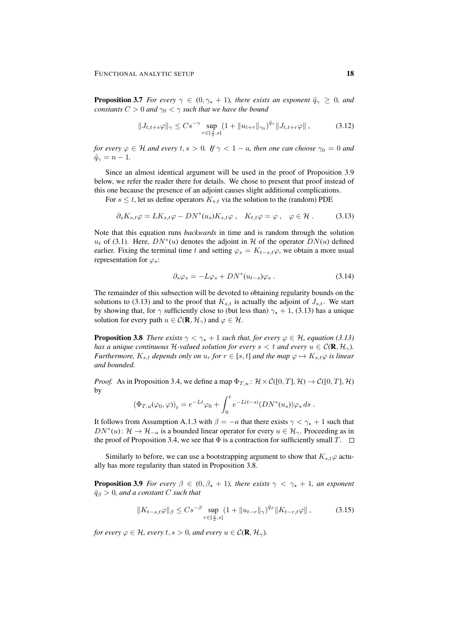**Proposition 3.7** *For every*  $\gamma \in (0, \gamma_* + 1)$ *, there exists an exponent*  $\tilde{q}_\gamma \geq 0$ *, and constants*  $C > 0$  *and*  $\gamma_0 < \gamma$  *such that we have the bound* 

$$
||J_{t,t+s}\varphi||_{\gamma} \leq Cs^{-\gamma} \sup_{r \in [\frac{s}{2},s]} (1+||u_{t+r}||_{\gamma_0})^{\tilde{q}_{\gamma}} ||J_{t,t+r}\varphi|| ,
$$
 (3.12)

*for every*  $\varphi \in \mathcal{H}$  *and every*  $t, s > 0$ *. If*  $\gamma < 1 - a$ *, then one can choose*  $\gamma_0 = 0$  *and*  $\tilde{q}_{\gamma} = n - 1.$ 

Since an almost identical argument will be used in the proof of Proposition 3.9 below, we refer the reader there for details. We chose to present that proof instead of this one because the presence of an adjoint causes slight additional complications.

For  $s \leq t$ , let us define operators  $K_{s,t}$  via the solution to the (random) PDE

$$
\partial_s K_{s,t} \varphi = L K_{s,t} \varphi - DN^*(u_s) K_{s,t} \varphi \,, \quad K_{t,t} \varphi = \varphi \,, \quad \varphi \in \mathcal{H} \,. \tag{3.13}
$$

Note that this equation runs *backwards* in time and is random through the solution  $u_t$  of (3.1). Here,  $DN^*(u)$  denotes the adjoint in H of the operator  $DN(u)$  defined earlier. Fixing the terminal time t and setting  $\varphi_s = K_{t-s,t} \varphi$ , we obtain a more usual representation for  $\varphi_s$ :

$$
\partial_s \varphi_s = -L\varphi_s + DN^*(u_{t-s})\varphi_s \,. \tag{3.14}
$$

The remainder of this subsection will be devoted to obtaining regularity bounds on the solutions to (3.13) and to the proof that  $K_{s,t}$  is actually the adjoint of  $J_{s,t}$ . We start by showing that, for  $\gamma$  sufficiently close to (but less than)  $\gamma_{\star} + 1$ , (3.13) has a unique solution for every path  $u \in \mathcal{C}(\mathbf{R}, \mathcal{H}_{\gamma})$  and  $\varphi \in \mathcal{H}$ .

**Proposition 3.8** *There exists*  $\gamma < \gamma_* + 1$  *such that, for every*  $\varphi \in \mathcal{H}$ *, equation* (3.13) *has a unique continuous* H-valued solution for every  $s < t$  and every  $u \in C(\mathbf{R}, \mathcal{H}_{\gamma})$ . *Furthermore,*  $K_{s,t}$  *depends only on*  $u_r$  *for*  $r \in [s,t]$  *and the map*  $\varphi \mapsto K_{s,t}\varphi$  *is linear and bounded.*

*Proof.* As in Proposition 3.4, we define a map  $\Phi_{T,u}$ :  $\mathcal{H} \times \mathcal{C}([0,T], \mathcal{H}) \to \mathcal{C}([0,T], \mathcal{H})$ by

$$
(\Phi_{T,u}(\varphi_0, \varphi))_t = e^{-Lt}\varphi_0 + \int_0^t e^{-L(t-s)}(DN^*(u_s))\varphi_s ds.
$$

It follows from Assumption A.1.3 with  $\beta = -a$  that there exists  $\gamma < \gamma_{*} + 1$  such that  $DN^*(u): \mathcal{H} \to \mathcal{H}_{-a}$  is a bounded linear operator for every  $u \in \mathcal{H}_{\gamma}$ . Proceeding as in the proof of Proposition 3.4, we see that  $\Phi$  is a contraction for sufficiently small T.  $\Box$ 

Similarly to before, we can use a bootstrapping argument to show that  $K_{s,t}\varphi$  actually has more regularity than stated in Proposition 3.8.

**Proposition 3.9** *For every*  $\beta \in (0, \beta_* + 1)$ *, there exists*  $\gamma < \gamma_* + 1$ *, an exponent*  $\bar{q}_\beta > 0$ , and a constant C such that

$$
||K_{t-s,t}\varphi||_{\beta} \le Cs^{-\beta} \sup_{r \in [\frac{s}{2},s]} (1+||u_{t-r}||_{\gamma})^{\bar{q}_{\beta}} ||K_{t-r,t}\varphi|| ,
$$
 (3.15)

*for every*  $\varphi \in \mathcal{H}$ *, every*  $t, s > 0$ *, and every*  $u \in \mathcal{C}(\mathbf{R}, \mathcal{H}_{\gamma})$ *.*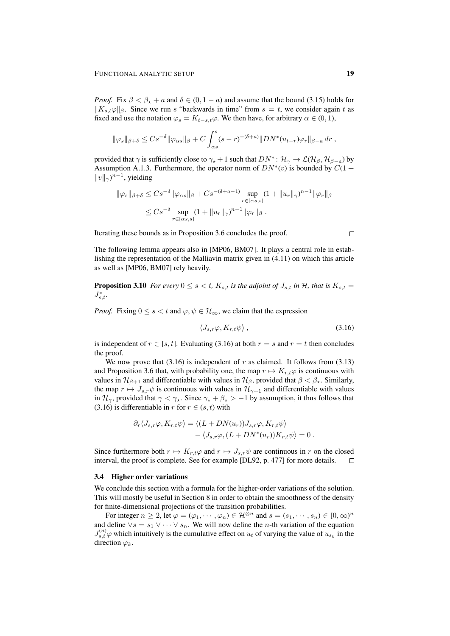*Proof.* Fix  $\beta < \beta_* + a$  and  $\delta \in (0, 1 - a)$  and assume that the bound (3.15) holds for  $||K_{s,t}\varphi||_{\beta}$ . Since we run s "backwards in time" from  $s = t$ , we consider again t as fixed and use the notation  $\varphi_s = K_{t-s,t} \varphi$ . We then have, for arbitrary  $\alpha \in (0,1)$ ,

$$
\|\varphi_s\|_{\beta+\delta} \leq Cs^{-\delta}\|\varphi_{\alpha s}\|_{\beta} + C \int_{\alpha s}^s (s-r)^{-(\delta+a)} \|DN^*(u_{t-r})\varphi_r\|_{\beta-a} dr,
$$

provided that  $\gamma$  is sufficiently close to  $\gamma_\star + 1$  such that  $DN^* \colon \mathcal{H}_{\gamma} \to \mathcal{L}(\mathcal{H}_{\beta}, \mathcal{H}_{\beta-a})$  by Assumption A.1.3. Furthermore, the operator norm of  $DN^*(v)$  is bounded by  $C(1 +$  $||v||_{\gamma}$ <sup>n-1</sup>, yielding

$$
\|\varphi_s\|_{\beta+\delta} \le Cs^{-\delta} \|\varphi_{\alpha s}\|_{\beta} + Cs^{-(\delta+a-1)} \sup_{r \in [\alpha s, s]} (1 + \|u_r\|_{\gamma})^{n-1} \|\varphi_r\|_{\beta}
$$
  

$$
\le Cs^{-\delta} \sup_{r \in [\alpha s, s]} (1 + \|u_r\|_{\gamma})^{n-1} \|\varphi_r\|_{\beta} .
$$

Iterating these bounds as in Proposition 3.6 concludes the proof.

The following lemma appears also in [MP06, BM07]. It plays a central role in establishing the representation of the Malliavin matrix given in (4.11) on which this article as well as [MP06, BM07] rely heavily.

**Proposition 3.10** *For every*  $0 \le s \le t$ ,  $K_{s,t}$  *is the adjoint of*  $J_{s,t}$  *in*  $H$ *, that is*  $K_{s,t}$  =  $J_{s,t}^*$ .

*Proof.* Fixing  $0 \le s < t$  and  $\varphi, \psi \in \mathcal{H}_{\infty}$ , we claim that the expression

$$
\langle J_{s,r}\varphi, K_{r,t}\psi \rangle \,, \tag{3.16}
$$

is independent of  $r \in [s, t]$ . Evaluating (3.16) at both  $r = s$  and  $r = t$  then concludes the proof.

We now prove that  $(3.16)$  is independent of r as claimed. It follows from  $(3.13)$ and Proposition 3.6 that, with probability one, the map  $r \mapsto K_{r,t} \varphi$  is continuous with values in  $\mathcal{H}_{\beta+1}$  and differentiable with values in  $\mathcal{H}_{\beta}$ , provided that  $\beta < \beta_{\star}$ . Similarly, the map  $r \mapsto J_{s,r}\psi$  is continuous with values in  $\mathcal{H}_{\gamma+1}$  and differentiable with values in  $\mathcal{H}_{\gamma}$ , provided that  $\gamma < \gamma_{*}$ . Since  $\gamma_{*} + \beta_{*} > -1$  by assumption, it thus follows that (3.16) is differentiable in r for  $r \in (s, t)$  with

$$
\partial_r \langle J_{s,r} \varphi, K_{r,t} \psi \rangle = \langle (L + DN(u_r)) J_{s,r} \varphi, K_{r,t} \psi \rangle - \langle J_{s,r} \varphi, (L + DN^*(u_r)) K_{r,t} \psi \rangle = 0.
$$

Since furthermore both  $r \mapsto K_{r,t}\varphi$  and  $r \mapsto J_{s,r}\psi$  are continuous in r on the closed interval, the proof is complete. See for example [DL92, p. 477] for more details.  $\Box$ 

#### 3.4 Higher order variations

We conclude this section with a formula for the higher-order variations of the solution. This will mostly be useful in Section 8 in order to obtain the smoothness of the density for finite-dimensional projections of the transition probabilities.

For integer  $n \ge 2$ , let  $\varphi = (\varphi_1, \dots, \varphi_n) \in \mathcal{H}^{\otimes n}$  and  $s = (s_1, \dots, s_n) \in [0, \infty)^n$ and define  $\vee s = s_1 \vee \cdots \vee s_n$ . We will now define the *n*-th variation of the equation  $J_{s,t}^{(n)}\varphi$  which intuitively is the cumulative effect on  $u_t$  of varying the value of  $u_{s_k}$  in the direction  $\varphi_k$ .

 $\Box$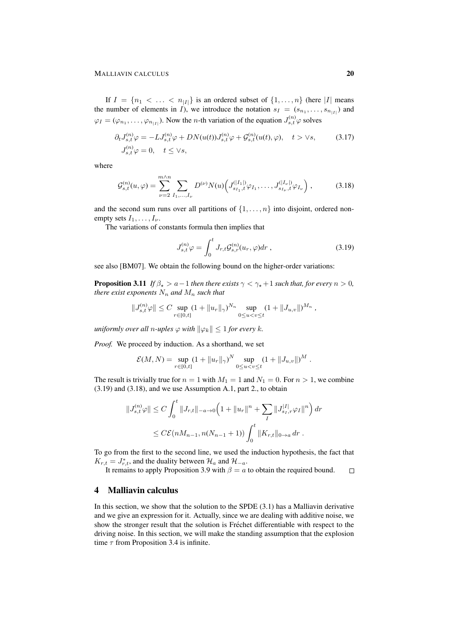If  $I = \{n_1 < \ldots < n_{|I|}\}\$ is an ordered subset of  $\{1, \ldots, n\}\$  (here |I| means the number of elements in I), we introduce the notation  $s_I = (s_{n_1}, \ldots, s_{n_{|I|}})$  and  $\varphi_I = (\varphi_{n_1}, \dots, \varphi_{n_{|I|}})$ . Now the *n*-th variation of the equation  $J_{s,t}^{(n)} \varphi$  solves

$$
\partial_t J_{s,t}^{(n)} \varphi = -L J_{s,t}^{(n)} \varphi + DN(u(t)) J_{s,t}^{(n)} \varphi + \mathcal{G}_{s,t}^{(n)} (u(t), \varphi), \quad t > \forall s,
$$
\n(3.17)  
\n
$$
J_{s,t}^{(n)} \varphi = 0, \quad t \le \forall s,
$$

where

$$
\mathcal{G}_{s,t}^{(n)}(u,\varphi) = \sum_{\nu=2}^{m \wedge n} \sum_{I_1,\dots,I_\nu} D^{(\nu)} N(u) \left( J_{s_{I_1},t}^{(|I_1|)} \varphi_{I_1},\dots,J_{s_{I_\nu},t}^{(|I_\nu|)} \varphi_{I_\nu} \right),\tag{3.18}
$$

and the second sum runs over all partitions of  $\{1, \ldots, n\}$  into disjoint, ordered nonempty sets  $I_1, \ldots, I_{\nu}$ .

The variations of constants formula then implies that

$$
J_{s,t}^{(n)}\varphi = \int_0^t J_{r,t}\mathcal{G}_{s,r}^{(n)}(u_r,\varphi)dr , \qquad (3.19)
$$

see also [BM07]. We obtain the following bound on the higher-order variations:

**Proposition 3.11** *If*  $\beta_{\star} > a - 1$  *then there exists*  $\gamma < \gamma_{\star} + 1$  *such that, for every*  $n > 0$ *, there exist exponents*  $N_n$  *and*  $M_n$  *such that* 

$$
||J_{s,t}^{(n)}\varphi|| \leq C \sup_{r \in [0,t]} (1+||u_r||_{\gamma})^{N_n} \sup_{0 \leq u < v \leq t} (1+||J_{u,v}||)^{M_n},
$$

*uniformly over all n-uples*  $\varphi$  *with*  $\|\varphi_k\| \leq 1$  *for every k.* 

*Proof.* We proceed by induction. As a shorthand, we set

$$
\mathcal{E}(M,N) = \sup_{r \in [0,t]} (1 + \|u_r\|_{\gamma})^N \sup_{0 \le u < v \le t} (1 + \|J_{u,v}\|)^M.
$$

The result is trivially true for  $n = 1$  with  $M_1 = 1$  and  $N_1 = 0$ . For  $n > 1$ , we combine (3.19) and (3.18), and we use Assumption A.1, part 2., to obtain

$$
||J_{s,t}^{(n)}\varphi|| \le C \int_0^t ||J_{r,t}||_{-a\to 0} \left(1 + ||u_r||^n + \sum_I ||J_{s_I,r}^{|I|}\varphi_I||^n\right) dr
$$
  

$$
\le C\mathcal{E}(nM_{n-1}, n(N_{n-1}+1)) \int_0^t ||K_{r,t}||_{0\to a} dr.
$$

To go from the first to the second line, we used the induction hypothesis, the fact that  $K_{r,t} = J_{r,t}^*$ , and the duality between  $\mathcal{H}_a$  and  $\mathcal{H}_{-a}$ .

It remains to apply Proposition 3.9 with  $\beta = a$  to obtain the required bound.  $\Box$ 

# 4 Malliavin calculus

In this section, we show that the solution to the SPDE (3.1) has a Malliavin derivative and we give an expression for it. Actually, since we are dealing with additive noise, we show the stronger result that the solution is Fréchet differentiable with respect to the driving noise. In this section, we will make the standing assumption that the explosion time  $\tau$  from Proposition 3.4 is infinite.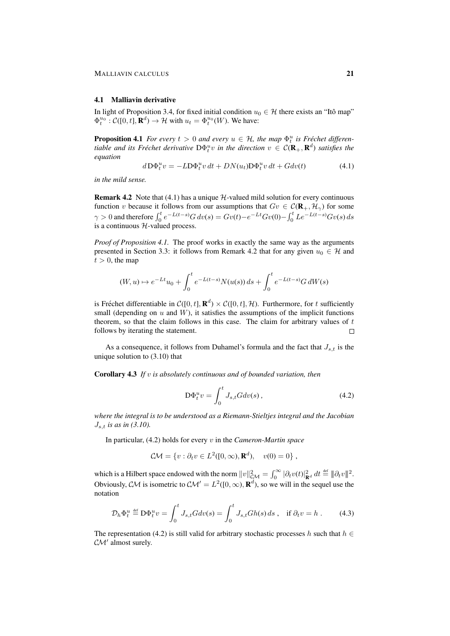#### 4.1 Malliavin derivative

In light of Proposition 3.4, for fixed initial condition  $u_0 \in \mathcal{H}$  there exists an "Itô map"  $\Phi_t^{u_0}$ :  $\mathcal{C}([0, t], \mathbf{R}^d) \to \mathcal{H}$  with  $u_t = \Phi_t^{u_0}(W)$ . We have:

**Proposition 4.1** *For every*  $t > 0$  *and every*  $u \in H$ *, the map*  $\Phi_t^u$  *is Fréchet differen*tiable and its Fréchet derivative  $D\Phi_t^uv$  in the direction  $v \in C(\mathbf{R}_+, \mathbf{R}^d)$  satisfies the *equation*

$$
d\mathbf{D}\Phi_t^u v = -L\mathbf{D}\Phi_t^u v \, dt + DN(u_t)\mathbf{D}\Phi_t^u v \, dt + Gdv(t) \tag{4.1}
$$

*in the mild sense.*

**Remark 4.2** Note that (4.1) has a unique  $H$ -valued mild solution for every continuous function v because it follows from our assumptions that  $Gv \in C(\mathbf{R}_+,\mathcal{H}_{\gamma})$  for some  $\gamma > 0$  and therefore  $\int_0^t e^{-L(t-s)} G dv(s) = Gv(t) - e^{-Lt} Gv(0) - \int_0^t L e^{-L(t-s)} Gv(s) ds$ is a continuous  $H$ -valued process.

*Proof of Proposition 4.1.* The proof works in exactly the same way as the arguments presented in Section 3.3: it follows from Remark 4.2 that for any given  $u_0 \in \mathcal{H}$  and  $t > 0$ , the map

$$
(W, u) \mapsto e^{-Lt}u_0 + \int_0^t e^{-L(t-s)} N(u(s)) ds + \int_0^t e^{-L(t-s)} G dW(s)
$$

is Fréchet differentiable in  $C([0, t], \mathbf{R}^d) \times C([0, t], \mathcal{H})$ . Furthermore, for t sufficiently small (depending on  $u$  and  $W$ ), it satisfies the assumptions of the implicit functions theorem, so that the claim follows in this case. The claim for arbitrary values of  $t$ follows by iterating the statement.  $\Box$ 

As a consequence, it follows from Duhamel's formula and the fact that  $J_{s,t}$  is the unique solution to (3.10) that

Corollary 4.3 *If* v *is absolutely continuous and of bounded variation, then*

$$
\mathcal{D}\Phi_t^u v = \int_0^t J_{s,t} G dv(s) , \qquad (4.2)
$$

*where the integral is to be understood as a Riemann-Stieltjes integral and the Jacobian*  $J_{s,t}$  *is as in (3.10).* 

In particular, (4.2) holds for every v in the *Cameron-Martin space*

$$
C\mathcal{M} = \{v : \partial_t v \in L^2([0,\infty), \mathbf{R}^d), \quad v(0) = 0\},\,
$$

which is a Hilbert space endowed with the norm  $||v||_{\mathcal{CM}}^2 = \int_0^\infty |\partial_t v(t)|_{\mathbf{R}^d}^2 dt \stackrel{\text{def}}{=} ||\partial_t v||^2$ . Obviously, CM is isometric to  $\mathcal{CM}' = L^2([0,\infty), \mathbf{R}^d)$ , so we will in the sequel use the notation

$$
\mathcal{D}_h \Phi_t^u \stackrel{\text{def}}{=} \mathbf{D} \Phi_t^u v = \int_0^t J_{s,t} G dv(s) = \int_0^t J_{s,t} G h(s) \, ds \;, \quad \text{if } \partial_t v = h \;. \tag{4.3}
$$

The representation (4.2) is still valid for arbitrary stochastic processes h such that  $h \in$  $CM'$  almost surely.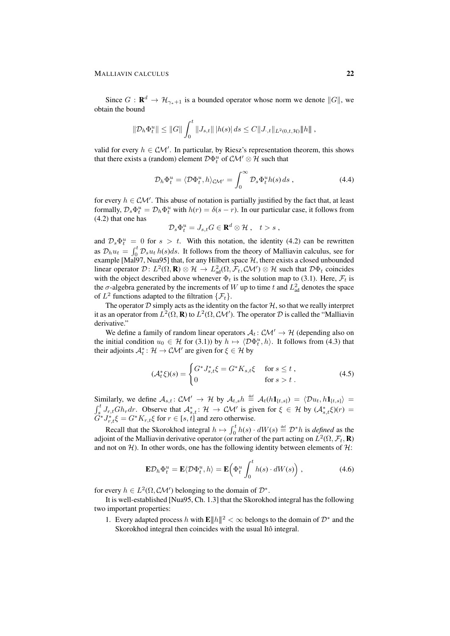Since  $G: \mathbf{R}^d \to \mathcal{H}_{\gamma_*+1}$  is a bounded operator whose norm we denote  $||G||$ , we obtain the bound

$$
\|\mathcal{D}_h\Phi_t^u\| \le \|G\| \int_0^t \|J_{s,t}\| |h(s)| ds \le C \|J_{\cdot,t}\|_{L^2(0,t,\mathcal{H})} \|h\|,
$$

valid for every  $h \in \mathcal{CM}'$ . In particular, by Riesz's representation theorem, this shows that there exists a (random) element  $\mathcal{D}\Phi_t^u$  of  $\mathcal{CM}' \otimes \mathcal{H}$  such that

$$
\mathcal{D}_h \Phi_t^u = \langle \mathcal{D} \Phi_t^u, h \rangle_{\mathcal{CM}'} = \int_0^\infty \mathcal{D}_s \Phi_t^u h(s) \, ds \,, \tag{4.4}
$$

for every  $h \in \mathcal{CM}'$ . This abuse of notation is partially justified by the fact that, at least formally,  $\mathcal{D}_s \Phi_t^u = \mathcal{D}_h \Phi_t^u$  with  $h(r) = \delta(s - r)$ . In our particular case, it follows from (4.2) that one has

$$
\mathcal{D}_s \Phi_t^u = J_{s,t} G \in \mathbf{R}^d \otimes \mathcal{H} , \quad t > s ,
$$

and  $\mathcal{D}_s \Phi_t^u = 0$  for  $s > t$ . With this notation, the identity (4.2) can be rewritten as  $\mathcal{D}_h u_t = \int_0^t \mathcal{D}_s u_t h(s) ds$ . It follows from the theory of Malliavin calculus, see for example [Mal97, Nua95] that, for any Hilbert space  $H$ , there exists a closed unbounded linear operator  $\mathcal{D}$ :  $L^2(\Omega, \mathbf{R}) \otimes \mathcal{H} \to L^2_{ad}(\Omega, \mathcal{F}_t, \mathcal{C}M') \otimes \mathcal{H}$  such that  $\mathcal{D}\Phi_t$  coincides with the object described above whenever  $\Phi_t$  is the solution map to (3.1). Here,  $\mathcal{F}_t$  is the  $\sigma$ -algebra generated by the increments of W up to time t and  $L^2_{ad}$  denotes the space of  $L^2$  functions adapted to the filtration  $\{\mathcal{F}_t\}.$ 

The operator  $D$  simply acts as the identity on the factor  $H$ , so that we really interpret it as an operator from  $L^2(\Omega, \mathbf{R})$  to  $L^2(\Omega, \mathcal{CM}')$ . The operator  $\mathcal D$  is called the "Malliavin derivative."

We define a family of random linear operators  $A_t: \mathcal{CM}' \to \mathcal{H}$  (depending also on the initial condition  $u_0 \in \mathcal{H}$  for (3.1)) by  $h \mapsto \langle \mathcal{D}\Phi_t^u, h \rangle$ . It follows from (4.3) that their adjoints  $\mathcal{A}_t^*$ :  $\mathcal{H} \to \mathcal{CM}'$  are given for  $\xi \in \mathcal{H}$  by

$$
(\mathcal{A}_t^*\xi)(s) = \begin{cases} G^* J_{s,t}^*\xi = G^* K_{s,t} \xi & \text{for } s \le t, \\ 0 & \text{for } s > t. \end{cases}
$$
 (4.5)

Similarly, we define  $A_{s,t}$ :  $\mathcal{CM}' \to \mathcal{H}$  by  $A_{t,s} h \stackrel{\text{def}}{=} A_t(h1_{[t,s]}) = \langle \mathcal{D} u_t, h1_{[t,s]} \rangle =$  $\int_s^t J_{r,t} G h_r dr$ . Observe that  $\mathcal{A}_{s,t}^* : \mathcal{H} \to \mathcal{CM}'$  is given for  $\xi \in \mathcal{H}$  by  $(\mathcal{A}_{s,t}^* \xi)(r) =$  $\widetilde{G}^*J_{r,t}^*\xi = G^*K_{r,t}\xi$  for  $r \in [s,t]$  and zero otherwise.

Recall that the Skorokhod integral  $h \mapsto \int_0^t h(s) \cdot dW(s) \stackrel{\text{def}}{=} \mathcal{D}^* h$  is *defined* as the adjoint of the Malliavin derivative operator (or rather of the part acting on  $L^2(\Omega, \mathcal{F}_t, \mathbf{R})$ and not on  $H$ ). In other words, one has the following identity between elements of  $H$ :

$$
\mathbf{E}\mathcal{D}_h \Phi_t^u = \mathbf{E}\langle \mathcal{D}\Phi_t^u, h \rangle = \mathbf{E}\left(\Phi_t^u \int_0^t h(s) \cdot dW(s)\right),\tag{4.6}
$$

for every  $h \in L^2(\Omega, \mathcal{CM}')$  belonging to the domain of  $\mathcal{D}^*$ .

It is well-established [Nua95, Ch. 1.3] that the Skorokhod integral has the following two important properties:

1. Every adapted process h with  $\mathbf{E} ||h||^2 < \infty$  belongs to the domain of  $\mathcal{D}^*$  and the Skorokhod integral then coincides with the usual Itô integral.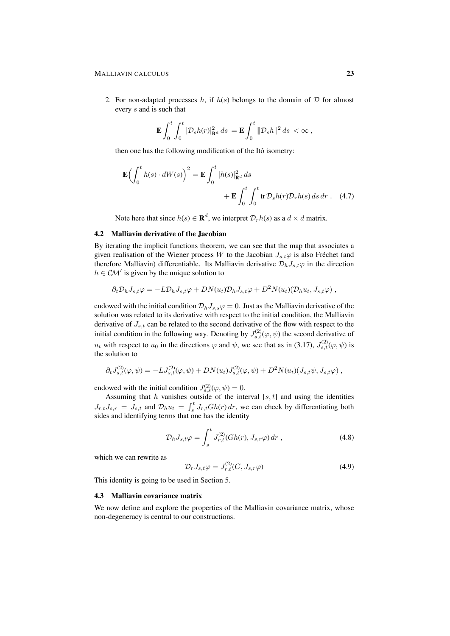#### MALLIAVIN CALCULUS 23

2. For non-adapted processes h, if  $h(s)$  belongs to the domain of  $D$  for almost every s and is such that

$$
\mathbf{E}\int_0^t\int_0^t |\mathcal{D}_s h(r)|_{\mathbf{R}^d}^2 ds = \mathbf{E}\int_0^t \| \mathcal{D}_s h \|^2 ds < \infty,
$$

then one has the following modification of the Itô isometry:

$$
\mathbf{E}\left(\int_0^t h(s) \cdot dW(s)\right)^2 = \mathbf{E} \int_0^t |h(s)|_{\mathbf{R}^d}^2 ds + \mathbf{E} \int_0^t \int_0^t \text{tr} \, \mathcal{D}_s h(r) \mathcal{D}_r h(s) \, ds \, dr \qquad (4.7)
$$

Note here that since  $h(s) \in \mathbf{R}^d$ , we interpret  $\mathcal{D}_r h(s)$  as a  $d \times d$  matrix.

### 4.2 Malliavin derivative of the Jacobian

By iterating the implicit functions theorem, we can see that the map that associates a given realisation of the Wiener process W to the Jacobian  $J_{s,t}\varphi$  is also Fréchet (and therefore Malliavin) differentiable. Its Malliavin derivative  $\mathcal{D}_h J_{s,t} \varphi$  in the direction  $h \in \mathcal{CM}'$  is given by the unique solution to

$$
\partial_t \mathcal{D}_h J_{s,t} \varphi = -L \mathcal{D}_h J_{s,t} \varphi + D N(u_t) \mathcal{D}_h J_{s,t} \varphi + D^2 N(u_t) (\mathcal{D}_h u_t, J_{s,t} \varphi) ,
$$

endowed with the initial condition  $\mathcal{D}_h J_{s,s} \varphi = 0$ . Just as the Malliavin derivative of the solution was related to its derivative with respect to the initial condition, the Malliavin derivative of  $J_{s,t}$  can be related to the second derivative of the flow with respect to the initial condition in the following way. Denoting by  $J_{s,t}^{(2)}(\varphi, \psi)$  the second derivative of  $u_t$  with respect to  $u_0$  in the directions  $\varphi$  and  $\psi$ , we see that as in (3.17),  $J_{s,t}^{(2)}(\varphi,\psi)$  is the solution to

$$
\partial_t J_{s,t}^{(2)}(\varphi,\psi) = -L J_{s,t}^{(2)}(\varphi,\psi) + DN(u_t)J_{s,t}^{(2)}(\varphi,\psi) + D^2N(u_t)(J_{s,t}\psi,J_{s,t}\varphi) ,
$$

endowed with the initial condition  $J_{s,s}^{(2)}(\varphi, \psi) = 0$ .

Assuming that h vanishes outside of the interval [s, t] and using the identities  $J_{r,t}J_{s,r} = J_{s,t}$  and  $\mathcal{D}_h u_t = \int_s^t J_{r,t} Gh(r) dr$ , we can check by differentiating both sides and identifying terms that one has the identity

$$
\mathcal{D}_h J_{s,t} \varphi = \int_s^t J_{r,t}^{(2)}(Gh(r), J_{s,r} \varphi) dr , \qquad (4.8)
$$

which we can rewrite as

$$
\mathcal{D}_r J_{s,t} \varphi = J_{r,t}^{(2)}(G, J_{s,r} \varphi)
$$
\n(4.9)

This identity is going to be used in Section 5.

#### 4.3 Malliavin covariance matrix

We now define and explore the properties of the Malliavin covariance matrix, whose non-degeneracy is central to our constructions.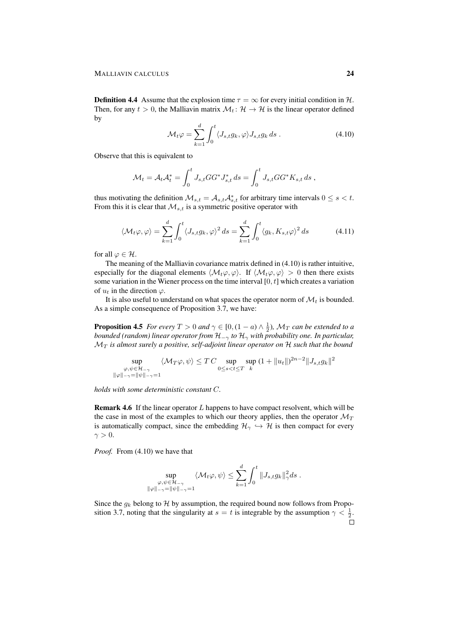**Definition 4.4** Assume that the explosion time  $\tau = \infty$  for every initial condition in H. Then, for any  $t > 0$ , the Malliavin matrix  $\mathcal{M}_t : \mathcal{H} \to \mathcal{H}$  is the linear operator defined by

$$
\mathcal{M}_t \varphi = \sum_{k=1}^d \int_0^t \langle J_{s,t} g_k, \varphi \rangle J_{s,t} g_k ds . \qquad (4.10)
$$

Observe that this is equivalent to

$$
\mathcal{M}_t = \mathcal{A}_t \mathcal{A}_t^* = \int_0^t J_{s,t} GG^* J_{s,t}^* ds = \int_0^t J_{s,t} GG^* K_{s,t} ds ,
$$

thus motivating the definition  $\mathcal{M}_{s,t} = \mathcal{A}_{s,t} \mathcal{A}_{s,t}^*$  for arbitrary time intervals  $0 \le s < t$ . From this it is clear that  $\mathcal{M}_{s,t}$  is a symmetric positive operator with

$$
\langle \mathcal{M}_t \varphi, \varphi \rangle = \sum_{k=1}^d \int_0^t \langle J_{s,t} g_k, \varphi \rangle^2 ds = \sum_{k=1}^d \int_0^t \langle g_k, K_{s,t} \varphi \rangle^2 ds \tag{4.11}
$$

for all  $\varphi \in \mathcal{H}$ .

The meaning of the Malliavin covariance matrix defined in (4.10) is rather intuitive, especially for the diagonal elements  $\langle \mathcal{M}_t\varphi, \varphi \rangle$ . If  $\langle \mathcal{M}_t\varphi, \varphi \rangle > 0$  then there exists some variation in the Wiener process on the time interval  $[0, t]$  which creates a variation of  $u_t$  in the direction  $\varphi$ .

It is also useful to understand on what spaces the operator norm of  $\mathcal{M}_t$  is bounded. As a simple consequence of Proposition 3.7, we have:

**Proposition 4.5** *For every*  $T > 0$  *and*  $\gamma \in [0, (1 - a) \wedge \frac{1}{2})$ ,  $\mathcal{M}_T$  *can be extended to a bounded (random) linear operator from*  $H_{-\gamma}$  *to*  $H_{\gamma}$  *with probability one. In particular,*  $\mathcal{M}_T$  *is almost surely a positive, self-adjoint linear operator on*  $\mathcal{H}$  *such that the bound* 

$$
\sup_{\substack{\varphi,\psi \in \mathcal{H}_{-\gamma} \\ \|\varphi\|_{-\gamma} = \|\psi\|_{-\gamma} = 1}} \langle \mathcal{M}_T \varphi, \psi \rangle \le T C \sup_{0 \le s < t \le T} \sup_{k} (1 + \|u_t\|)^{2n-2} \|J_{s,t} g_k\|^2
$$

*holds with some deterministic constant* C*.*

**Remark 4.6** If the linear operator  $L$  happens to have compact resolvent, which will be the case in most of the examples to which our theory applies, then the operator  $\mathcal{M}_T$ is automatically compact, since the embedding  $\mathcal{H}_{\gamma} \hookrightarrow \mathcal{H}$  is then compact for every  $\gamma > 0$ .

*Proof.* From (4.10) we have that

$$
\sup_{\substack{\varphi,\psi\in \mathcal{H}_{-\gamma}\\ \|\varphi\|_{-\gamma}=\|\psi\|_{-\gamma}=1}}\left\langle \mathcal{M}_t\varphi,\psi\right\rangle\leq \sum_{k=1}^d\int_0^t\|J_{s,t}g_k\|_{\gamma}^2ds\;.
$$

Since the  $g_k$  belong to H by assumption, the required bound now follows from Proposition 3.7, noting that the singularity at  $s = t$  is integrable by the assumption  $\gamma < \frac{1}{2}$ .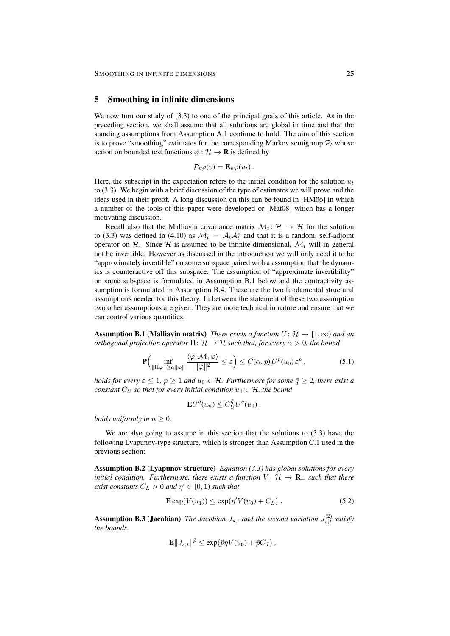### 5 Smoothing in infinite dimensions

We now turn our study of  $(3.3)$  to one of the principal goals of this article. As in the preceding section, we shall assume that all solutions are global in time and that the standing assumptions from Assumption A.1 continue to hold. The aim of this section is to prove "smoothing" estimates for the corresponding Markov semigroup  $P_t$  whose action on bounded test functions  $\varphi : \mathcal{H} \to \mathbf{R}$  is defined by

$$
\mathcal{P}_t\varphi(v)=\mathbf{E}_v\varphi(u_t)\ .
$$

Here, the subscript in the expectation refers to the initial condition for the solution  $u_t$ to (3.3). We begin with a brief discussion of the type of estimates we will prove and the ideas used in their proof. A long discussion on this can be found in [HM06] in which a number of the tools of this paper were developed or [Mat08] which has a longer motivating discussion.

Recall also that the Malliavin covariance matrix  $\mathcal{M}_t: \mathcal{H} \to \mathcal{H}$  for the solution to (3.3) was defined in (4.10) as  $\mathcal{M}_t = \mathcal{A}_t \mathcal{A}_t^*$  and that it is a random, self-adjoint operator on H. Since H is assumed to be infinite-dimensional,  $\mathcal{M}_t$  will in general not be invertible. However as discussed in the introduction we will only need it to be "approximately invertible" on some subspace paired with a assumption that the dynamics is counteractive off this subspace. The assumption of "approximate invertibility" on some subspace is formulated in Assumption B.1 below and the contractivity assumption is formulated in Assumption B.4. These are the two fundamental structural assumptions needed for this theory. In between the statement of these two assumption two other assumptions are given. They are more technical in nature and ensure that we can control various quantities.

**Assumption B.1 (Malliavin matrix)** *There exists a function*  $U: \mathcal{H} \to [1, \infty)$  *and an orthogonal projection operator*  $\Pi: \mathcal{H} \to \mathcal{H}$  *such that, for every*  $\alpha > 0$ *, the bound* 

$$
\mathbf{P}\Big(\inf_{\|\Pi\varphi\|\ge\alpha\|\varphi\|}\frac{\langle\varphi,\mathcal{M}_1\varphi\rangle}{\|\varphi\|^2}\le\varepsilon\Big)\le C(\alpha,p)\,U^p(u_0)\,\varepsilon^p\,,\tag{5.1}
$$

*holds for every*  $\varepsilon \leq 1$ ,  $p \geq 1$  *and*  $u_0 \in \mathcal{H}$ *. Furthermore for some*  $\bar{q} \geq 2$ *, there exist a constant*  $C_U$  *so that for every initial condition*  $u_0 \in \mathcal{H}$ *, the bound* 

$$
\mathbf{E}U^{\bar{q}}(u_n) \leq C_U^{\bar{q}}U^{\bar{q}}(u_0),
$$

*holds uniformly in*  $n \geq 0$ *.* 

We are also going to assume in this section that the solutions to (3.3) have the following Lyapunov-type structure, which is stronger than Assumption C.1 used in the previous section:

Assumption B.2 (Lyapunov structure) *Equation (3.3) has global solutions for every initial condition. Furthermore, there exists a function*  $V: \mathcal{H} \to \mathbf{R}_{+}$  *such that there exist constants*  $C_L > 0$  *and*  $\eta' \in [0, 1)$  *such that* 

$$
\mathbf{E} \exp(V(u_1)) \le \exp(\eta' V(u_0) + C_L) \,. \tag{5.2}
$$

**Assumption B.3 (Jacobian)** The Jacobian  $J_{s,t}$  and the second variation  $J_{s,t}^{(2)}$  satisfy *the bounds*

$$
\mathbf{E}||J_{s,t}||^{\bar{p}} \leq \exp(\bar{p}\eta V(u_0) + \bar{p}C_J),
$$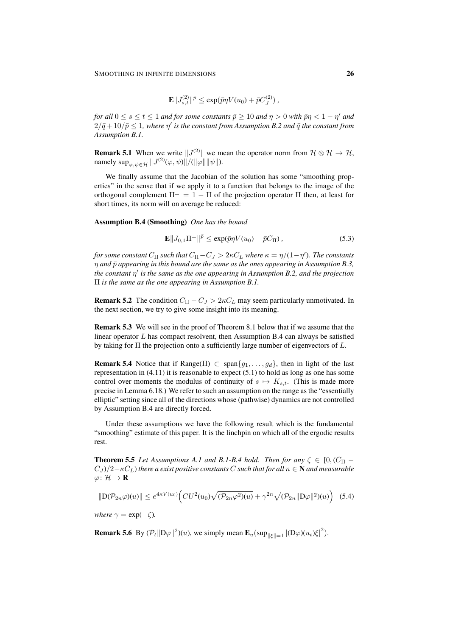$$
\mathbf{E}||J_{s,t}^{(2)}||^{\bar{p}} \le \exp(\bar{p}\eta V(u_0) + \bar{p}C_J^{(2)})\,,
$$

*for all*  $0 \le s \le t \le 1$  *and for some constants*  $\bar{p} \ge 10$  *and*  $\eta > 0$  *with*  $\bar{p}\eta < 1 - \eta'$  *and*  $2/\bar{q} + 10/\bar{p} \leq 1$ , where  $\eta'$  is the constant from Assumption B.2 and  $\bar{q}$  the constant from *Assumption B.1.*

**Remark 5.1** When we write  $||J^{(2)}||$  we mean the operator norm from  $\mathcal{H} \otimes \mathcal{H} \to \mathcal{H}$ , namely  $\sup_{\varphi,\psi\in\mathcal{H}}||J^{(2)}(\varphi,\psi)||/(||\varphi||||\psi||).$ 

We finally assume that the Jacobian of the solution has some "smoothing properties" in the sense that if we apply it to a function that belongs to the image of the orthogonal complement  $\Pi^{\perp} = 1 - \Pi$  of the projection operator  $\Pi$  then, at least for short times, its norm will on average be reduced:

Assumption B.4 (Smoothing) *One has the bound*

$$
\mathbf{E} \| J_{0,1} \Pi^{\perp} \|^{p} \le \exp(\bar{p}\eta V(u_0) - \bar{p}C_{\Pi}), \tag{5.3}
$$

for some constant  $C_{\Pi}$  such that  $C_{\Pi} - C_J > 2\kappa C_L$  where  $\kappa = \eta/(1-\eta')$ . The constants  $\eta$  and  $\bar{p}$  appearing in this bound are the same as the ones appearing in Assumption B.3, *the constant* η 0 *is the same as the one appearing in Assumption B.2, and the projection* Π *is the same as the one appearing in Assumption B.1.*

**Remark 5.2** The condition  $C_{\Pi} - C_J > 2\kappa C_L$  may seem particularly unmotivated. In the next section, we try to give some insight into its meaning.

Remark 5.3 We will see in the proof of Theorem 8.1 below that if we assume that the linear operator  $L$  has compact resolvent, then Assumption B.4 can always be satisfied by taking for  $\Pi$  the projection onto a sufficiently large number of eigenvectors of  $L$ .

**Remark 5.4** Notice that if Range( $\Pi$ )  $\subset$  span $\{g_1, \ldots, g_d\}$ , then in light of the last representation in  $(4.11)$  it is reasonable to expect  $(5.1)$  to hold as long as one has some control over moments the modulus of continuity of  $s \mapsto K_{s,t}$ . (This is made more precise in Lemma 6.18.) We refer to such an assumption on the range as the "essentially elliptic" setting since all of the directions whose (pathwise) dynamics are not controlled by Assumption B.4 are directly forced.

Under these assumptions we have the following result which is the fundamental "smoothing" estimate of this paper. It is the linchpin on which all of the ergodic results rest.

**Theorem 5.5** Let Assumptions A.1 and B.1-B.4 hold. Then for any  $\zeta \in [0, (C_{\Pi} (C_J)/2-\kappa C_L$ ) *there a exist positive constants* C *such that for all*  $n \in \mathbb{N}$  *and measurable*  $\varphi\colon\mathcal{H}\to\mathbf{R}$ 

$$
\|\mathcal{D}(\mathcal{P}_{2n}\varphi)(u)\| \le e^{4\kappa V(u_0)} \Big(CU^2(u_0)\sqrt{(\mathcal{P}_{2n}\varphi^2)(u)} + \gamma^{2n} \sqrt{(\mathcal{P}_{2n} \|\mathcal{D}\varphi\|^2)(u)}\Big) \tag{5.4}
$$

*where*  $\gamma = \exp(-\zeta)$ *.* 

**Remark 5.6** By  $(\mathcal{P}_t || D\varphi||^2)(u)$ , we simply mean  $\mathbf{E}_u(\sup_{||\xi||=1} |(D\varphi)(u_t)\xi|^2)$ .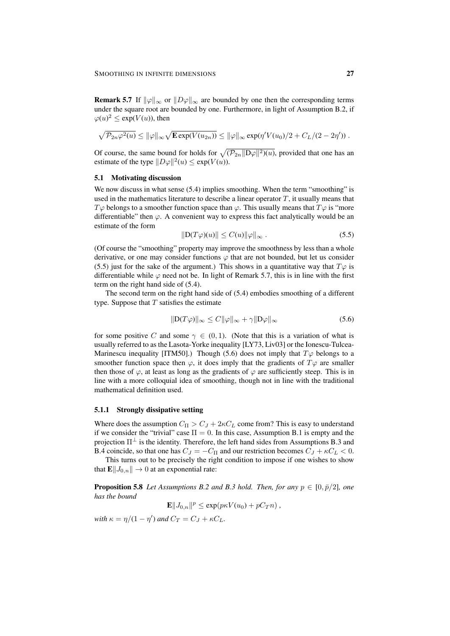**Remark 5.7** If  $\|\varphi\|_{\infty}$  or  $\|D\varphi\|_{\infty}$  are bounded by one then the corresponding terms under the square root are bounded by one. Furthermore, in light of Assumption B.2, if  $\varphi(u)^2 \le \exp(V(u))$ , then

$$
\sqrt{\mathcal{P}_{2n}\varphi^2(u)} \leq \|\varphi\|_{\infty} \sqrt{\mathbf{E} \exp(V(u_{2n}))} \leq \|\varphi\|_{\infty} \exp(\eta'V(u_0)/2 + C_L/(2-2\eta')).
$$

Of course, the same bound for holds for  $\sqrt{(\mathcal{P}_{2n}||D\varphi||^2)(u)}$ , provided that one has an estimate of the type  $||D\varphi||^2(u) \leq \exp(V(u))$ .

#### 5.1 Motivating discussion

We now discuss in what sense (5.4) implies smoothing. When the term "smoothing" is used in the mathematics literature to describe a linear operator  $T$ , it usually means that  $T\varphi$  belongs to a smoother function space than  $\varphi$ . This usually means that  $T\varphi$  is "more differentiable" then  $\varphi$ . A convenient way to express this fact analytically would be an estimate of the form

$$
||D(T\varphi)(u)|| \le C(u)||\varphi||_{\infty}.
$$
\n(5.5)

(Of course the "smoothing" property may improve the smoothness by less than a whole derivative, or one may consider functions  $\varphi$  that are not bounded, but let us consider (5.5) just for the sake of the argument.) This shows in a quantitative way that  $T\varphi$  is differentiable while  $\varphi$  need not be. In light of Remark 5.7, this is in line with the first term on the right hand side of (5.4).

The second term on the right hand side of (5.4) embodies smoothing of a different type. Suppose that  $T$  satisfies the estimate

$$
||D(T\varphi)||_{\infty} \le C||\varphi||_{\infty} + \gamma ||D\varphi||_{\infty}
$$
\n(5.6)

for some positive C and some  $\gamma \in (0,1)$ . (Note that this is a variation of what is usually referred to as the Lasota-Yorke inequality [LY73, Liv03] or the Ionescu-Tulcea-Marinescu inequality [ITM50].) Though (5.6) does not imply that  $T\varphi$  belongs to a smoother function space then  $\varphi$ , it does imply that the gradients of  $T\varphi$  are smaller then those of  $\varphi$ , at least as long as the gradients of  $\varphi$  are sufficiently steep. This is in line with a more colloquial idea of smoothing, though not in line with the traditional mathematical definition used.

#### 5.1.1 Strongly dissipative setting

Where does the assumption  $C_{\Pi} > C_J + 2\kappa C_L$  come from? This is easy to understand if we consider the "trivial" case  $\Pi = 0$ . In this case, Assumption B.1 is empty and the projection  $\Pi^{\perp}$  is the identity. Therefore, the left hand sides from Assumptions B.3 and B.4 coincide, so that one has  $C_J = -C_{\Pi}$  and our restriction becomes  $C_J + \kappa C_L < 0$ .

This turns out to be precisely the right condition to impose if one wishes to show that  $\mathbf{E}||J_{0,n}|| \to 0$  at an exponential rate:

**Proposition 5.8** Let Assumptions B.2 and B.3 hold. Then, for any  $p \in [0, \bar{p}/2]$ , one *has the bound*

 $\mathbf{E} \Vert J_{0,n} \Vert^{p} \leq \exp(p \kappa V(u_0) + pC_T n)$ ,

*with*  $\kappa = \eta/(1 - \eta')$  *and*  $C_T = C_J + \kappa C_L$ *.*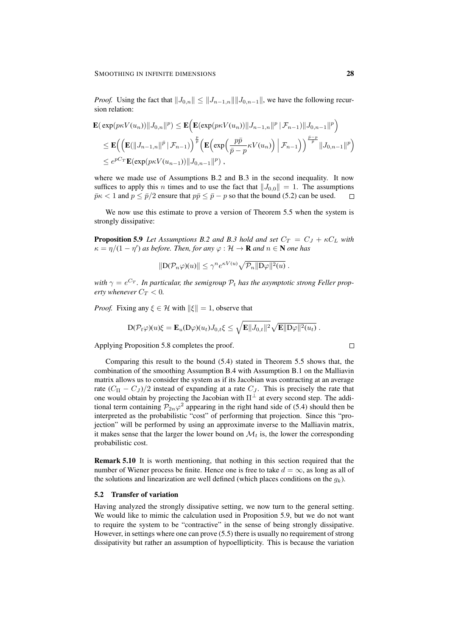*Proof.* Using the fact that  $||J_{0,n}|| \le ||J_{n-1,n}|| ||J_{0,n-1}||$ , we have the following recursion relation:

$$
\mathbf{E}(\exp(p\kappa V(u_n))||J_{0,n}||^p) \leq \mathbf{E}(\mathbf{E}(\exp(p\kappa V(u_n))||J_{n-1,n}||^p | \mathcal{F}_{n-1})||J_{0,n-1}||^p)
$$
  
\n
$$
\leq \mathbf{E}((\mathbf{E}(\|J_{n-1,n}\|^p | \mathcal{F}_{n-1}))^{\frac{p}{p}} (\mathbf{E}(\exp(\frac{p\bar{p}}{\bar{p}-p}\kappa V(u_n)) | \mathcal{F}_{n-1}))^{\frac{\bar{p}-p}{\bar{p}}} ||J_{0,n-1}||^p)
$$
  
\n
$$
\leq e^{pCr} \mathbf{E}(\exp(p\kappa V(u_{n-1})) ||J_{0,n-1}||^p),
$$

where we made use of Assumptions B.2 and B.3 in the second inequality. It now suffices to apply this *n* times and to use the fact that  $||J_{0,0}|| = 1$ . The assumptions  $\bar{p}\kappa < 1$  and  $p < \bar{p}/2$  ensure that  $p\bar{p} < \bar{p} - p$  so that the bound (5.2) can be used.  $\Box$ 

We now use this estimate to prove a version of Theorem 5.5 when the system is strongly dissipative:

**Proposition 5.9** Let Assumptions B.2 and B.3 hold and set  $C_T = C_J + \kappa C_L$  with  $\kappa = \eta/(1 - \eta')$  as before. Then, for any  $\varphi : \mathcal{H} \to \mathbf{R}$  and  $n \in \mathbf{N}$  one has

$$
||D(\mathcal{P}_n\varphi)(u)|| \leq \gamma^n e^{\kappa V(u)} \sqrt{\mathcal{P}_n ||D\varphi||^2(u)}.
$$

with  $\gamma = e^{C_T}$ . In particular, the semigroup  $\mathcal{P}_t$  has the asymptotic strong Feller prop*erty whenever*  $C_T < 0$ .

*Proof.* Fixing any  $\xi \in \mathcal{H}$  with  $\|\xi\| = 1$ , observe that

$$
D(\mathcal{P}_t\varphi)(u)\xi = \mathbf{E}_u(D\varphi)(u_t)J_{0,t}\xi \leq \sqrt{\mathbf{E}||J_{0,t}||^2}\sqrt{\mathbf{E}||D\varphi||^2(u_t)}.
$$

Applying Proposition 5.8 completes the proof.

Comparing this result to the bound (5.4) stated in Theorem 5.5 shows that, the combination of the smoothing Assumption B.4 with Assumption B.1 on the Malliavin matrix allows us to consider the system as if its Jacobian was contracting at an average rate  $(C_{\Pi} - C_J)/2$  instead of expanding at a rate  $C_J$ . This is precisely the rate that one would obtain by projecting the Jacobian with  $\Pi^{\perp}$  at every second step. The additional term containing  $\mathcal{P}_{2n}\varphi^2$  appearing in the right hand side of (5.4) should then be interpreted as the probabilistic "cost" of performing that projection. Since this "projection" will be performed by using an approximate inverse to the Malliavin matrix, it makes sense that the larger the lower bound on  $\mathcal{M}_t$  is, the lower the corresponding probabilistic cost.

Remark 5.10 It is worth mentioning, that nothing in this section required that the number of Wiener process be finite. Hence one is free to take  $d = \infty$ , as long as all of the solutions and linearization are well defined (which places conditions on the  $q_k$ ).

#### 5.2 Transfer of variation

Having analyzed the strongly dissipative setting, we now turn to the general setting. We would like to mimic the calculation used in Proposition 5.9, but we do not want to require the system to be "contractive" in the sense of being strongly dissipative. However, in settings where one can prove (5.5) there is usually no requirement of strong dissipativity but rather an assumption of hypoellipticity. This is because the variation

```
\Box
```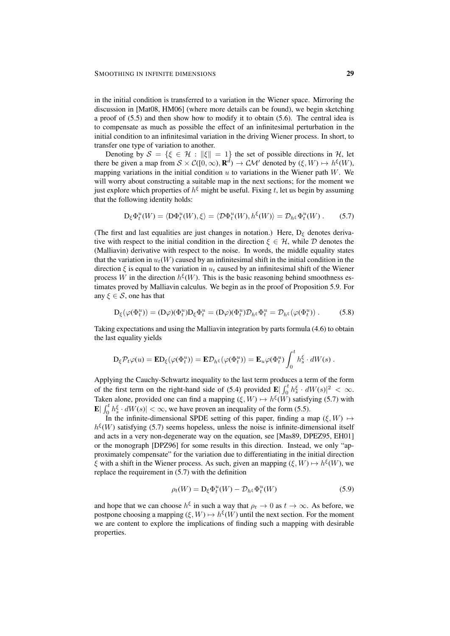in the initial condition is transferred to a variation in the Wiener space. Mirroring the discussion in [Mat08, HM06] (where more details can be found), we begin sketching a proof of (5.5) and then show how to modify it to obtain (5.6). The central idea is to compensate as much as possible the effect of an infinitesimal perturbation in the initial condition to an infinitesimal variation in the driving Wiener process. In short, to transfer one type of variation to another.

Denoting by  $S = \{ \xi \in \mathcal{H} : ||\xi|| = 1 \}$  the set of possible directions in H, let there be given a map from  $S \times C([0,\infty), \mathbf{R}^d) \to \mathcal{CM}'$  denoted by  $(\xi, W) \mapsto h^{\xi}(W)$ , mapping variations in the initial condition  $u$  to variations in the Wiener path  $W$ . We will worry about constructing a suitable map in the next sections; for the moment we just explore which properties of  $h^{\xi}$  might be useful. Fixing t, let us begin by assuming that the following identity holds:

$$
D_{\xi} \Phi_t^u(W) = \langle D\Phi_t^u(W), \xi \rangle = \langle D\Phi_t^u(W), h^{\xi}(W) \rangle = \mathcal{D}_{h^{\xi}} \Phi_t^u(W) . \tag{5.7}
$$

(The first and last equalities are just changes in notation.) Here,  $D_{\varepsilon}$  denotes derivative with respect to the initial condition in the direction  $\xi \in \mathcal{H}$ , while D denotes the (Malliavin) derivative with respect to the noise. In words, the middle equality states that the variation in  $u_t(W)$  caused by an infinitesimal shift in the initial condition in the direction  $\xi$  is equal to the variation in  $u_t$  caused by an infinitesimal shift of the Wiener process W in the direction  $h^{\xi}(W)$ . This is the basic reasoning behind smoothness estimates proved by Malliavin calculus. We begin as in the proof of Proposition 5.9. For any  $\xi \in \mathcal{S}$ , one has that

$$
D_{\xi}(\varphi(\Phi_t^u)) = (D\varphi)(\Phi_t^u)D_{\xi}\Phi_t^u = (D\varphi)(\Phi_t^u)\mathcal{D}_{h^{\xi}}\Phi_t^u = \mathcal{D}_{h^{\xi}}(\varphi(\Phi_t^u)).
$$
 (5.8)

Taking expectations and using the Malliavin integration by parts formula (4.6) to obtain the last equality yields

$$
D_{\xi} \mathcal{P}_{t} \varphi(u) = \mathbf{E} D_{\xi}(\varphi(\Phi_{t}^{u})) = \mathbf{E} \mathcal{D}_{h^{\xi}}(\varphi(\Phi_{t}^{u})) = \mathbf{E}_{u} \varphi(\Phi_{t}^{u}) \int_{0}^{t} h_{s}^{\xi} \cdot dW(s) .
$$

Applying the Cauchy-Schwartz inequality to the last term produces a term of the form of the first term on the right-hand side of (5.4) provided  $\mathbf{E} \left| \int_0^t h_s^{\xi} \cdot dW(s) \right|^2 < \infty$ . Taken alone, provided one can find a mapping  $(\xi, W) \mapsto h^{\xi}(W)$  satisfying (5.7) with  $\mathbf{E} \left| \int_0^t h_s^{\xi} \cdot dW(s) \right| < \infty$ , we have proven an inequality of the form (5.5).

In the infinite-dimensional SPDE setting of this paper, finding a map  $(\xi, W) \mapsto$  $h^{\xi}(W)$  satisfying (5.7) seems hopeless, unless the noise is infinite-dimensional itself and acts in a very non-degenerate way on the equation, see [Mas89, DPEZ95, EH01] or the monograph [DPZ96] for some results in this direction. Instead, we only "approximately compensate" for the variation due to differentiating in the initial direction  $\xi$  with a shift in the Wiener process. As such, given an mapping  $(\xi, W) \mapsto h^{\xi}(W)$ , we replace the requirement in (5.7) with the definition

$$
\rho_t(W) = D_{\xi} \Phi_t^u(W) - \mathcal{D}_{h^{\xi}} \Phi_t^u(W) \tag{5.9}
$$

and hope that we can choose  $h^{\xi}$  in such a way that  $\rho_t \to 0$  as  $t \to \infty$ . As before, we postpone choosing a mapping  $(\xi, W) \mapsto h^{\xi}(W)$  until the next section. For the moment we are content to explore the implications of finding such a mapping with desirable properties.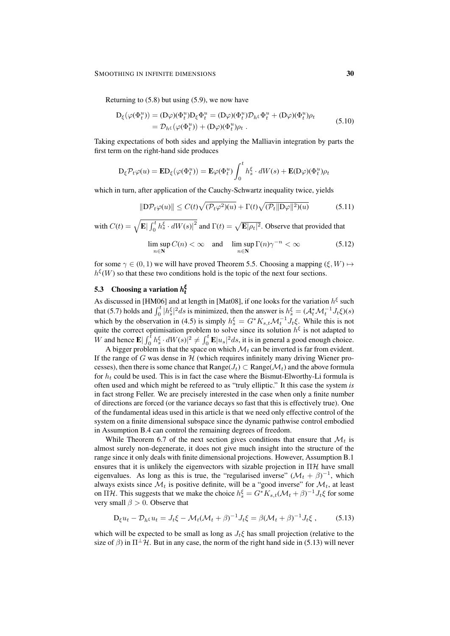#### SMOOTHING IN INFINITE DIMENSIONS 30

Returning to  $(5.8)$  but using  $(5.9)$ , we now have

$$
D_{\xi}(\varphi(\Phi_t^u)) = (D\varphi)(\Phi_t^u)D_{\xi}\Phi_t^u = (D\varphi)(\Phi_t^u)D_{h\xi}\Phi_t^u + (D\varphi)(\Phi_t^u)\rho_t
$$
  
=  $\mathcal{D}_{h\xi}(\varphi(\Phi_t^u)) + (D\varphi)(\Phi_t^u)\rho_t$ . (5.10)

Taking expectations of both sides and applying the Malliavin integration by parts the first term on the right-hand side produces

$$
D_{\xi} \mathcal{P}_{t} \varphi(u) = \mathbf{E} D_{\xi}(\varphi(\Phi_{t}^{u})) = \mathbf{E} \varphi(\Phi_{t}^{u}) \int_{0}^{t} h_{s}^{\xi} \cdot dW(s) + \mathbf{E}(D\varphi)(\Phi_{t}^{u}) \rho_{t}
$$

which in turn, after application of the Cauchy-Schwartz inequality twice, yields

$$
\|\mathcal{D}\mathcal{P}_t\varphi(u)\| \le C(t)\sqrt{(\mathcal{P}_t\varphi^2)(u)} + \Gamma(t)\sqrt{(\mathcal{P}_t\|\mathcal{D}\varphi\|^2)(u)}
$$
(5.11)

with  $C(t) = \sqrt{\mathbf{E} |\int_0^t h_s^{\xi} \cdot dW(s)|^2}$  and  $\Gamma(t) = \sqrt{\mathbf{E} |\rho_t|^2}$ . Observe that provided that

$$
\limsup_{n \in \mathbb{N}} C(n) < \infty \quad \text{and} \quad \limsup_{n \in \mathbb{N}} \Gamma(n) \gamma^{-n} < \infty \tag{5.12}
$$

for some  $\gamma \in (0, 1)$  we will have proved Theorem 5.5. Choosing a mapping  $(\xi, W) \mapsto$  $h^{\xi}(W)$  so that these two conditions hold is the topic of the next four sections.

# 5.3 Choosing a variation  $h_t^{\xi}$

As discussed in [HM06] and at length in [Mat08], if one looks for the variation  $h^{\xi}$  such that (5.7) holds and  $\int_0^t |h_s^{\xi}|^2 ds$  is minimized, then the answer is  $h_s^{\xi} = (A_t^* \mathcal{M}_t^{-1} J_t \xi)(s)$ which by the observation in (4.5) is simply  $h_s^{\xi} = G^* K_{s,t} \mathcal{M}_t^{-1} J_t \xi$ . While this is not quite the correct optimisation problem to solve since its solution  $h^{\xi}$  is not adapted to W and hence  $\mathbf{E} \left| \int_0^{\bar{t}} h_s^{\xi} \cdot dW(s) \right|^2 \neq \int_0^{\bar{t}} \mathbf{E} |u_s|^2 ds$ , it is in general a good enough choice.

A bigger problem is that the space on which  $\mathcal{M}_t$  can be inverted is far from evident. If the range of  $G$  was dense in  $H$  (which requires infinitely many driving Wiener processes), then there is some chance that  $Range(J_t) \subset Range(\mathcal{M}_t)$  and the above formula for  $h_t$  could be used. This is in fact the case where the Bismut-Elworthy-Li formula is often used and which might be refereed to as "truly elliptic." It this case the system *is* in fact strong Feller. We are precisely interested in the case when only a finite number of directions are forced (or the variance decays so fast that this is effectively true). One of the fundamental ideas used in this article is that we need only effective control of the system on a finite dimensional subspace since the dynamic pathwise control embodied in Assumption B.4 can control the remaining degrees of freedom.

While Theorem 6.7 of the next section gives conditions that ensure that  $\mathcal{M}_t$  is almost surely non-degenerate, it does not give much insight into the structure of the range since it only deals with finite dimensional projections. However, Assumption B.1 ensures that it is unlikely the eigenvectors with sizable projection in  $\Pi\mathcal{H}$  have small eigenvalues. As long as this is true, the "regularised inverse"  $(M_t + \beta)^{-1}$ , which always exists since  $\mathcal{M}_t$  is positive definite, will be a "good inverse" for  $\mathcal{M}_t$ , at least on  $\Pi\mathcal{H}$ . This suggests that we make the choice  $h_s^{\xi} = G^*K_{s,t}(\mathcal{M}_t + \beta)^{-1}J_t\xi$  for some very small  $\beta > 0$ . Observe that

$$
D_{\xi}u_t - \mathcal{D}_{h^{\xi}}u_t = J_t\xi - \mathcal{M}_t(\mathcal{M}_t + \beta)^{-1}J_t\xi = \beta(\mathcal{M}_t + \beta)^{-1}J_t\xi, \qquad (5.13)
$$

which will be expected to be small as long as  $J_t\xi$  has small projection (relative to the size of  $\beta$ ) in  $\Pi^{\perp}H$ . But in any case, the norm of the right hand side in (5.13) will never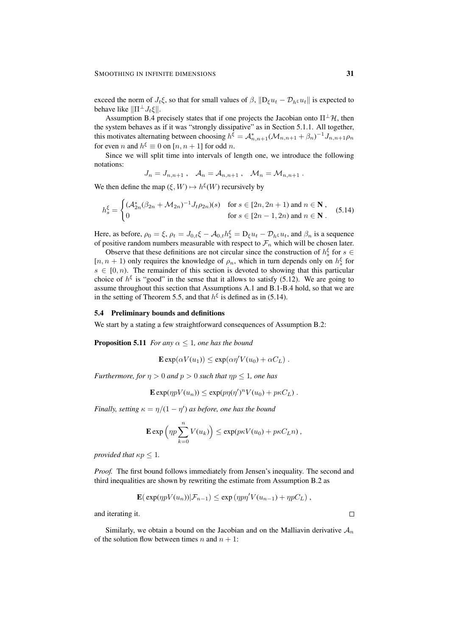exceed the norm of  $J_t \xi$ , so that for small values of  $\beta$ ,  $\|\mathbf{D}_{\xi} u_t - \mathcal{D}_{h\xi} u_t\|$  is expected to behave like  $\|\Pi^{\perp}J_t\xi\|.$ 

Assumption B.4 precisely states that if one projects the Jacobian onto  $\Pi^{\perp} \mathcal{H}$ , then the system behaves as if it was "strongly dissipative" as in Section 5.1.1. All together, this motivates alternating between choosing  $h^{\xi} = A_{n,n+1}^* (\mathcal{M}_{n,n+1} + \beta_n)^{-1} J_{n,n+1} \rho_n$ for even *n* and  $h^{\xi} \equiv 0$  on [*n*, *n* + 1] for odd *n*.

Since we will split time into intervals of length one, we introduce the following notations:

$$
J_n = J_{n,n+1} , \quad A_n = A_{n,n+1} , \quad \mathcal{M}_n = \mathcal{M}_{n,n+1} .
$$

We then define the map  $(\xi, W) \mapsto h^{\xi}(W)$  recursively by

$$
h_s^{\xi} = \begin{cases} (\mathcal{A}_{2n}^*(\beta_{2n} + \mathcal{M}_{2n})^{-1} J_t \rho_{2n})(s) & \text{for } s \in [2n, 2n+1) \text{ and } n \in \mathbf{N}, \\ 0 & \text{for } s \in [2n-1, 2n) \text{ and } n \in \mathbf{N}. \end{cases}
$$
(5.14)

Here, as before,  $\rho_0 = \xi$ ,  $\rho_t = J_{0,t}\xi - \mathcal{A}_{0,t}h_s^{\xi} = D_{\xi}u_t - \mathcal{D}_{h^{\xi}}u_t$ , and  $\beta_n$  is a sequence of positive random numbers measurable with respect to  $\mathcal{F}_n$  which will be chosen later.

Observe that these definitions are not circular since the construction of  $h_s^{\xi}$  for  $s \in$  $[n, n + 1)$  only requires the knowledge of  $\rho_n$ , which in turn depends only on  $h_s^{\xi}$  for  $s \in [0, n)$ . The remainder of this section is devoted to showing that this particular choice of  $h^{\xi}$  is "good" in the sense that it allows to satisfy (5.12). We are going to assume throughout this section that Assumptions A.1 and B.1-B.4 hold, so that we are in the setting of Theorem 5.5, and that  $h^{\xi}$  is defined as in (5.14).

#### 5.4 Preliminary bounds and definitions

We start by a stating a few straightforward consequences of Assumption B.2:

**Proposition 5.11** *For any*  $\alpha \leq 1$ *, one has the bound* 

$$
\mathbf{E} \exp(\alpha V(u_1)) \le \exp(\alpha \eta' V(u_0) + \alpha C_L) .
$$

*Furthermore, for*  $\eta > 0$  *and*  $p > 0$  *such that*  $\eta p \leq 1$ *, one has* 

$$
\mathbf{E} \exp(\eta p V(u_n)) \leq \exp(p \eta(\eta')^n V(u_0) + p \kappa C_L) .
$$

*Finally, setting*  $\kappa = \eta/(1 - \eta')$  *as before, one has the bound* 

$$
\mathbf{E} \exp \left( \eta p \sum_{k=0}^n V(u_k) \right) \leq \exp(p \kappa V(u_0) + p \kappa C_L n) ,
$$

*provided that*  $\kappa p \leq 1$ *.* 

*Proof.* The first bound follows immediately from Jensen's inequality. The second and third inequalities are shown by rewriting the estimate from Assumption B.2 as

$$
\mathbf{E}(\exp(\eta pV(u_n))|\mathcal{F}_{n-1}) \leq \exp(\eta p\eta'V(u_{n-1}) + \eta pC_L),
$$

and iterating it.

Similarly, we obtain a bound on the Jacobian and on the Malliavin derivative  $A_n$ of the solution flow between times n and  $n + 1$ :

 $\Box$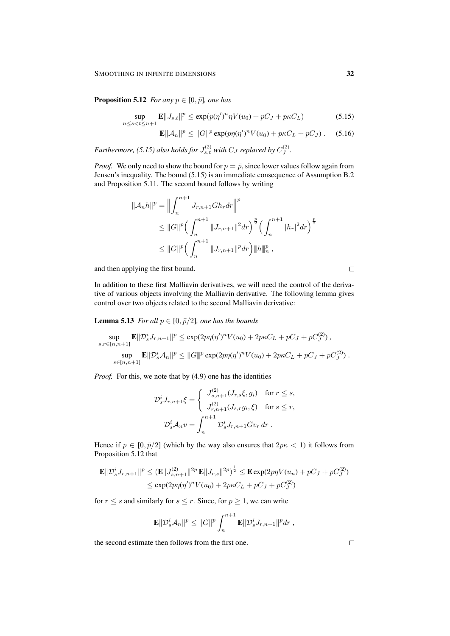**Proposition 5.12** *For any*  $p \in [0, \bar{p}]$ *, one has* 

$$
\sup_{n \le s < t \le n+1} \mathbf{E} \| J_{s,t} \|^p \le \exp(p(\eta')^n \eta V(u_0) + pC_J + p\kappa C_L) \tag{5.15}
$$

$$
\mathbf{E}||\mathcal{A}_n||^p \le ||G||^p \exp(p\eta(\eta')^n V(u_0) + p\kappa C_L + pC_J). \quad (5.16)
$$

Furthermore, (5.15) also holds for  $J_{s,t}^{(2)}$  with  $C_J$  replaced by  $C_J^{(2)}$ .

*Proof.* We only need to show the bound for  $p = \overline{p}$ , since lower values follow again from Jensen's inequality. The bound (5.15) is an immediate consequence of Assumption B.2 and Proposition 5.11. The second bound follows by writing

$$
\|\mathcal{A}_{n}h\|^{p} = \Big\|\int_{n}^{n+1} J_{r,n+1}Gh_{r}dr\Big\|^{p}
$$
  
\n
$$
\leq \|G\|^{p} \Big(\int_{n}^{n+1} \|J_{r,n+1}\|^{2} dr\Big)^{\frac{p}{2}} \Big(\int_{n}^{n+1} |h_{r}|^{2} dr\Big)^{\frac{p}{2}}
$$
  
\n
$$
\leq \|G\|^{p} \Big(\int_{n}^{n+1} \|J_{r,n+1}\|^{p} dr\Big) \|h\|_{n}^{p},
$$

and then applying the first bound.

In addition to these first Malliavin derivatives, we will need the control of the derivative of various objects involving the Malliavin derivative. The following lemma gives control over two objects related to the second Malliavin derivative:

**Lemma 5.13** *For all*  $p \in [0, \bar{p}/2]$ *, one has the bounds* 

$$
\sup_{s,r \in [n,n+1]} \mathbf{E} \|\mathcal{D}_s^i J_{r,n+1}\|^p \le \exp(2p\eta(\eta')^n V(u_0) + 2p\kappa C_L + pC_J + pC_J^{(2)}),
$$
  

$$
\sup_{s \in [n,n+1]} \mathbf{E} \|\mathcal{D}_s^i \mathcal{A}_n\|^p \le \|G\|^p \exp(2p\eta(\eta')^n V(u_0) + 2p\kappa C_L + pC_J + pC_J^{(2)}) .
$$

*Proof.* For this, we note that by (4.9) one has the identities

$$
\mathcal{D}_s^i J_{r,n+1} \xi = \begin{cases}\nJ_{s,n+1}^{(2)}(J_{r,s} \xi, g_i) & \text{for } r \le s, \\
J_{r,n+1}^{(2)}(J_{s,r} g_i, \xi) & \text{for } s \le r,\n\end{cases}
$$
\n
$$
\mathcal{D}_s^i \mathcal{A}_n v = \int_n^{n+1} \mathcal{D}_s^i J_{r,n+1} G v_r \, dr \ .
$$

Hence if  $p \in [0, \bar{p}/2]$  (which by the way also ensures that  $2p\kappa < 1$ ) it follows from Proposition 5.12 that

$$
\mathbf{E} \|\mathcal{D}_s^i J_{r,n+1}\|^p \leq (\mathbf{E} \|J_{s,n+1}^{(2)}\|^2 p \mathbf{E} \|J_{r,s}\|^2 p)^{\frac{1}{2}} \leq \mathbf{E} \exp(2p\eta V(u_n) + pC_J + pC_J^{(2)})
$$
  

$$
\leq \exp(2p\eta(\eta')^n V(u_0) + 2p\kappa C_L + pC_J + pC_J^{(2)})
$$

for  $r \leq s$  and similarly for  $s \leq r$ . Since, for  $p \geq 1$ , we can write

$$
\mathbf{E} \|\mathcal{D}_s^i \mathcal{A}_n\|^p \leq \|G\|^p \int_n^{n+1} \mathbf{E} \|\mathcal{D}_s^i J_{r,n+1}\|^p dr ,
$$

the second estimate then follows from the first one.

 $\Box$ 

 $\Box$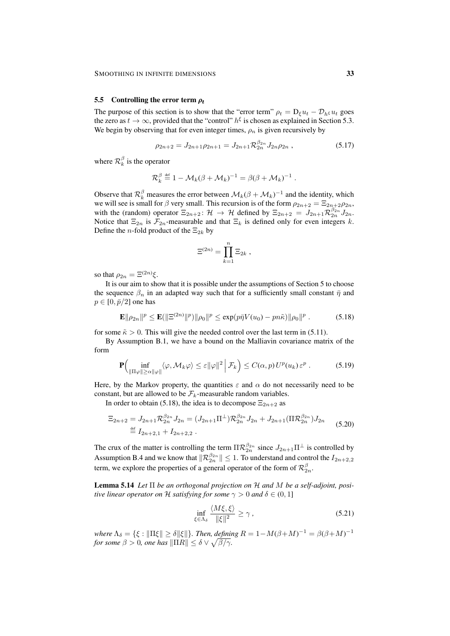#### 5.5 Controlling the error term  $\rho_t$

The purpose of this section is to show that the "error term"  $\rho_t = D_\xi u_t - D_{h\xi} u_t$  goes the zero as  $t \to \infty$ , provided that the "control"  $h^{\xi}$  is chosen as explained in Section 5.3. We begin by observing that for even integer times,  $\rho_n$  is given recursively by

$$
\rho_{2n+2} = J_{2n+1}\rho_{2n+1} = J_{2n+1}\mathcal{R}_{2n}^{\beta_{2n}}J_{2n}\rho_{2n} ,\qquad (5.17)
$$

where  $\mathcal{R}_k^{\beta}$  is the operator

$$
\mathcal{R}_k^{\beta} \stackrel{\text{def}}{=} 1 - \mathcal{M}_k(\beta + \mathcal{M}_k)^{-1} = \beta(\beta + \mathcal{M}_k)^{-1}.
$$

Observe that  $\mathcal{R}_k^{\beta}$  measures the error between  $\mathcal{M}_k(\beta + \mathcal{M}_k)^{-1}$  and the identity, which we will see is small for  $\beta$  very small. This recursion is of the form  $\rho_{2n+2} = \Xi_{2n+2}\rho_{2n}$ , with the (random) operator  $\Xi_{2n+2}$ :  $\mathcal{H} \to \mathcal{H}$  defined by  $\Xi_{2n+2} = J_{2n+1} \mathcal{R}_{2n}^{\beta_{2n}} J_{2n}$ . Notice that  $\Xi_{2n}$  is  $\mathcal{F}_{2n}$ -measurable and that  $\Xi_k$  is defined only for even integers k. Define the *n*-fold product of the  $\Xi_{2k}$  by

$$
\Xi^{(2n)} = \prod_{k=1}^n \Xi_{2k} ,
$$

so that  $\rho_{2n} = \Xi^{(2n)}\xi$ .

It is our aim to show that it is possible under the assumptions of Section 5 to choose the sequence  $\beta_n$  in an adapted way such that for a sufficiently small constant  $\bar{\eta}$  and  $p \in [0, \bar{p}/2]$  one has

$$
\mathbf{E} \|\rho_{2n}\|^p \le \mathbf{E}(\|\Xi^{(2n)}\|^p) \|\rho_0\|^p \le \exp(p\bar{\eta}V(u_0) - pn\tilde{\kappa}) \|\rho_0\|^p. \tag{5.18}
$$

for some  $\tilde{\kappa} > 0$ . This will give the needed control over the last term in (5.11).

By Assumption B.1, we have a bound on the Malliavin covariance matrix of the form

$$
\mathbf{P}\Big(\inf_{\|\Pi\varphi\|\ge\alpha\|\varphi\|}\langle\varphi,\mathcal{M}_k\varphi\rangle\le\varepsilon\|\varphi\|^2\,\Big|\,\mathcal{F}_k\Big)\le C(\alpha,p)\,U^p(u_k)\,\varepsilon^p\;.\tag{5.19}
$$

Here, by the Markov property, the quantities  $\varepsilon$  and  $\alpha$  do not necessarily need to be constant, but are allowed to be  $\mathcal{F}_k$ -measurable random variables.

In order to obtain (5.18), the idea is to decompose  $\Xi_{2n+2}$  as

$$
\Xi_{2n+2} = J_{2n+1} \mathcal{R}_{2n}^{\beta_{2n}} J_{2n} = (J_{2n+1} \Pi^{\perp}) \mathcal{R}_{2n}^{\beta_{2n}} J_{2n} + J_{2n+1} (\Pi \mathcal{R}_{2n}^{\beta_{2n}}) J_{2n}
$$
\n
$$
\stackrel{\text{def}}{=} I_{2n+2,1} + I_{2n+2,2} .
$$
\n(5.20)

The crux of the matter is controlling the term  $\Pi \mathcal{R}_{2n}^{\beta_{2n}}$  since  $J_{2n+1} \Pi^{\perp}$  is controlled by Assumption B.4 and we know that  $\|\mathcal{R}_{2n}^{\beta_{2n}}\| \leq 1$ . To understand and control the  $I_{2n+2,2}$ term, we explore the properties of a general operator of the form of  $\mathcal{R}^{\beta}_{2n}$ .

Lemma 5.14 *Let* Π *be an orthogonal projection on* H *and* M *be a self-adjoint, positive linear operator on*  $H$  *satisfying for some*  $\gamma > 0$  *and*  $\delta \in (0, 1]$ 

$$
\inf_{\xi \in \Lambda_{\delta}} \frac{\langle M\xi, \xi \rangle}{\|\xi\|^2} \ge \gamma \,, \tag{5.21}
$$

 $\omega$ *where*  $\Lambda_{\delta} = \{\xi : \|\Pi \xi\| \geq \delta \|\xi\|\}$ . Then, defining  $R = 1 - M(\beta + M)^{-1} = \beta(\beta + M)^{-1}$ *for some*  $\beta > 0$ *, one has*  $\|\Pi R\| \le \delta \vee \sqrt{\beta / \gamma}$ .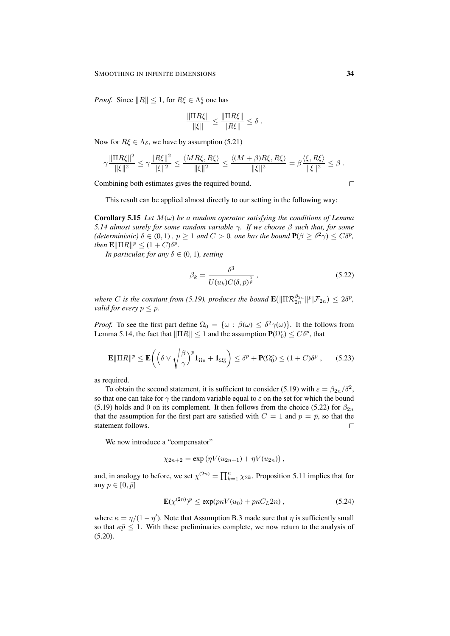*Proof.* Since  $||R|| \leq 1$ , for  $R\xi \in \Lambda_{\delta}^c$  one has

$$
\frac{\|\Pi R\xi\|}{\|\xi\|} \le \frac{\|\Pi R\xi\|}{\|R\xi\|} \le \delta.
$$

Now for  $R\xi \in \Lambda_{\delta}$ , we have by assumption (5.21)

$$
\gamma \frac{\|\Pi R \xi\|^2}{\|\xi\|^2} \leq \gamma \frac{\|R \xi\|^2}{\|\xi\|^2} \leq \frac{\langle MR \xi, R \xi\rangle}{\|\xi\|^2} \leq \frac{\langle (M+\beta)R \xi, R \xi\rangle}{\|\xi\|^2} = \beta \frac{\langle \xi, R \xi\rangle}{\|\xi\|^2} \leq \beta.
$$

Combining both estimates gives the required bound.

 $\Box$ 

This result can be applied almost directly to our setting in the following way:

**Corollary 5.15** *Let*  $M(\omega)$  *be a random operator satisfying the conditions of Lemma 5.14 almost surely for some random variable* γ*. If we choose* β *such that, for some (deterministic)*  $\delta \in (0,1)$ ,  $p \ge 1$  *and*  $C > 0$ , *one has the bound*  $P(\beta \ge \delta^2 \gamma) \le C\delta^p$ , *then*  $\mathbf{E} \|\Pi R\|^p \leq (1+C)\delta^p$ *.* 

*In particular, for any*  $\delta \in (0, 1)$ *, setting* 

$$
\beta_k = \frac{\delta^3}{U(u_k)C(\delta, \bar{p})^{\frac{1}{\bar{p}}}}\,,\tag{5.22}
$$

where C is the constant from (5.19), produces the bound  $\mathbf{E}(\|\Pi \mathcal{R}_{2n}^{\beta_{2n}}\|^p | \mathcal{F}_{2n}) \leq 2\delta^p$ , *valid for every*  $p \leq \bar{p}$ .

*Proof.* To see the first part define  $\Omega_0 = {\omega : \beta(\omega) \leq \delta^2 \gamma(\omega)}$ . It the follows from Lemma 5.14, the fact that  $\|\Pi R\| \leq 1$  and the assumption  $\mathbf{P}(\Omega_0^c) \leq C\delta^p$ , that

$$
\mathbf{E} \|\Pi R\|^p \le \mathbf{E} \bigg( \Big( \delta \vee \sqrt{\frac{\beta}{\gamma}} \Big)^p \mathbf{1}_{\Omega_0} + \mathbf{1}_{\Omega_0^c} \bigg) \le \delta^p + \mathbf{P}(\Omega_0^c) \le (1+C)\delta^p ,\qquad(5.23)
$$

as required.

To obtain the second statement, it is sufficient to consider (5.19) with  $\varepsilon = \beta_{2n}/\delta^2$ , so that one can take for  $\gamma$  the random variable equal to  $\varepsilon$  on the set for which the bound (5.19) holds and 0 on its complement. It then follows from the choice (5.22) for  $\beta_{2n}$ that the assumption for the first part are satisfied with  $C = 1$  and  $p = \bar{p}$ , so that the statement follows.  $\Box$ 

We now introduce a "compensator"

$$
\chi_{2n+2} = \exp(\eta V(u_{2n+1}) + \eta V(u_{2n})) ,
$$

and, in analogy to before, we set  $\chi^{(2n)} = \prod_{k=1}^{n} \chi_{2k}$ . Proposition 5.11 implies that for any  $p \in [0, \bar{p}]$ 

$$
\mathbf{E}(\chi^{(2n)})^p \le \exp(p\kappa V(u_0) + p\kappa C_L 2n), \qquad (5.24)
$$

where  $\kappa = \eta/(1 - \eta')$ . Note that Assumption B.3 made sure that  $\eta$  is sufficiently small so that  $\kappa \bar{p} \leq 1$ . With these preliminaries complete, we now return to the analysis of  $(5.20).$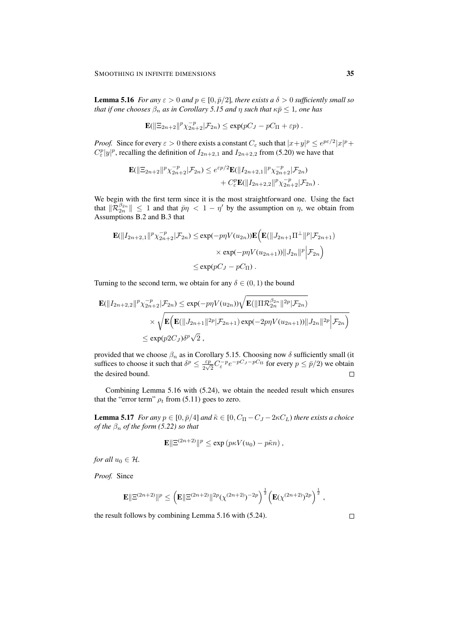**Lemma 5.16** *For any*  $\varepsilon > 0$  *and*  $p \in [0, \bar{p}/2]$ *, there exists a*  $\delta > 0$  *sufficiently small so that if one chooses*  $\beta_n$  *as in Corollary 5.15 and*  $\eta$  *such that*  $\kappa \bar{p} \leq 1$ *, one has* 

$$
\mathbf{E}(\|\Xi_{2n+2}\|^p \chi_{2n+2}^{-p}|\mathcal{F}_{2n}) \le \exp(pC_J - pC_{\Pi} + \varepsilon p).
$$

*Proof.* Since for every  $\varepsilon > 0$  there exists a constant  $C_{\varepsilon}$  such that  $|x+y|^p \le e^{p\varepsilon/2}|x|^p +$  $C_{\varepsilon}^p |y|^p$ , recalling the definition of  $I_{2n+2,1}$  and  $I_{2n+2,2}$  from (5.20) we have that

$$
\mathbf{E}(\|\Xi_{2n+2}\|^p \chi_{2n+2}^{-p}|\mathcal{F}_{2n}) \leq e^{\varepsilon p/2} \mathbf{E}(\|I_{2n+2,1}\|^p \chi_{2n+2}^{-p}|\mathcal{F}_{2n}) \n+ C_{\varepsilon}^p \mathbf{E}(\|I_{2n+2,2}\|^p \chi_{2n+2}^{-p}|\mathcal{F}_{2n}).
$$

We begin with the first term since it is the most straightforward one. Using the fact that  $\|\mathcal{R}_{2n}^{\beta_{2n}}\| \leq 1$  and that  $\bar{p}\eta < 1 - \eta'$  by the assumption on  $\eta$ , we obtain from Assumptions B.2 and B.3 that

$$
\mathbf{E}(\|I_{2n+2,1}\|^p \chi_{2n+2}^{-p}|\mathcal{F}_{2n}) \le \exp(-p\eta V(u_{2n})) \mathbf{E}\Big(\mathbf{E}(\|J_{2n+1}\Pi^{\perp}\|^p|\mathcal{F}_{2n+1})\Big) \times \exp(-p\eta V(u_{2n+1})) \|J_{2n}\|^p \Big|\mathcal{F}_{2n}\Big) \le \exp(pC_J - pC_{\Pi}).
$$

Turning to the second term, we obtain for any  $\delta \in (0,1)$  the bound

$$
\mathbf{E}(\|I_{2n+2,2}\|^p \chi_{2n+2}^{-p}|\mathcal{F}_{2n}) \le \exp(-p\eta V(u_{2n})) \sqrt{\mathbf{E}(\|\Pi \mathcal{R}_{2n}^{\beta_{2n}}\|^{2p}|\mathcal{F}_{2n})}
$$
  
\$\times \sqrt{\mathbf{E}\Big(\mathbf{E}(\|J\_{2n+1}\|^{2p}|\mathcal{F}\_{2n+1})\exp(-2p\eta V(u\_{2n+1}))\|J\_{2n}\|^{2p}|\mathcal{F}\_{2n}\Big)\$} \$< \exp(p2C\_J)\delta^p\sqrt{2} ,

provided that we choose  $\beta_n$  as in Corollary 5.15. Choosing now  $\delta$  sufficiently small (it suffices to choose it such that  $\delta^p \leq \frac{\varepsilon p}{2\sqrt{n}}$  $\frac{\varepsilon p}{2\sqrt{2}} C_{\varepsilon}^{-p} e^{-pC_J - pC_{\Pi}}$  for every  $p \le \bar{p}/2$ ) we obtain the desired bound.  $\Box$ 

Combining Lemma 5.16 with (5.24), we obtain the needed result which ensures that the "error term"  $\rho_t$  from (5.11) goes to zero.

**Lemma 5.17** *For any*  $p \in [0, \bar{p}/4]$  *and*  $\tilde{\kappa} \in [0, C_{\Pi} - C_J - 2\kappa C_L)$  *there exists a choice of the*  $\beta_n$  *of the form* (5.22) *so that* 

$$
\mathbf{E} \|\Xi^{(2n+2)}\|^p \le \exp\left(p\kappa V(u_0) - p\tilde{\kappa}n\right),\,
$$

*for all*  $u_0 \in \mathcal{H}$ *.* 

*Proof.* Since

$$
\mathbf{E} \|\Xi^{(2n+2)}\|^p \leq \left(\mathbf{E} \|\Xi^{(2n+2)}\|^{2p} (\chi^{(2n+2)})^{-2p}\right)^{\frac{1}{2}} \left(\mathbf{E}(\chi^{(2n+2)})^{2p}\right)^{\frac{1}{2}},
$$

the result follows by combining Lemma 5.16 with (5.24).

 $\Box$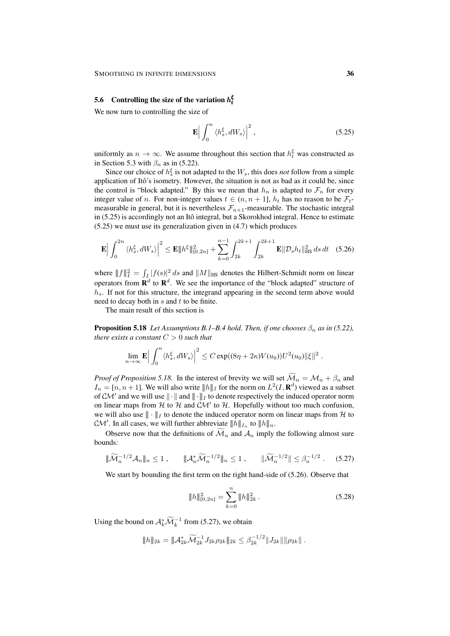# **5.6** Controlling the size of the variation  $h_t^{\xi}$

We now turn to controlling the size of

$$
\mathbf{E}\Big|\int_0^n \langle h_s^{\xi}, dW_s \rangle \Big|^2 , \qquad (5.25)
$$

uniformly as  $n \to \infty$ . We assume throughout this section that  $h_t^{\xi}$  was constructed as in Section 5.3 with  $\beta_n$  as in (5.22).

Since our choice of  $h_s^{\xi}$  is not adapted to the  $W_s$ , this does *not* follow from a simple application of Itô's isometry. However, the situation is not as bad as it could be, since the control is "block adapted." By this we mean that  $h_n$  is adapted to  $\mathcal{F}_n$  for every integer value of *n*. For non-integer values  $t \in (n, n + 1]$ ,  $h_t$  has no reason to be  $\mathcal{F}_t$ measurable in general, but it is nevertheless  $\mathcal{F}_{n+1}$ -measurable. The stochastic integral in  $(5.25)$  is accordingly not an Itô integral, but a Skorokhod integral. Hence to estimate (5.25) we must use its generalization given in (4.7) which produces

$$
\mathbf{E} \Big| \int_0^{2n} \langle h_s^{\xi}, dW_s \rangle \Big|^2 \le \mathbf{E} \| h^{\xi} \|_{[0,2n]}^2 + \sum_{k=0}^{n-1} \int_{2k}^{2k+1} \int_{2k}^{2k+1} \mathbf{E} \| \mathcal{D}_s h_t \|_{\text{HS}}^2 ds \, dt \quad (5.26)
$$

where  $||f||_I^2 = \int_I |f(s)|^2 ds$  and  $||M||_{HS}$  denotes the Hilbert-Schmidt norm on linear operators from  $\mathbf{R}^d$  to  $\mathbf{R}^d$ . We see the importance of the "block adapted" structure of  $h_s$ . If not for this structure, the integrand appearing in the second term above would need to decay both in  $s$  and  $t$  to be finite.

The main result of this section is

**Proposition 5.18** *Let Assumptions B.1–B.4 hold. Then, if one chooses*  $\beta_n$  *as in (5.22), there exists a constant* C > 0 *such that*

$$
\lim_{n\to\infty} \mathbf{E} \Big| \int_0^n \langle h_s^{\xi}, dW_s \rangle \Big|^2 \leq C \exp((8\eta + 2\kappa)V(u_0))U^2(u_0) \|\xi\|^2.
$$

*Proof of Proposition 5.18.* In the interest of brevity we will set  $\widetilde{\mathcal{M}}_n = \mathcal{M}_n + \beta_n$  and  $I_n = [n, n+1]$ . We will also write  $||h||_I$  for the norm on  $L^2(I, \mathbf{R}^d)$  viewed as a subset of  $\mathcal{CM}'$  and we will use  $\|\cdot\|$  and  $\|\cdot\|_I$  to denote respectively the induced operator norm on linear maps from  $H$  to  $H$  and  $CM'$  to  $H$ . Hopefully without too much confusion, we will also use  $\|\cdot\|_I$  to denote the induced operator norm on linear maps from H to  $\mathcal{CM}'$ . In all cases, we will further abbreviate  $||h||_{I_n}$  to  $||h||_{n}$ .

Observe now that the definitions of  $\widetilde{\mathcal{M}}_n$  and  $\mathcal{A}_n$  imply the following almost sure bounds:

$$
\|\widetilde{\mathcal{M}}_n^{-1/2}\mathcal{A}_n\|_n \le 1, \qquad \|\mathcal{A}_n^*\widetilde{\mathcal{M}}_n^{-1/2}\|_n \le 1, \qquad \|\widetilde{\mathcal{M}}_n^{-1/2}\| \le \beta_n^{-1/2}. \tag{5.27}
$$

We start by bounding the first term on the right hand-side of (5.26). Observe that

$$
\|h\|_{[0,2n]}^2 = \sum_{k=0}^n \|h\|_{2k}^2.
$$
 (5.28)

Using the bound on  $\mathcal{A}_k^* \widetilde{\mathcal{M}}_k^{-1}$  from (5.27), we obtain

$$
||h||_{2k} = ||A_{2k}^* \widetilde{\mathcal{M}}_{2k}^{-1} J_{2k} \rho_{2k}||_{2k} \leq \beta_{2k}^{-1/2} ||J_{2k}|| ||\rho_{2k}||.
$$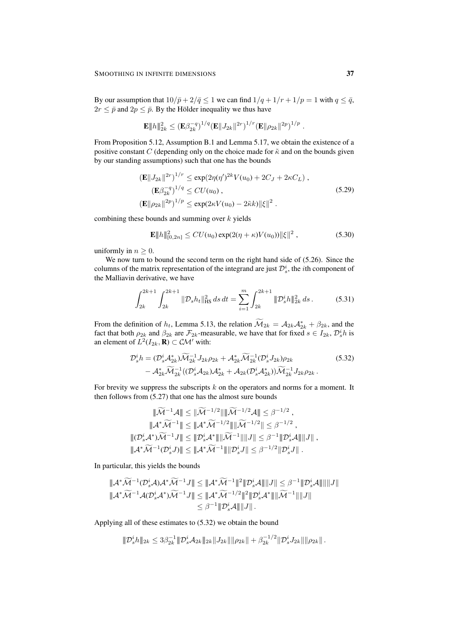By our assumption that  $10/\bar{p} + 2/\bar{q} \leq 1$  we can find  $1/q + 1/r + 1/p = 1$  with  $q \leq \bar{q}$ ,  $2r \leq \bar{p}$  and  $2p \leq \bar{p}$ . By the Hölder inequality we thus have

$$
\mathbf{E} ||h||_{2k}^2 \leq (\mathbf{E}\beta_{2k}^{-q})^{1/q} (\mathbf{E} ||J_{2k}||^{2r})^{1/r} (\mathbf{E} ||\rho_{2k}||^{2p})^{1/p}.
$$

From Proposition 5.12, Assumption B.1 and Lemma 5.17, we obtain the existence of a positive constant C (depending only on the choice made for  $\tilde{\kappa}$  and on the bounds given by our standing assumptions) such that one has the bounds

$$
\begin{aligned} \left(\mathbf{E}||J_{2k}||^{2r}\right)^{1/r} &\leq \exp(2\eta(\eta')^{2k}V(u_0) + 2C_J + 2\kappa C_L) \;,\\ \left(\mathbf{E}\beta_{2k}^{-q}\right)^{1/q} &\leq CU(u_0) \;,\\ \left(\mathbf{E}||\rho_{2k}||^{2p}\right)^{1/p} &\leq \exp(2\kappa V(u_0) - 2\tilde{\kappa}k) ||\xi||^2 \;. \end{aligned} \tag{5.29}
$$

combining these bounds and summing over  $k$  yields

$$
\mathbf{E} \|h\|_{[0,2n]}^2 \leq CU(u_0) \exp(2(\eta + \kappa)V(u_0)) \|\xi\|^2 , \qquad (5.30)
$$

uniformly in  $n \geq 0$ .

We now turn to bound the second term on the right hand side of  $(5.26)$ . Since the columns of the matrix representation of the integrand are just  $\mathcal{D}_s^i$ , the *i*th component of the Malliavin derivative, we have

$$
\int_{2k}^{2k+1} \int_{2k}^{2k+1} \| \mathcal{D}_s h_t \|_{\text{HS}}^2 ds \, dt = \sum_{i=1}^m \int_{2k}^{2k+1} \| \mathcal{D}_s^i h \|_{2k}^2 \, ds \,. \tag{5.31}
$$

From the definition of  $h_t$ , Lemma 5.13, the relation  $\widetilde{\mathcal{M}}_{2k} = \mathcal{A}_{2k}\mathcal{A}_{2k}^* + \beta_{2k}$ , and the fact that both  $\rho_{2k}$  and  $\beta_{2k}$  are  $\mathcal{F}_{2k}$ -measurable, we have that for fixed  $s \in I_{2k}, \mathcal{D}_s^i h$  is an element of  $L^2(I_{2k}, \mathbf{R}) \subset \mathcal{CM}'$  with:

$$
\mathcal{D}_s^i h = (\mathcal{D}_s^i \mathcal{A}_{2k}^*) \widetilde{\mathcal{M}}_{2k}^{-1} J_{2k} \rho_{2k} + \mathcal{A}_{2k}^* \widetilde{\mathcal{M}}_{2k}^{-1} (\mathcal{D}_s^i J_{2k}) \rho_{2k} - \mathcal{A}_{2k}^* \widetilde{\mathcal{M}}_{2k}^{-1} ((\mathcal{D}_s^i \mathcal{A}_{2k}) \mathcal{A}_{2k}^* + \mathcal{A}_{2k} (\mathcal{D}_s^i \mathcal{A}_{2k}^*)) \widetilde{\mathcal{M}}_{2k}^{-1} J_{2k} \rho_{2k}.
$$
\n(5.32)

For brevity we suppress the subscripts  $k$  on the operators and norms for a moment. It then follows from (5.27) that one has the almost sure bounds

$$
\|\widetilde{\mathcal{M}}^{-1}\mathcal{A}\| \le \|\widetilde{\mathcal{M}}^{-1/2}\| \|\widetilde{\mathcal{M}}^{-1/2}\mathcal{A}\| \le \beta^{-1/2} ,
$$
  

$$
\|\mathcal{A}^*\widetilde{\mathcal{M}}^{-1}\| \le \|\mathcal{A}^*\widetilde{\mathcal{M}}^{-1/2}\| \|\widetilde{\mathcal{M}}^{-1/2}\| \le \beta^{-1/2} ,
$$
  

$$
\|(\mathcal{D}_s^i \mathcal{A}^*)\widetilde{\mathcal{M}}^{-1}J\| \le \|\mathcal{D}_s^i \mathcal{A}^*\| \|\widetilde{\mathcal{M}}^{-1}\| \|J\| \le \beta^{-1} \|\mathcal{D}_s^i \mathcal{A}\| \|J\| ,
$$
  

$$
\|\mathcal{A}^*\widetilde{\mathcal{M}}^{-1}(\mathcal{D}_s^i J)\| \le \|\mathcal{A}^*\widetilde{\mathcal{M}}^{-1}\| \|\mathcal{D}_s^i J\| \le \beta^{-1/2} \|\mathcal{D}_s^i J\| .
$$

In particular, this yields the bounds

$$
\|\mathcal{A}^*\widetilde{\mathcal{M}}^{-1}(\mathcal{D}_s^i\mathcal{A})\mathcal{A}^*\widetilde{\mathcal{M}}^{-1}J\| \le \|\mathcal{A}^*\widetilde{\mathcal{M}}^{-1}\|^2 \|\mathcal{D}_s^i\mathcal{A}\| \|J\| \le \beta^{-1} \|\mathcal{D}_s^i\mathcal{A}\| \|J\| \|\mathcal{A}^*\widetilde{\mathcal{M}}^{-1}\mathcal{A}(\mathcal{D}_s^i\mathcal{A}^*)\widetilde{\mathcal{M}}^{-1}J\| \le \|\mathcal{A}^*\widetilde{\mathcal{M}}^{-1/2}\|^2 \|\mathcal{D}_s^i\mathcal{A}^*\| \|\widetilde{\mathcal{M}}^{-1}\| \|J\| \le \beta^{-1} \|\mathcal{D}_s^i\mathcal{A}\| \|J\|.
$$

Applying all of these estimates to (5.32) we obtain the bound

$$
\|\mathcal{D}_s^i h\|_{2k} \leq 3\beta_{2k}^{-1} \|\mathcal{D}_s^i \mathcal{A}_{2k}\|_{2k} \|J_{2k}\| \|\rho_{2k}\| + \beta_{2k}^{-1/2} \|\mathcal{D}_s^i J_{2k}\| \|\rho_{2k}\|.
$$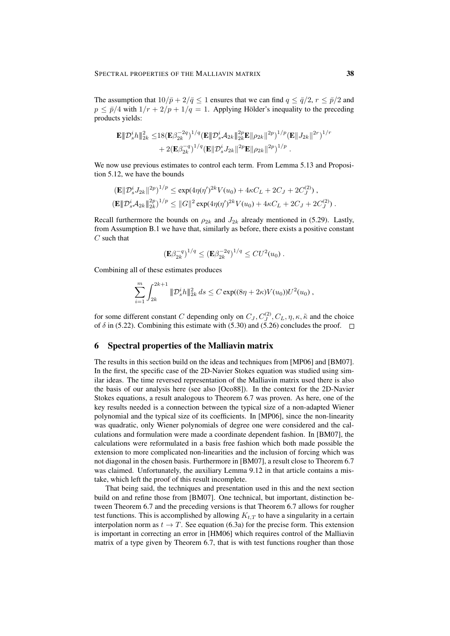The assumption that  $10/\bar{p} + 2/\bar{q} \leq 1$  ensures that we can find  $q \leq \bar{q}/2$ ,  $r \leq \bar{p}/2$  and  $p \leq \bar{p}/4$  with  $1/r + 2/p + 1/q = 1$ . Applying Hölder's inequality to the preceding products yields:

$$
\mathbf{E} \|\mathcal{D}_s^i h\|_{2k}^2 \leq 18 (\mathbf{E} \beta_{2k}^{-2q})^{1/q} (\mathbf{E} \|\mathcal{D}_s^i \mathcal{A}_{2k}\|_{2k}^{2p} \mathbf{E} \|\rho_{2k}\|^{2p})^{1/p} (\mathbf{E} \|J_{2k}\|^{2r})^{1/r} + 2 (\mathbf{E} \beta_{2k}^{-q})^{1/q} (\mathbf{E} \|\mathcal{D}_s^i J_{2k}\|^{2p} \mathbf{E} \|\rho_{2k}\|^{2p})^{1/p} .
$$

We now use previous estimates to control each term. From Lemma 5.13 and Proposition 5.12, we have the bounds

$$
\begin{aligned} \left(\mathbf{E} \|\mathcal{D}_s^i J_{2k}\|^{2p}\right)^{1/p} &\leq \exp(4\eta(\eta')^{2k} V(u_0) + 4\kappa C_L + 2C_J + 2C_J^{(2)}) \,,\\ \left(\mathbf{E} \|\mathcal{D}_s^i \mathcal{A}_{2k}\|_{2k}^{2p}\right)^{1/p} &\leq \|G\|^2 \exp(4\eta(\eta')^{2k} V(u_0) + 4\kappa C_L + 2C_J + 2C_J^{(2)}) \,. \end{aligned}
$$

Recall furthermore the bounds on  $\rho_{2k}$  and  $J_{2k}$  already mentioned in (5.29). Lastly, from Assumption B.1 we have that, similarly as before, there exists a positive constant  $C$  such that

$$
(\mathbf{E}\beta_{2k}^{-q})^{1/q} \leq (\mathbf{E}\beta_{2k}^{-2q})^{1/q} \leq CU^2(u_0) .
$$

Combining all of these estimates produces

$$
\sum_{i=1}^m \int_{2k}^{2k+1} \| \mathcal{D}_s^i h \|_{2k}^2 ds \leq C \exp((8\eta + 2\kappa)V(u_0))U^2(u_0) ,
$$

for some different constant C depending only on  $C_J, C_J^{(2)}, C_L, \eta, \kappa, \tilde{\kappa}$  and the choice of  $\delta$  in (5.22). Combining this estimate with (5.30) and (5.26) concludes the proof.  $\Box$ 

# 6 Spectral properties of the Malliavin matrix

The results in this section build on the ideas and techniques from [MP06] and [BM07]. In the first, the specific case of the 2D-Navier Stokes equation was studied using similar ideas. The time reversed representation of the Malliavin matrix used there is also the basis of our analysis here (see also [Oco88]). In the context for the 2D-Navier Stokes equations, a result analogous to Theorem 6.7 was proven. As here, one of the key results needed is a connection between the typical size of a non-adapted Wiener polynomial and the typical size of its coefficients. In [MP06], since the non-linearity was quadratic, only Wiener polynomials of degree one were considered and the calculations and formulation were made a coordinate dependent fashion. In [BM07], the calculations were reformulated in a basis free fashion which both made possible the extension to more complicated non-linearities and the inclusion of forcing which was not diagonal in the chosen basis. Furthermore in [BM07], a result close to Theorem 6.7 was claimed. Unfortunately, the auxiliary Lemma 9.12 in that article contains a mistake, which left the proof of this result incomplete.

That being said, the techniques and presentation used in this and the next section build on and refine those from [BM07]. One technical, but important, distinction between Theorem 6.7 and the preceding versions is that Theorem 6.7 allows for rougher test functions. This is accomplished by allowing  $K_{t,T}$  to have a singularity in a certain interpolation norm as  $t \to T$ . See equation (6.3a) for the precise form. This extension is important in correcting an error in [HM06] which requires control of the Malliavin matrix of a type given by Theorem 6.7, that is with test functions rougher than those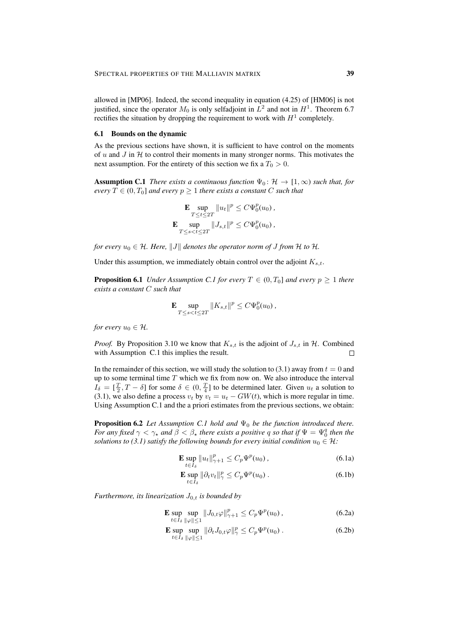allowed in [MP06]. Indeed, the second inequality in equation (4.25) of [HM06] is not justified, since the operator  $M_0$  is only selfadjoint in  $L^2$  and not in  $H^1$ . Theorem 6.7 rectifies the situation by dropping the requirement to work with  $H^1$  completely.

## 6.1 Bounds on the dynamic

As the previous sections have shown, it is sufficient to have control on the moments of u and J in  $H$  to control their moments in many stronger norms. This motivates the next assumption. For the entirety of this section we fix a  $T_0 > 0$ .

**Assumption C.1** *There exists a continuous function*  $\Psi_0: \mathcal{H} \to [1,\infty)$  *such that, for every*  $T \in (0, T_0]$  *and every*  $p \geq 1$  *there exists a constant* C *such that* 

$$
\mathbf{E} \sup_{T \le t \le 2T} \|u_t\|^p \le C\Psi_0^p(u_0),
$$
  

$$
\mathbf{E} \sup_{T \le s < t \le 2T} \|J_{s,t}\|^p \le C\Psi_0^p(u_0),
$$

*for every*  $u_0 \in \mathcal{H}$ *. Here,*  $||J||$  *denotes the operator norm of J from*  $\mathcal{H}$  *to*  $\mathcal{H}$ *.* 

Under this assumption, we immediately obtain control over the adjoint  $K_{s,t}$ .

**Proposition 6.1** *Under Assumption C.1 for every*  $T \in (0, T_0]$  *and every*  $p \ge 1$  *there exists a constant* C *such that*

$$
\mathbf{E} \sup_{T \le s < t \le 2T} \|K_{s,t}\|^p \le C \Psi_0^p(u_0),
$$

*for every*  $u_0 \in \mathcal{H}$ *.* 

*Proof.* By Proposition 3.10 we know that  $K_{s,t}$  is the adjoint of  $J_{s,t}$  in  $H$ . Combined with Assumption C.1 this implies the result.  $\Box$ 

In the remainder of this section, we will study the solution to (3.1) away from  $t = 0$  and up to some terminal time  $T$  which we fix from now on. We also introduce the interval  $I_{\delta} = [\frac{T}{2}, T - \delta]$  for some  $\delta \in (0, \frac{T}{4}]$  to be determined later. Given  $u_t$  a solution to (3.1), we also define a process  $v_t$  by  $v_t = u_t - GW(t)$ , which is more regular in time. Using Assumption C.1 and the a priori estimates from the previous sections, we obtain:

**Proposition 6.2** *Let Assumption C.1 hold and*  $\Psi_0$  *be the function introduced there. For any fixed*  $\gamma < \gamma_*$  *and*  $\hat{\beta} < \beta_*$  *there exists a positive q so that if*  $\Psi = \Psi_0^q$  *then the solutions to (3.1) satisfy the following bounds for every initial condition*  $u_0 \in \mathcal{H}$ :

$$
\mathbf{E} \sup_{t \in I_{\delta}} \|u_t\|_{\gamma+1}^p \le C_p \Psi^p(u_0) \,, \tag{6.1a}
$$

$$
\mathbf{E} \sup_{t \in I_{\delta}} \|\partial_t v_t\|_{\gamma}^p \le C_p \Psi^p(u_0) \,. \tag{6.1b}
$$

*Furthermore, its linearization*  $J_{0,t}$  *is bounded by* 

E sup  $t \in I_{\delta}$ sup  $\sup_{\|\varphi\| \le 1} \|J_{0,t}\varphi\|_{\gamma+1}^p \le C_p \Psi^p(u_0)$ , (6.2a)

$$
\mathbf{E} \sup_{t \in I_{\delta}} \sup_{\|\varphi\| \le 1} \|\partial_t J_{0,t} \varphi\|_{\gamma}^p \le C_p \Psi^p(u_0) \,. \tag{6.2b}
$$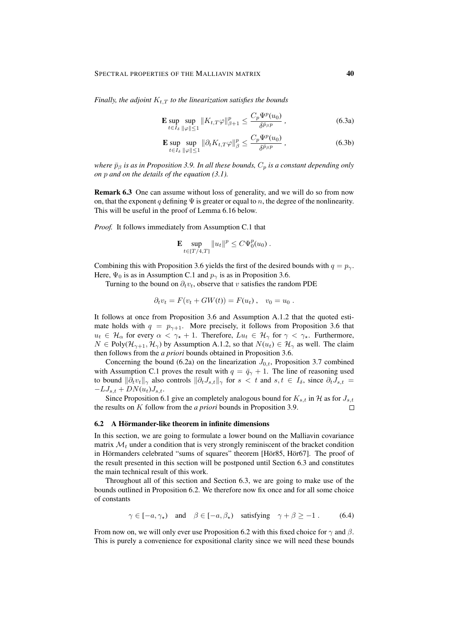*Finally, the adjoint*  $K_{t,T}$  *to the linearization satisfies the bounds* 

$$
\mathbf{E} \sup_{t \in I_{\delta}} \sup_{\|\varphi\| \le 1} \|K_{t,T}\varphi\|_{\beta+1}^p \le \frac{C_p \Psi^p(u_0)}{\delta^{\bar{p}_{\beta}p}} , \qquad (6.3a)
$$

$$
\mathbf{E} \sup_{t \in I_{\delta}} \sup_{\|\varphi\| \le 1} \|\partial_t K_{t,T} \varphi\|_{\beta}^p \le \frac{C_p \Psi^p(u_0)}{\delta^{\bar{p}_{\beta} p}} , \qquad (6.3b)
$$

*where*  $\bar{p}_\beta$  *is as in Proposition 3.9. In all these bounds,*  $C_p$  *is a constant depending only on* p *and on the details of the equation (3.1).*

Remark 6.3 One can assume without loss of generality, and we will do so from now on, that the exponent q defining  $\Psi$  is greater or equal to n, the degree of the nonlinearity. This will be useful in the proof of Lemma 6.16 below.

*Proof.* It follows immediately from Assumption C.1 that

$$
\mathbf{E} \sup_{t \in [T/4, T]} \|u_t\|^p \le C\Psi_0^p(u_0) .
$$

Combining this with Proposition 3.6 yields the first of the desired bounds with  $q = p_{\gamma}$ . Here,  $\Psi_0$  is as in Assumption C.1 and  $p_\gamma$  is as in Proposition 3.6.

Turning to the bound on  $\partial_t v_t$ , observe that v satisfies the random PDE

$$
\partial_t v_t = F(v_t + GW(t)) = F(u_t), \quad v_0 = u_0.
$$

It follows at once from Proposition 3.6 and Assumption A.1.2 that the quoted estimate holds with  $q = p_{\gamma+1}$ . More precisely, it follows from Proposition 3.6 that  $u_t \in \mathcal{H}_\alpha$  for every  $\alpha < \gamma_* + 1$ . Therefore,  $Lu_t \in \mathcal{H}_\gamma$  for  $\gamma < \gamma_*$ . Furthermore,  $N \in Poly(\mathcal{H}_{\gamma+1}, \mathcal{H}_{\gamma})$  by Assumption A.1.2, so that  $N(u_t) \in \mathcal{H}_{\gamma}$  as well. The claim then follows from the *a priori* bounds obtained in Proposition 3.6.

Concerning the bound (6.2a) on the linearization  $J_{0,t}$ , Proposition 3.7 combined with Assumption C.1 proves the result with  $q = \bar{q}_{\gamma} + 1$ . The line of reasoning used to bound  $\|\partial_t v_t\|_{\gamma}$  also controls  $\|\partial_t J_{s,t}\|_{\gamma}$  for  $s < t$  and  $s, t \in I_{\delta}$ , since  $\partial_t J_{s,t}$  $-LJ_{s,t} + DN(u_t)J_{s,t}.$ 

Since Proposition 6.1 give an completely analogous bound for  $K_{s,t}$  in H as for  $J_{s,t}$ the results on K follow from the *a priori* bounds in Proposition 3.9.  $\Box$ 

#### 6.2 A Hörmander-like theorem in infinite dimensions

In this section, we are going to formulate a lower bound on the Malliavin covariance matrix  $\mathcal{M}_t$  under a condition that is very strongly reminiscent of the bracket condition in Hörmanders celebrated "sums of squares" theorem [Hör85, Hör67]. The proof of the result presented in this section will be postponed until Section 6.3 and constitutes the main technical result of this work.

Throughout all of this section and Section 6.3, we are going to make use of the bounds outlined in Proposition 6.2. We therefore now fix once and for all some choice of constants

$$
\gamma \in [-a, \gamma_{\star}) \quad \text{and} \quad \beta \in [-a, \beta_{\star}) \quad \text{satisfying} \quad \gamma + \beta \ge -1 \,. \tag{6.4}
$$

From now on, we will only ever use Proposition 6.2 with this fixed choice for  $\gamma$  and  $\beta$ . This is purely a convenience for expositional clarity since we will need these bounds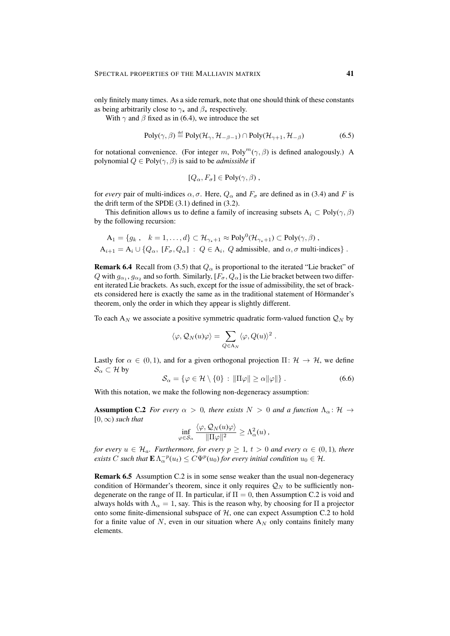only finitely many times. As a side remark, note that one should think of these constants as being arbitrarily close to  $\gamma_{\star}$  and  $\beta_{\star}$  respectively.

With  $\gamma$  and  $\beta$  fixed as in (6.4), we introduce the set

$$
Poly(\gamma, \beta) \stackrel{\text{def}}{=} Poly(\mathcal{H}_{\gamma}, \mathcal{H}_{-\beta - 1}) \cap Poly(\mathcal{H}_{\gamma + 1}, \mathcal{H}_{-\beta})
$$
(6.5)

for notational convenience. (For integer m, Poly<sup>m</sup>( $\gamma$ ,  $\beta$ ) is defined analogously.) A polynomial  $Q \in Poly(\gamma, \beta)$  is said to be *admissible* if

$$
[Q_{\alpha}, F_{\sigma}] \in \text{Poly}(\gamma, \beta) ,
$$

for *every* pair of multi-indices  $\alpha$ ,  $\sigma$ . Here,  $Q_{\alpha}$  and  $F_{\sigma}$  are defined as in (3.4) and F is the drift term of the SPDE (3.1) defined in (3.2).

This definition allows us to define a family of increasing subsets  $A_i \subset Poly(\gamma, \beta)$ by the following recursion:

$$
A_1 = \{g_k, k = 1, ..., d\} \subset \mathcal{H}_{\gamma_*+1} \approx \text{Poly}^0(\mathcal{H}_{\gamma_*+1}) \subset \text{Poly}(\gamma, \beta),
$$
  

$$
A_{i+1} = A_i \cup \{Q_\alpha, [F_\sigma, Q_\alpha] : Q \in A_i, Q \text{ admissible, and } \alpha, \sigma \text{ multi-indices}\}.
$$

**Remark 6.4** Recall from (3.5) that  $Q_{\alpha}$  is proportional to the iterated "Lie bracket" of Q with  $g_{\alpha_1}, g_{\alpha_2}$  and so forth. Similarly,  $[F_{\sigma}, Q_{\alpha}]$  is the Lie bracket between two different iterated Lie brackets. As such, except for the issue of admissibility, the set of brackets considered here is exactly the same as in the traditional statement of Hörmander's theorem, only the order in which they appear is slightly different.

To each  $A_N$  we associate a positive symmetric quadratic form-valued function  $\mathcal{Q}_N$  by

$$
\langle \varphi, \mathcal{Q}_N(u)\varphi \rangle = \sum_{Q \in \mathcal{A}_N} \langle \varphi, Q(u) \rangle^2.
$$

Lastly for  $\alpha \in (0, 1)$ , and for a given orthogonal projection  $\Pi: \mathcal{H} \to \mathcal{H}$ , we define  $\mathcal{S}_\alpha \subset \mathcal{H}$  by

$$
S_{\alpha} = \{ \varphi \in \mathcal{H} \setminus \{0\} : \|\Pi \varphi\| \ge \alpha \|\varphi\| \} . \tag{6.6}
$$

With this notation, we make the following non-degeneracy assumption:

**Assumption C.2** *For every*  $\alpha > 0$ *, there exists*  $N > 0$  *and a function*  $\Lambda_{\alpha} : \mathcal{H} \to$  $[0, \infty)$  *such that* 

$$
\inf_{\varphi \in \mathcal{S}_{\alpha}} \frac{\langle \varphi, \mathcal{Q}_N(u)\varphi \rangle}{\|\Pi\varphi\|^2} \geq \Lambda_{\alpha}^2(u) \,,
$$

*for every*  $u \in \mathcal{H}_a$ *. Furthermore, for every*  $p \geq 1$ *,*  $t > 0$  *and every*  $\alpha \in (0, 1)$ *, there exists C* such that  $\mathbf{E} \Lambda_{\alpha}^{-p}(u_t) \leq C \Psi^p(u_0)$  for every initial condition  $u_0 \in \mathcal{H}$ .

Remark 6.5 Assumption C.2 is in some sense weaker than the usual non-degeneracy condition of Hörmander's theorem, since it only requires  $\mathcal{Q}_N$  to be sufficiently nondegenerate on the range of  $\Pi$ . In particular, if  $\Pi = 0$ , then Assumption C.2 is void and always holds with  $\Lambda_{\alpha} = 1$ , say. This is the reason why, by choosing for  $\Pi$  a projector onto some finite-dimensional subspace of  $H$ , one can expect Assumption C.2 to hold for a finite value of  $N$ , even in our situation where  $A_N$  only contains finitely many elements.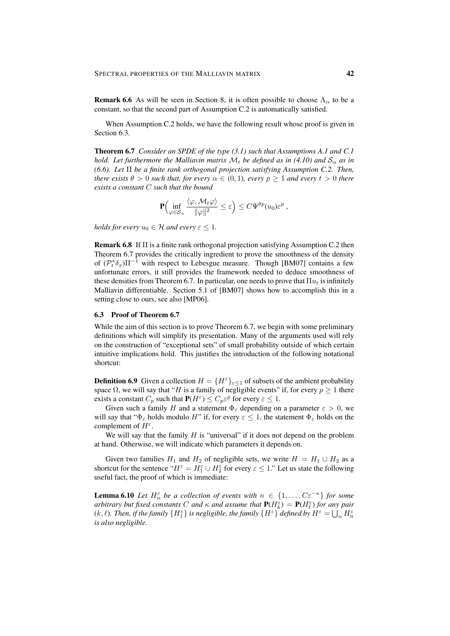**Remark 6.6** As will be seen in Section 8, it is often possible to choose  $\Lambda_{\alpha}$  to be a constant, so that the second part of Assumption C.2 is automatically satisfied.

When Assumption C.2 holds, we have the following result whose proof is given in Section 6.3.

Theorem 6.7 *Consider an SPDE of the type (3.1) such that Assumptions A.1 and C.1 hold. Let furthermore the Malliavin matrix*  $\mathcal{M}_t$  *be defined as in (4.10) and*  $\mathcal{S}_{\alpha}$  *as in (6.6). Let* Π *be a finite rank orthogonal projection satisfying Assumption C.2. Then, there exists*  $\theta > 0$  *such that, for every*  $\alpha \in (0, 1)$ *, every*  $p \ge 1$  *and every*  $t > 0$  *there exists a constant* C *such that the bound*

$$
\mathbf{P}\Big(\inf_{\varphi\in\mathcal{S}_{\alpha}}\frac{\langle\varphi,M_t\varphi\rangle}{\|\varphi\|^2}\leq\varepsilon\Big)\leq C\Psi^{\theta p}(u_0)\varepsilon^p,
$$

*holds for every*  $u_0 \in \mathcal{H}$  *and every*  $\varepsilon \leq 1$ *.* 

Remark 6.8 If Π is a finite rank orthogonal projection satisfying Assumption C.2 then Theorem 6.7 provides the critically ingredient to prove the smoothness of the density of  $(\mathcal{P}_t^*\delta_x)\Pi^{-1}$  with respect to Lebesgue measure. Though [BM07] contains a few unfortunate errors, it still provides the framework needed to deduce smoothness of these densities from Theorem 6.7. In particular, one needs to prove that  $\Pi u_t$  is infinitely Malliavin differentiable. Section 5.1 of [BM07] shows how to accomplish this in a setting close to ours, see also [MP06].

#### 6.3 Proof of Theorem 6.7

While the aim of this section is to prove Theorem 6.7, we begin with some preliminary definitions which will simplify its presentation. Many of the arguments used will rely on the construction of "exceptional sets" of small probability outside of which certain intuitive implications hold. This justifies the introduction of the following notational shortcut:

**Definition 6.9** Given a collection  $H = \{H^{\varepsilon}\}_{\varepsilon \leq 1}$  of subsets of the ambient probability space  $\Omega$ , we will say that "H is a family of negligible events" if, for every  $p \ge 1$  there exists a constant  $C_p$  such that  $P(H^{\varepsilon}) \leq C_p \varepsilon^p$  for every  $\varepsilon \leq 1$ .

Given such a family H and a statement  $\Phi_{\varepsilon}$  depending on a parameter  $\varepsilon > 0$ , we will say that " $\Phi_{\varepsilon}$  holds modulo H" if, for every  $\varepsilon \leq 1$ , the statement  $\Phi_{\varepsilon}$  holds on the complement of  $H^{\varepsilon}$ .

We will say that the family  $H$  is "universal" if it does not depend on the problem at hand. Otherwise, we will indicate which parameters it depends on.

Given two families  $H_1$  and  $H_2$  of negligible sets, we write  $H = H_1 \cup H_2$  as a shortcut for the sentence " $H^{\varepsilon} = H_1^{\varepsilon} \cup H_2^{\varepsilon}$  for every  $\varepsilon \leq 1$ ." Let us state the following useful fact, the proof of which is immediate:

**Lemma 6.10** *Let*  $H_n^{\varepsilon}$  *be a collection of events with*  $n \in \{1, ..., C\varepsilon^{-\kappa}\}\$  *for some arbitrary but fixed constants* C and  $\kappa$  and assume that  $P(H_k^{\varepsilon}) = P(H_\ell^{\varepsilon})$  for any pair (k,  $\ell$ ). Then, if the family  $\{H_1^{\varepsilon}\}$  is negligible, the family  $\{H^{\varepsilon}\}$  defined by  $H^{\varepsilon}=\bigcup_n H_n^{\varepsilon}$ *is also negligible.*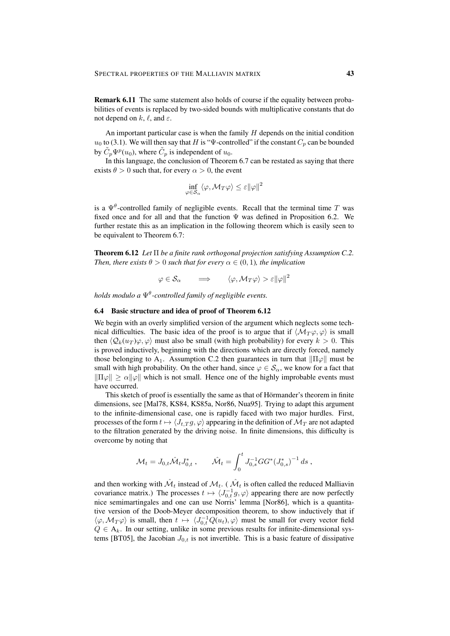Remark 6.11 The same statement also holds of course if the equality between probabilities of events is replaced by two-sided bounds with multiplicative constants that do not depend on  $k, \ell$ , and  $\varepsilon$ .

An important particular case is when the family  $H$  depends on the initial condition  $u_0$  to (3.1). We will then say that H is "Ψ-controlled" if the constant  $C_p$  can be bounded by  $\tilde{C}_p \Psi^p(u_0)$ , where  $\tilde{C}_p$  is independent of  $u_0$ .

In this language, the conclusion of Theorem 6.7 can be restated as saying that there exists  $\theta > 0$  such that, for every  $\alpha > 0$ , the event

$$
\inf_{\varphi \in \mathcal{S}_{\alpha}} \langle \varphi, \mathcal{M}_T \varphi \rangle \leq \varepsilon ||\varphi||^2
$$

is a  $\Psi^{\theta}$ -controlled family of negligible events. Recall that the terminal time T was fixed once and for all and that the function  $\Psi$  was defined in Proposition 6.2. We further restate this as an implication in the following theorem which is easily seen to be equivalent to Theorem 6.7:

Theorem 6.12 *Let* Π *be a finite rank orthogonal projection satisfying Assumption C.2. Then, there exists*  $\theta > 0$  *such that for every*  $\alpha \in (0, 1)$ *, the implication* 

 $\varphi \in \mathcal{S}_\alpha \qquad \Longrightarrow \qquad \langle \varphi , \mathcal{M}_T \varphi \rangle > \varepsilon \| \varphi \|^2$ 

*holds modulo a* Ψ<sup>θ</sup> *-controlled family of negligible events.*

# 6.4 Basic structure and idea of proof of Theorem 6.12

We begin with an overly simplified version of the argument which neglects some technical difficulties. The basic idea of the proof is to argue that if  $\langle \mathcal{M}_T \varphi, \varphi \rangle$  is small then  $\langle Q_k(u_T) \varphi, \varphi \rangle$  must also be small (with high probability) for every  $k > 0$ . This is proved inductively, beginning with the directions which are directly forced, namely those belonging to A<sub>1</sub>. Assumption C.2 then guarantees in turn that  $\|\Pi\varphi\|$  must be small with high probability. On the other hand, since  $\varphi \in S_\alpha$ , we know for a fact that  $\|\Pi\varphi\| \ge \alpha \|\varphi\|$  which is not small. Hence one of the highly improbable events must have occurred.

This sketch of proof is essentially the same as that of Hörmander's theorem in finite dimensions, see [Mal78, KS84, KS85a, Nor86, Nua95]. Trying to adapt this argument to the infinite-dimensional case, one is rapidly faced with two major hurdles. First, processes of the form  $t \mapsto \langle J_{t,T} g, \varphi \rangle$  appearing in the definition of  $\mathcal{M}_T$  are not adapted to the filtration generated by the driving noise. In finite dimensions, this difficulty is overcome by noting that

$$
\mathcal{M}_t = J_{0,t} \hat{\mathcal{M}}_t J_{0,t}^*, \qquad \hat{\mathcal{M}}_t = \int_0^t J_{0,s}^{-1} G G^* (J_{0,s}^*)^{-1} ds ,
$$

and then working with  $\hat{\mathcal{M}}_t$  instead of  $\mathcal{M}_t$ . (  $\hat{\mathcal{M}}_t$  is often called the reduced Malliavin covariance matrix.) The processes  $t \mapsto \langle J_{0,t}^{-1}g, \varphi \rangle$  appearing there are now perfectly nice semimartingales and one can use Norris' lemma [Nor86], which is a quantitative version of the Doob-Meyer decomposition theorem, to show inductively that if  $\langle \varphi, \mathcal{M}_T \varphi \rangle$  is small, then  $t \mapsto \langle J_{0,t}^{-1} Q(u_t), \varphi \rangle$  must be small for every vector field  $Q \in A_k$ . In our setting, unlike in some previous results for infinite-dimensional systems [BT05], the Jacobian  $J_{0,t}$  is not invertible. This is a basic feature of dissipative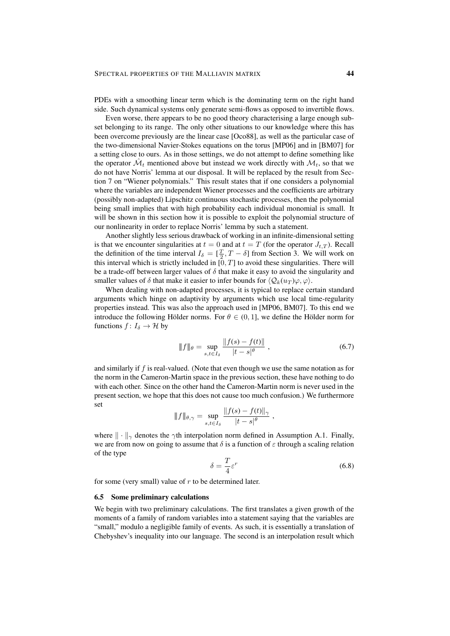PDEs with a smoothing linear term which is the dominating term on the right hand side. Such dynamical systems only generate semi-flows as opposed to invertible flows.

Even worse, there appears to be no good theory characterising a large enough subset belonging to its range. The only other situations to our knowledge where this has been overcome previously are the linear case [Oco88], as well as the particular case of the two-dimensional Navier-Stokes equations on the torus [MP06] and in [BM07] for a setting close to ours. As in those settings, we do not attempt to define something like the operator  $\hat{\mathcal{M}}_t$  mentioned above but instead we work directly with  $\mathcal{M}_t$ , so that we do not have Norris' lemma at our disposal. It will be replaced by the result from Section 7 on "Wiener polynomials." This result states that if one considers a polynomial where the variables are independent Wiener processes and the coefficients are arbitrary (possibly non-adapted) Lipschitz continuous stochastic processes, then the polynomial being small implies that with high probability each individual monomial is small. It will be shown in this section how it is possible to exploit the polynomial structure of our nonlinearity in order to replace Norris' lemma by such a statement.

Another slightly less serious drawback of working in an infinite-dimensional setting is that we encounter singularities at  $t = 0$  and at  $t = T$  (for the operator  $J_{t,T}$ ). Recall the definition of the time interval  $I_{\delta} = [\frac{T}{2}, T - \delta]$  from Section 3. We will work on this interval which is strictly included in  $[0, T]$  to avoid these singularities. There will be a trade-off between larger values of  $\delta$  that make it easy to avoid the singularity and smaller values of  $\delta$  that make it easier to infer bounds for  $\langle \mathcal{Q}_k(u_T) \varphi, \varphi \rangle$ .

When dealing with non-adapted processes, it is typical to replace certain standard arguments which hinge on adaptivity by arguments which use local time-regularity properties instead. This was also the approach used in [MP06, BM07]. To this end we introduce the following Hölder norms. For  $\theta \in (0, 1]$ , we define the Hölder norm for functions  $f: I_{\delta} \to \mathcal{H}$  by

$$
\|f\|_{\theta} = \sup_{s,t \in I_{\delta}} \frac{\|f(s) - f(t)\|}{|t - s|^{\theta}}, \tag{6.7}
$$

and similarly if  $f$  is real-valued. (Note that even though we use the same notation as for the norm in the Cameron-Martin space in the previous section, these have nothing to do with each other. Since on the other hand the Cameron-Martin norm is never used in the present section, we hope that this does not cause too much confusion.) We furthermore set

$$
\|f\|_{\theta,\gamma} = \sup_{s,t \in I_{\delta}} \frac{\|f(s) - f(t)\|_{\gamma}}{|t - s|^{\theta}},
$$

where  $\|\cdot\|_{\gamma}$  denotes the  $\gamma$ th interpolation norm defined in Assumption A.1. Finally, we are from now on going to assume that  $\delta$  is a function of  $\varepsilon$  through a scaling relation of the type

$$
\delta = \frac{T}{4} \varepsilon^r \tag{6.8}
$$

for some (very small) value of  $r$  to be determined later.

## 6.5 Some preliminary calculations

We begin with two preliminary calculations. The first translates a given growth of the moments of a family of random variables into a statement saying that the variables are "small," modulo a negligible family of events. As such, it is essentially a translation of Chebyshev's inequality into our language. The second is an interpolation result which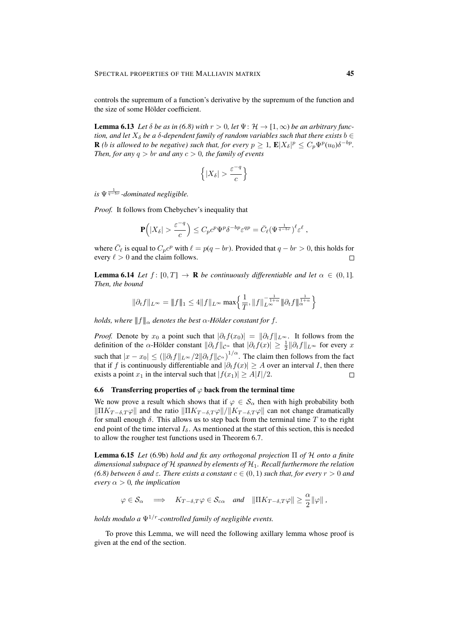controls the supremum of a function's derivative by the supremum of the function and the size of some Hölder coefficient.

**Lemma 6.13** Let  $\delta$  be as in (6.8) with  $r > 0$ , let  $\Psi : \mathcal{H} \to [1, \infty)$  be an arbitrary func*tion, and let*  $X_{\delta}$  *be a*  $\delta$ -dependent family of random variables such that there exists  $b \in$ **R** (b is allowed to be negative) such that, for every  $p \geq 1$ ,  $\mathbf{E} |X_{\delta}|^p \leq C_p \Psi^p(u_0) \delta^{-bp}$ . *Then, for any*  $q > br$  *and any*  $c > 0$ *, the family of events* 

$$
\left\{ |X_{\delta}| > \frac{\varepsilon^{-q}}{c} \right\}
$$

 $i$ s  $\Psi^{\frac{1}{q-br}}$ -dominated negligible.

*Proof.* It follows from Chebychev's inequality that

$$
\mathbf{P}\Big(|X_{\delta}| > \frac{\varepsilon^{-q}}{c}\Big) \leq C_p c^p \Psi^p \delta^{-bp} \varepsilon^{qp} = \bar{C}_{\ell} (\Psi^{\frac{1}{q-br}})^{\ell} \varepsilon^{\ell} ,
$$

where  $\overline{C}_{\ell}$  is equal to  $C_p c^p$  with  $\ell = p(q - br)$ . Provided that  $q - br > 0$ , this holds for every  $\ell > 0$  and the claim follows.  $\Box$ 

**Lemma 6.14** *Let*  $f: [0, T] \rightarrow \mathbb{R}$  *be continuously differentiable and let*  $\alpha \in (0, 1]$ *. Then, the bound*

$$
\|\partial_t f\|_{L^\infty} = \|f\|_1 \leq 4 \|f\|_{L^\infty} \max\Bigl\{\frac{1}{T}, \|f\|_{L^\infty}^{-\frac{1}{1+\alpha}} \|\partial_t f\|_{\alpha}^{\frac{1}{1+\alpha}}\Bigr\}
$$

*holds, where*  $|| f ||_{\alpha}$  *denotes the best*  $\alpha$ -Hölder constant for f.

*Proof.* Denote by  $x_0$  a point such that  $|\partial_t f(x_0)| = ||\partial_t f||_{L^{\infty}}$ . It follows from the definition of the  $\alpha$ -Hölder constant  $\|\partial_t f\|_{\mathcal{C}^{\alpha}}$  that  $|\partial_t f(x)| \geq \frac{1}{2} \|\partial_t f\|_{L^{\infty}}$  for every x such that  $|x-x_0| \le (\|\partial_t f\|_{L^\infty}/2\|\partial_t f\|_{\mathcal{C}^\alpha})^{1/\alpha}$ . The claim then follows from the fact that if f is continuously differentiable and  $|\partial_t f(x)| \geq A$  over an interval I, then there exists a point  $x_1$  in the interval such that  $|f(x_1)| \ge A|I|/2$ .  $\Box$ 

# 6.6 Transferring properties of  $\varphi$  back from the terminal time

We now prove a result which shows that if  $\varphi \in \mathcal{S}_{\alpha}$  then with high probability both  $\|\Pi K_{T-\delta,T} \varphi\|$  and the ratio  $\|\Pi K_{T-\delta,T} \varphi\|/\|K_{T-\delta,T} \varphi\|$  can not change dramatically for small enough  $\delta$ . This allows us to step back from the terminal time T to the right end point of the time interval  $I_{\delta}$ . As mentioned at the start of this section, this is needed to allow the rougher test functions used in Theorem 6.7.

Lemma 6.15 *Let* (6.9b) *hold and fix any orthogonal projection* Π *of* H *onto a finite dimensional subspace of* H *spanned by elements of* H1*. Recall furthermore the relation (6.8) between δ and*  $\varepsilon$ *. There exists a constant*  $c \in (0, 1)$  *such that, for every*  $r > 0$  *and every*  $\alpha > 0$ *, the implication* 

$$
\varphi \in \mathcal{S}_{\alpha} \implies K_{T-\delta,T} \varphi \in \mathcal{S}_{c\alpha} \text{ and } ||\Pi K_{T-\delta,T} \varphi|| \geq \frac{\alpha}{2} ||\varphi||,
$$

*holds modulo a*  $\Psi^{1/r}$ -controlled family of negligible events.

To prove this Lemma, we will need the following axillary lemma whose proof is given at the end of the section.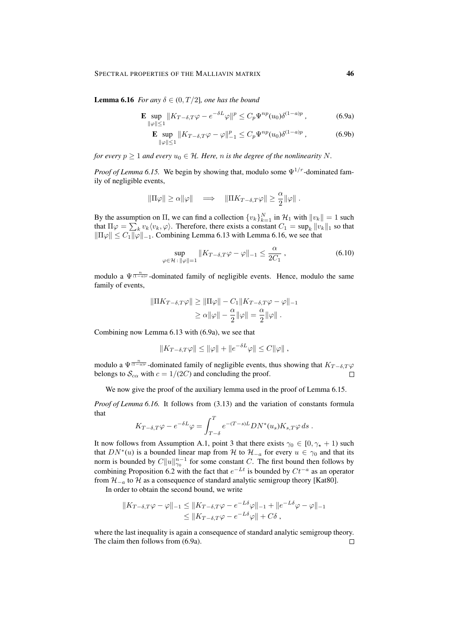**Lemma 6.16** *For any*  $\delta \in (0, T/2]$ *, one has the bound* 

$$
\mathbf{E} \sup_{\|\varphi\| \le 1} \|K_{T-\delta,T}\varphi - e^{-\delta L}\varphi\|^p \le C_p \Psi^{np}(u_0) \delta^{(1-a)p} \,,\tag{6.9a}
$$

$$
\mathbf{E} \sup_{\|\varphi\| \le 1} \|K_{T-\delta,T}\varphi - \varphi\|_{-1}^p \le C_p \Psi^{np}(u_0) \delta^{(1-a)p} ,\tag{6.9b}
$$

*for every*  $p \geq 1$  *and every*  $u_0 \in \mathcal{H}$ *. Here, n is the degree of the nonlinearity* N.

*Proof of Lemma 6.15.* We begin by showing that, modulo some  $\Psi^{1/r}$ -dominated family of negligible events,

$$
\|\Pi \varphi\| \geq \alpha \|\varphi\| \quad \Longrightarrow \quad \|\Pi K_{T-\delta,T}\varphi\| \geq \frac{\alpha}{2} \|\varphi\| \;.
$$

By the assumption on  $\Pi$ , we can find a collection  $\{v_k\}_{k=1}^N$  in  $\mathcal{H}_1$  with  $||v_k|| = 1$  such that  $\Pi \varphi = \sum_k v_k \langle v_k, \varphi \rangle$ . Therefore, there exists a constant  $C_1 = \sup_k ||v_k||_1$  so that  $\|\Pi\varphi\| \leq C_1 \|\varphi\|_{-1}$ . Combining Lemma 6.13 with Lemma 6.16, we see that

$$
\sup_{\varphi \in \mathcal{H} \,:\, \|\varphi\|=1} \|K_{T-\delta,T}\varphi - \varphi\|_{-1} \le \frac{\alpha}{2C_1},\tag{6.10}
$$

modulo a  $\Psi^{\frac{n}{(1-a)r}}$ -dominated family of negligible events. Hence, modulo the same family of events,

$$
\|\Pi K_{T-\delta,T}\varphi\| \ge \|\Pi\varphi\| - C_1 \|K_{T-\delta,T}\varphi - \varphi\|_{-1}
$$
  

$$
\ge \alpha \|\varphi\| - \frac{\alpha}{2} \|\varphi\| = \frac{\alpha}{2} \|\varphi\|.
$$

Combining now Lemma 6.13 with (6.9a), we see that

$$
||K_{T-\delta,T}\varphi|| \le ||\varphi|| + ||e^{-\delta L}\varphi|| \le C||\varphi||,
$$

modulo a  $\Psi^{\frac{n}{(1-a)r}}$ -dominated family of negligible events, thus showing that  $K_{T-\delta,T}\varphi$ belongs to  $S_{c\alpha}$  with  $c = 1/(2C)$  and concluding the proof.  $\Box$ 

We now give the proof of the auxiliary lemma used in the proof of Lemma 6.15.

*Proof of Lemma 6.16.* It follows from (3.13) and the variation of constants formula that

$$
K_{T-\delta,T}\varphi-e^{-\delta L}\varphi=\int_{T-\delta}^T e^{-(T-s)L}DN^*(u_s)K_{s,T}\varphi\,ds\;.
$$

It now follows from Assumption A.1, point 3 that there exists  $\gamma_0 \in [0, \gamma_* + 1)$  such that  $DN^*(u)$  is a bounded linear map from H to  $\mathcal{H}_{-a}$  for every  $u \in \gamma_0$  and that its norm is bounded by  $C||u||_{\gamma_0}^{n-1}$  for some constant C. The first bound then follows by combining Proposition 6.2 with the fact that  $e^{-Lt}$  is bounded by  $Ct^{-a}$  as an operator from  $\mathcal{H}_{-a}$  to  $\mathcal H$  as a consequence of standard analytic semigroup theory [Kat80].

In order to obtain the second bound, we write

$$
||K_{T-\delta,T}\varphi - \varphi||_{-1} \le ||K_{T-\delta,T}\varphi - e^{-L\delta}\varphi||_{-1} + ||e^{-L\delta}\varphi - \varphi||_{-1}
$$
  

$$
\le ||K_{T-\delta,T}\varphi - e^{-L\delta}\varphi|| + C\delta,
$$

where the last inequality is again a consequence of standard analytic semigroup theory. The claim then follows from (6.9a). $\Box$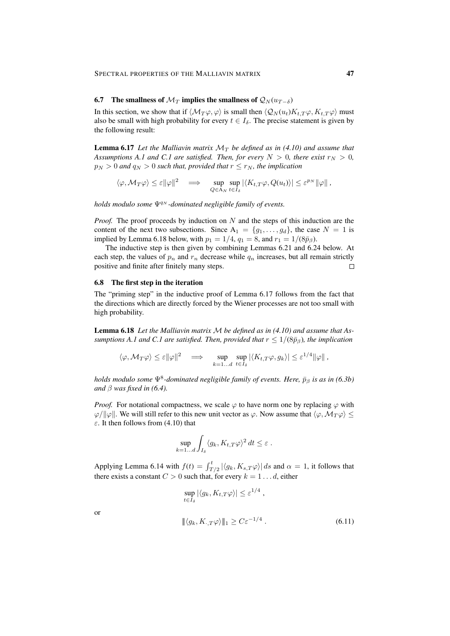# 6.7 The smallness of  $\mathcal{M}_T$  implies the smallness of  $\mathcal{Q}_N(u_{T-\delta})$

In this section, we show that if  $\langle \mathcal{M}_T \varphi, \varphi \rangle$  is small then  $\langle \mathcal{Q}_N (u_t)K_t \varphi, K_t \varphi \rangle$  must also be small with high probability for every  $t \in I_\delta$ . The precise statement is given by the following result:

**Lemma 6.17** Let the Malliavin matrix  $\mathcal{M}_T$  be defined as in (4.10) and assume that *Assumptions A.1 and C.1 are satisfied. Then, for every*  $N > 0$ *, there exist*  $r_N > 0$ *,*  $p_N > 0$  and  $q_N > 0$  such that, provided that  $r \le r_N$ , the implication

$$
\langle \varphi, \mathcal{M}_T \varphi \rangle \leq \varepsilon ||\varphi||^2 \quad \Longrightarrow \quad \sup_{Q \in \mathcal{A}_N} \sup_{t \in I_\delta} |\langle K_{t,T} \varphi, Q(u_t) \rangle| \leq \varepsilon^{p_N} ||\varphi|| \ ,
$$

*holds modulo some*  $Ψ<sup>q<sub>N</sub></sup>$ *-dominated negligible family of events.* 

*Proof.* The proof proceeds by induction on N and the steps of this induction are the content of the next two subsections. Since  $A_1 = \{g_1, \ldots, g_d\}$ , the case  $N = 1$  is implied by Lemma 6.18 below, with  $p_1 = 1/4$ ,  $q_1 = 8$ , and  $r_1 = 1/(8\bar{p}_\beta)$ .

The inductive step is then given by combining Lemmas 6.21 and 6.24 below. At each step, the values of  $p_n$  and  $r_n$  decrease while  $q_n$  increases, but all remain strictly positive and finite after finitely many steps.  $\Box$ 

# 6.8 The first step in the iteration

The "priming step" in the inductive proof of Lemma 6.17 follows from the fact that the directions which are directly forced by the Wiener processes are not too small with high probability.

Lemma 6.18 *Let the Malliavin matrix* M *be defined as in (4.10) and assume that Assumptions A.1 and C.1 are satisfied. Then, provided that*  $r \leq 1/(8\bar{p}_\beta)$ *, the implication* 

$$
\langle \varphi, \mathcal{M}_T \varphi \rangle \leq \varepsilon ||\varphi||^2 \quad \Longrightarrow \quad \sup_{k=1...d} \sup_{t \in I_\delta} |\langle K_{t,T} \varphi, g_k \rangle| \leq \varepsilon^{1/4} ||\varphi||,
$$

*holds modulo some*  $\Psi^8$ -dominated negligible family of events. Here,  $\bar{p}_\beta$  is as in (6.3b) *and*  $\beta$  *was fixed in* (6.4).

*Proof.* For notational compactness, we scale  $\varphi$  to have norm one by replacing  $\varphi$  with  $\varphi/\|\varphi\|$ . We will still refer to this new unit vector as  $\varphi$ . Now assume that  $\langle \varphi, \mathcal{M}_T \varphi \rangle$  <  $\varepsilon$ . It then follows from (4.10) that

$$
\sup_{k=1...d} \int_{I_{\delta}} \langle g_k, K_{t,T} \varphi \rangle^2 dt \leq \varepsilon.
$$

Applying Lemma 6.14 with  $f(t) = \int_{T/2}^{t} |\langle g_k, K_{s,T} \varphi \rangle| ds$  and  $\alpha = 1$ , it follows that there exists a constant  $C > 0$  such that, for every  $k = 1...d$ , either

$$
\sup_{t \in I_{\delta}} |\langle g_k, K_{t,T} \varphi \rangle| \leq \varepsilon^{1/4},
$$
  

$$
\|\langle g_k, K_{\cdot,T} \varphi \rangle\|_1 \geq C \varepsilon^{-1/4}.
$$
 (6.11)

or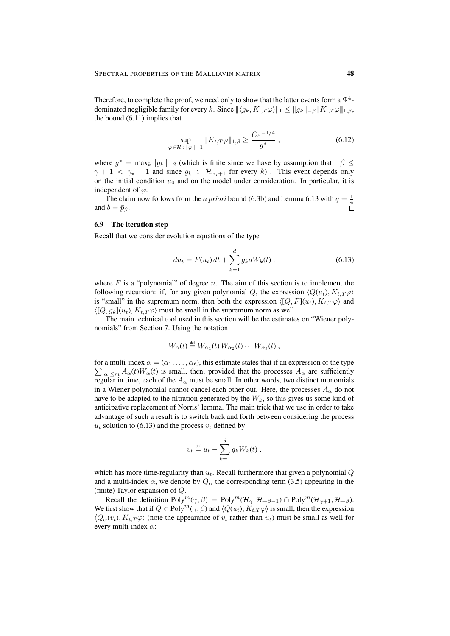Therefore, to complete the proof, we need only to show that the latter events form a  $\Psi^4$ dominated negligible family for every k. Since  $||\langle g_k, K, T\varphi \rangle||_1 \le ||g_k||_{-\beta} ||K, T\varphi||_{1,\beta}$ , the bound (6.11) implies that

$$
\sup_{\varphi \in \mathcal{H} \,:\, \|\varphi\|=1} \|K_{t,T}\varphi\|_{1,\beta} \ge \frac{C\varepsilon^{-1/4}}{g^*} \,,\tag{6.12}
$$

where  $g^* = \max_k ||g_k||_{-\beta}$  (which is finite since we have by assumption that  $-\beta \leq$  $\gamma + 1 < \gamma_{\star} + 1$  and since  $g_k \in \mathcal{H}_{\gamma_{\star}+1}$  for every k). This event depends only on the initial condition  $u_0$  and on the model under consideration. In particular, it is independent of  $\varphi$ .

The claim now follows from the *a priori* bound (6.3b) and Lemma 6.13 with  $q = \frac{1}{4}$ and  $b = \bar{p}_\beta$ .

# 6.9 The iteration step

Recall that we consider evolution equations of the type

$$
du_t = F(u_t) dt + \sum_{k=1}^{d} g_k dW_k(t) , \qquad (6.13)
$$

where F is a "polynomial" of degree n. The aim of this section is to implement the following recursion: if, for any given polynomial Q, the expression  $\langle Q(u_t), K_t, T\varphi \rangle$ is "small" in the supremum norm, then both the expression  $\langle [Q, F](u_t), K_t, T\varphi \rangle$  and  $\langle [Q, q_k](u_t), K_{t,T} \varphi \rangle$  must be small in the supremum norm as well.

The main technical tool used in this section will be the estimates on "Wiener polynomials" from Section 7. Using the notation

$$
W_{\alpha}(t) \stackrel{\text{def}}{=} W_{\alpha_1}(t) W_{\alpha_2}(t) \cdots W_{\alpha_{\ell}}(t) ,
$$

for a multi-index  $\alpha = (\alpha_1, \dots, \alpha_\ell)$ , this estimate states that if an expression of the type  $\sum_{|\alpha| \le m} A_{\alpha}(t) W_{\alpha}(t)$  is small, then, provided that the processes  $A_{\alpha}$  are sufficiently regular in time, each of the  $A_{\alpha}$  must be small. In other words, two distinct monomials in a Wiener polynomial cannot cancel each other out. Here, the processes  $A_{\alpha}$  do not have to be adapted to the filtration generated by the  $W_k$ , so this gives us some kind of anticipative replacement of Norris' lemma. The main trick that we use in order to take advantage of such a result is to switch back and forth between considering the process  $u_t$  solution to (6.13) and the process  $v_t$  defined by

$$
v_t \stackrel{\text{def}}{=} u_t - \sum_{k=1}^d g_k W_k(t) ,
$$

which has more time-regularity than  $u_t$ . Recall furthermore that given a polynomial  $Q$ and a multi-index  $\alpha$ , we denote by  $Q_{\alpha}$  the corresponding term (3.5) appearing in the (finite) Taylor expansion of Q.

Recall the definition  $Poly^m(\gamma, \beta) = Poly^m(\mathcal{H}_{\gamma}, \mathcal{H}_{-\beta-1}) \cap Poly^m(\mathcal{H}_{\gamma+1}, \mathcal{H}_{-\beta}).$ We first show that if  $Q \in \text{Poly}^m(\gamma, \beta)$  and  $\langle Q(u_t), K_t, T\varphi \rangle$  is small, then the expression  $\langle Q_{\alpha}(v_t), K_t|\tau\varphi\rangle$  (note the appearance of  $v_t$  rather than  $u_t$ ) must be small as well for every multi-index  $\alpha$ :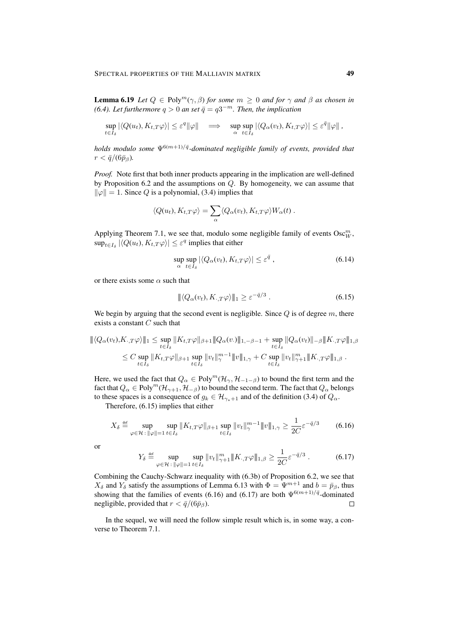**Lemma 6.19** *Let*  $Q \in \text{Poly}^m(\gamma, \beta)$  *for some*  $m \geq 0$  *and for*  $\gamma$  *and*  $\beta$  *as chosen in (6.4). Let furthermore*  $q > 0$  *an set*  $\bar{q} = q3^{-m}$ *. Then, the implication* 

$$
\sup_{t\in I_{\delta}}|\langle Q(u_t),K_{t,T}\varphi\rangle|\leq \varepsilon^q\|\varphi\|\quad\Longrightarrow\quad \sup_{\alpha}\sup_{t\in I_{\delta}}|\langle Q_{\alpha}(v_t),K_{t,T}\varphi\rangle|\leq \varepsilon^{\bar{q}}\|\varphi\|,
$$

*holds modulo some*  $\Psi^{6(m+1)/\bar{q}}$ -dominated negligible family of events, provided that  $r < \bar{q}/(6\bar{p}_\beta)$ .

*Proof.* Note first that both inner products appearing in the implication are well-defined by Proposition 6.2 and the assumptions on Q. By homogeneity, we can assume that  $\|\varphi\| = 1$ . Since Q is a polynomial, (3.4) implies that

$$
\langle Q(u_t), K_{t,T} \varphi \rangle = \sum_{\alpha} \langle Q_{\alpha}(v_t), K_{t,T} \varphi \rangle W_{\alpha}(t) .
$$

Applying Theorem 7.1, we see that, modulo some negligible family of events  $\text{Osc}_{W}^{m}$ ,  $\sup_{t\in I_\delta} |\langle Q(u_t),K_{t,T}\varphi\rangle| \leq \varepsilon^q$  implies that either

$$
\sup_{\alpha} \sup_{t \in I_{\delta}} |\langle Q_{\alpha}(v_t), K_{t,T} \varphi \rangle| \leq \varepsilon^{\bar{q}} , \tag{6.14}
$$

or there exists some  $\alpha$  such that

$$
\|\langle Q_{\alpha}(v_t), K_{\cdot, T}\varphi \rangle\|_{1} \ge \varepsilon^{-\bar{q}/3} . \tag{6.15}
$$

We begin by arguing that the second event is negligible. Since  $Q$  is of degree  $m$ , there exists a constant  $C$  such that

$$
\| \langle Q_{\alpha}(v_{t}), K_{\cdot, T} \varphi \rangle \|_{1} \leq \sup_{t \in I_{\delta}} \| K_{t, T} \varphi \|_{\beta+1} \| Q_{\alpha}(v_{\cdot}) \|_{1, -\beta-1} + \sup_{t \in I_{\delta}} \| Q_{\alpha}(v_{t}) \|_{-\beta} \| K_{\cdot, T} \varphi \|_{1, \beta} \leq C \sup_{t \in I_{\delta}} \| K_{t, T} \varphi \|_{\beta+1} \sup_{t \in I_{\delta}} \| v_{t} \|_{\gamma}^{m-1} \| v \|_{1, \gamma} + C \sup_{t \in I_{\delta}} \| v_{t} \|_{\gamma+1}^{m} \| K_{\cdot, T} \varphi \|_{1, \beta} .
$$

Here, we used the fact that  $Q_{\alpha} \in \text{Poly}^m(\mathcal{H}_{\gamma}, \mathcal{H}_{-1-\beta})$  to bound the first term and the fact that  $Q_\alpha \in \text{Poly}^m(\mathcal{H}_{\gamma+1}, \mathcal{H}_{-\beta})$  to bound the second term. The fact that  $Q_\alpha$  belongs to these spaces is a consequence of  $g_k \in \mathcal{H}_{\gamma_*+1}$  and of the definition (3.4) of  $Q_\alpha$ .

Therefore, (6.15) implies that either

$$
X_{\delta} \stackrel{\text{def}}{=} \sup_{\varphi \in \mathcal{H} : \|\varphi\| = 1} \sup_{t \in I_{\delta}} \|K_{t,T}\varphi\|_{\beta+1} \sup_{t \in I_{\delta}} \|v_{t}\|_{\gamma}^{m-1} \|v\|_{1,\gamma} \ge \frac{1}{2C} \varepsilon^{-\bar{q}/3} \tag{6.16}
$$

or

$$
Y_{\delta} \stackrel{\text{def}}{=} \sup_{\varphi \in \mathcal{H} \,:\, \|\varphi\|=1} \sup_{t \in I_{\delta}} \|v_{t}\|_{\gamma+1}^{m} \|K_{\cdot,T}\varphi\|_{1,\beta} \ge \frac{1}{2C} \varepsilon^{-\bar{q}/3} \,. \tag{6.17}
$$

Combining the Cauchy-Schwarz inequality with (6.3b) of Proposition 6.2, we see that  $X_{\delta}$  and  $Y_{\delta}$  satisfy the assumptions of Lemma 6.13 with  $\Phi = \Psi^{m+1}$  and  $b = \bar{p}_{\beta}$ , thus showing that the families of events (6.16) and (6.17) are both  $\Psi^{6(m+1)/\bar{q}}$ -dominated negligible, provided that  $r < \bar{q}/(6\bar{p}_\beta)$ .  $\Box$ 

In the sequel, we will need the follow simple result which is, in some way, a converse to Theorem 7.1.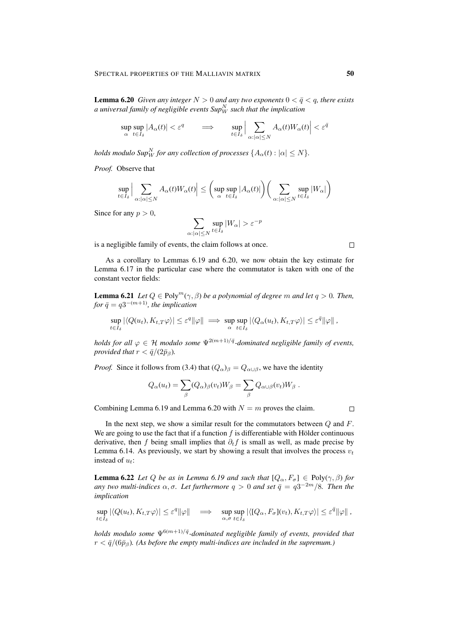**Lemma 6.20** *Given any integer*  $N > 0$  *and any two exponents*  $0 < \bar{q} < q$ *, there exists* a universal family of negligible events  $\mathit{Sup}^N_W$  such that the implication

$$
\sup_{\alpha} \sup_{t \in I_{\delta}} |A_{\alpha}(t)| < \varepsilon^{q} \qquad \Longrightarrow \qquad \sup_{t \in I_{\delta}} \Big| \sum_{\alpha : |\alpha| \leq N} A_{\alpha}(t) W_{\alpha}(t) \Big| < \varepsilon^{\bar{q}}
$$

*holds modulo Sup* $^N_W$  *for any collection of processes*  $\{A_\alpha(t):|\alpha|\leq N\}.$ 

*Proof.* Observe that

$$
\sup_{t\in I_{\delta}}\Big|\sum_{\alpha:|\alpha|\leq N}A_{\alpha}(t)W_{\alpha}(t)\Big|\leq \bigg(\sup_{\alpha}\sup_{t\in I_{\delta}}|A_{\alpha}(t)|\bigg)\bigg(\sum_{\alpha:|\alpha|\leq N}\sup_{t\in I_{\delta}}|W_{\alpha}|\bigg)
$$

Since for any  $p > 0$ ,

$$
\sum_{\alpha: |\alpha| \le N} \sup_{t \in I_{\delta}} |W_{\alpha}| > \varepsilon^{-p}
$$

is a negligible family of events, the claim follows at once.

As a corollary to Lemmas 6.19 and 6.20, we now obtain the key estimate for Lemma 6.17 in the particular case where the commutator is taken with one of the constant vector fields:

**Lemma 6.21** *Let*  $Q \in \text{Poly}^m(\gamma, \beta)$  *be a polynomial of degree* m *and let*  $q > 0$ *. Then,*  $for \bar{q} = q3^{-(m+1)}$ , the implication

$$
\sup_{t\in I_{\delta}}|\langle Q(u_t),K_{t,T}\varphi\rangle|\leq \varepsilon^q\|\varphi\|\implies \sup_{\alpha}\sup_{t\in I_{\delta}}|\langle Q_{\alpha}(u_t),K_{t,T}\varphi\rangle|\leq \varepsilon^{\bar{q}}\|\varphi\|,
$$

*holds for all*  $\varphi \in H$  *modulo some*  $\Psi^{2(m+1)/\bar{q}}$ -dominated negligible family of events, *provided that*  $r < \bar{q}/(2\bar{p}_\beta)$ *.* 

*Proof.* Since it follows from (3.4) that  $(Q_\alpha)_\beta = Q_{\alpha \cup \beta}$ , we have the identity

$$
Q_{\alpha}(u_t) = \sum_{\beta} (Q_{\alpha})_{\beta}(v_t) W_{\beta} = \sum_{\beta} Q_{\alpha \cup \beta}(v_t) W_{\beta} .
$$

Combining Lemma 6.19 and Lemma 6.20 with  $N = m$  proves the claim.

 $\Box$ 

In the next step, we show a similar result for the commutators between  $Q$  and  $F$ . We are going to use the fact that if a function  $f$  is differentiable with Hölder continuous derivative, then f being small implies that  $\partial_t f$  is small as well, as made precise by Lemma 6.14. As previously, we start by showing a result that involves the process  $v_t$ instead of  $u_t$ :

**Lemma 6.22** *Let* Q *be as in Lemma 6.19 and such that*  $[Q_{\alpha}, F_{\sigma}] \in Poly(\gamma, \beta)$  *for any two multi-indices*  $\alpha$ ,  $\sigma$ . Let furthermore  $q > 0$  and set  $\bar{q} = q3^{-2m}/8$ . Then the *implication*

$$
\sup_{t\in I_{\delta}}|\langle Q(u_t),K_{t,T}\varphi\rangle|\leq \varepsilon^q\|\varphi\|\quad\Longrightarrow\quad \sup_{\alpha,\sigma}\sup_{t\in I_{\delta}}|\langle [Q_{\alpha},F_{\sigma}](v_t),K_{t,T}\varphi\rangle|\leq \varepsilon^{\bar{q}}\|\varphi\|\,,
$$

*holds modulo some*  $\Psi^{6(m+1)/\bar{q}}$ -dominated negligible family of events, provided that  $r < \bar{q}/(6\bar{p}_\beta)$ . (As before the empty multi-indices are included in the supremum.)

 $\Box$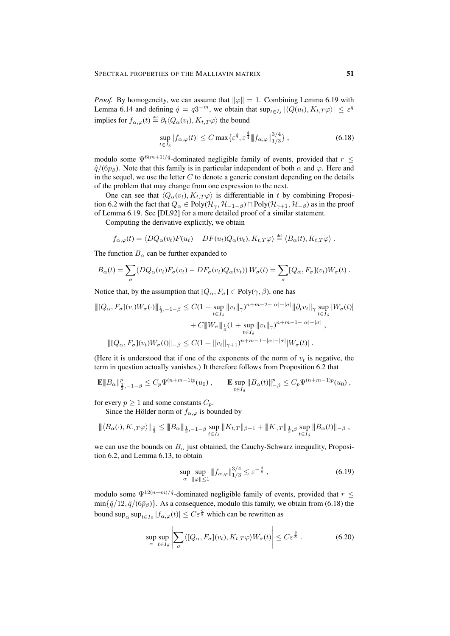*Proof.* By homogeneity, we can assume that  $\|\varphi\| = 1$ . Combining Lemma 6.19 with Lemma 6.14 and defining  $\hat{q} = q3^{-m}$ , we obtain that  $\sup_{t \in I_{\delta}} |\langle Q(u_t), K_{t,T} \varphi \rangle| \leq \varepsilon^q$ implies for  $f_{\alpha,\varphi}(t) \stackrel{\text{def}}{=} \partial_t \langle Q_{\alpha}(v_t), K_{t,T} \varphi \rangle$  the bound

$$
\sup_{t \in I_{\delta}} |f_{\alpha,\varphi}(t)| \le C \max \{ \varepsilon^{\hat{q}}, \varepsilon^{\frac{\hat{q}}{4}} \| f_{\alpha,\varphi} \|_{1/3}^{3/4} \}, \tag{6.18}
$$

modulo some  $\Psi^{6(m+1)/\hat{q}}$ -dominated negligible family of events, provided that  $r \leq$  $\hat{q}/(6\bar{p}_\beta)$ . Note that this family is in particular independent of both  $\alpha$  and  $\varphi$ . Here and in the sequel, we use the letter  $C$  to denote a generic constant depending on the details of the problem that may change from one expression to the next.

One can see that  $\langle Q_{\alpha}(v_t), K_{t,T} \varphi \rangle$  is differentiable in t by combining Proposition 6.2 with the fact that  $Q_{\alpha} \in Poly(\mathcal{H}_{\gamma}, \mathcal{H}_{-1-\beta}) \cap Poly(\mathcal{H}_{\gamma+1}, \mathcal{H}_{-\beta})$  as in the proof of Lemma 6.19. See [DL92] for a more detailed proof of a similar statement.

Computing the derivative explicitly, we obtain

$$
f_{\alpha,\varphi}(t) = \langle DQ_{\alpha}(v_t)F(u_t) - DF(u_t)Q_{\alpha}(v_t), K_{t,T}\varphi \rangle \stackrel{\text{def}}{=} \langle B_{\alpha}(t), K_{t,T}\varphi \rangle.
$$

The function  $B_{\alpha}$  can be further expanded to

$$
B_{\alpha}(t) = \sum_{\sigma} (DQ_{\alpha}(v_t) F_{\sigma}(v_t) - DF_{\sigma}(v_t) Q_{\alpha}(v_t)) W_{\sigma}(t) = \sum_{\sigma} [Q_{\alpha}, F_{\sigma}](v_t) W_{\sigma}(t).
$$

Notice that, by the assumption that  $[Q_{\alpha}, F_{\sigma}] \in Poly(\gamma, \beta)$ , one has

$$
\| [Q_{\alpha}, F_{\sigma}](v.)W_{\sigma}(\cdot) \|_{\frac{1}{3}, -1-\beta} \leq C(1 + \sup_{t \in I_{\delta}} \|v_{t}\|_{\gamma})^{n+m-2-|\alpha|-|\sigma|} \|\partial_{t}v_{t}\|_{\gamma} \sup_{t \in I_{\delta}} |W_{\sigma}(t)|
$$
  
+  $C \|W_{\sigma}\|_{\frac{1}{3}} (1 + \sup_{t \in I_{\delta}} \|v_{t}\|_{\gamma})^{n+m-1-|\alpha|-|\sigma|},$   

$$
\| [Q_{\alpha}, F_{\sigma}](v_{t})W_{\sigma}(t) \|_{-\beta} \leq C(1 + \|v_{t}\|_{\gamma+1})^{n+m-1-|\alpha|-|\sigma|} |W_{\sigma}(t)|.
$$

(Here it is understood that if one of the exponents of the norm of  $v_t$  is negative, the term in question actually vanishes.) It therefore follows from Proposition 6.2 that

$$
\mathbf{E} \|B_{\alpha}\|_{\frac{1}{3},-1-\beta}^p \le C_p \Psi^{(n+m-1)p}(u_0) , \qquad \mathbf{E} \sup_{t \in I_{\delta}} \|B_{\alpha}(t)\|_{-\beta}^p \le C_p \Psi^{(n+m-1)p}(u_0) ,
$$

for every  $p \ge 1$  and some constants  $C_p$ .

Since the Hölder norm of  $f_{\alpha,\varphi}$  is bounded by

$$
\|\langle B_{\alpha}(\cdot),K_{\cdot,T}\varphi\rangle\|_{\frac{1}{3}}\leq \|B_{\alpha}\|_{\frac{1}{3},-1-\beta}\sup_{t\in I_{\delta}}\|K_{t,T}\|_{\beta+1}+\|K_{\cdot,T}\|_{\frac{1}{3},\beta}\sup_{t\in I_{\delta}}\|B_{\alpha}(t)\|_{-\beta},
$$

we can use the bounds on  $B_{\alpha}$  just obtained, the Cauchy-Schwarz inequality, Proposition 6.2, and Lemma 6.13, to obtain

$$
\sup_{\alpha} \sup_{\|\varphi\| \le 1} \|f_{\alpha,\varphi}\|_{1/3}^{3/4} \le \varepsilon^{-\frac{q}{8}},\tag{6.19}
$$

modulo some  $\Psi^{12(n+m)/\hat{q}}$ -dominated negligible family of events, provided that  $r \leq$  $\min\{\hat{q}/12,\hat{q}/(6\bar{p}_\beta)\}\.$  As a consequence, modulo this family, we obtain from (6.18) the bound  $\sup_{\alpha} \sup_{t \in I_{\delta}} |f_{\alpha,\varphi}(t)| \leq C \varepsilon^{\frac{\hat{q}}{8}}$  which can be rewritten as

$$
\sup_{\alpha} \sup_{t \in I_{\delta}} \left| \sum_{\sigma} \langle [Q_{\alpha}, F_{\sigma}](v_t), K_{t, T} \varphi \rangle W_{\sigma}(t) \right| \leq C \varepsilon^{\frac{\hat{q}}{8}}.
$$
\n(6.20)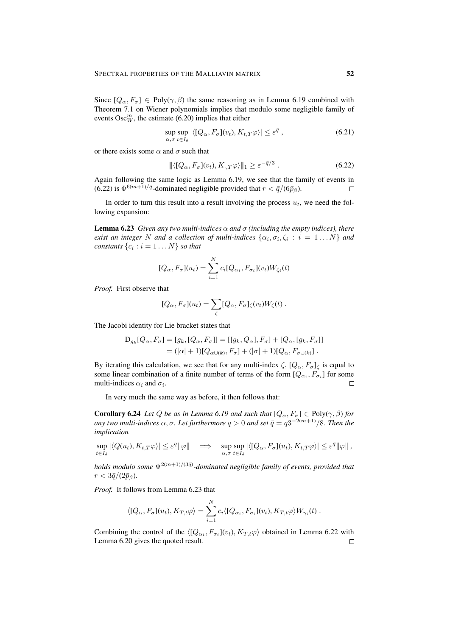Since  $[Q_{\alpha}, F_{\sigma}] \in Poly(\gamma, \beta)$  the same reasoning as in Lemma 6.19 combined with Theorem 7.1 on Wiener polynomials implies that modulo some negligible family of events  $\operatorname{Osc}^m_W$ , the estimate (6.20) implies that either

$$
\sup_{\alpha,\sigma} \sup_{t \in I_{\delta}} |\langle [Q_{\alpha}, F_{\sigma}](v_t), K_{t,T} \varphi \rangle| \le \varepsilon^{\bar{q}} , \qquad (6.21)
$$

or there exists some  $\alpha$  and  $\sigma$  such that

$$
\|\langle [Q_{\alpha}, F_{\sigma}](v_t), K_{\cdot, T}\varphi \rangle \|_1 \geq \varepsilon^{-\bar{q}/3} . \tag{6.22}
$$

Again following the same logic as Lemma 6.19, we see that the family of events in (6.22) is  $\Phi^{6(m+1)/\bar{q}}$ -dominated negligible provided that  $r < \bar{q}/(6\bar{p}_\beta)$ .  $\Box$ 

In order to turn this result into a result involving the process  $u_t$ , we need the following expansion:

**Lemma 6.23** *Given any two multi-indices*  $\alpha$  *and*  $\sigma$  *(including the empty indices), there exist an integer* N and a collection of multi-indices  $\{\alpha_i, \sigma_i, \zeta_i : i = 1...N\}$  and *constants*  $\{c_i : i = 1 \dots N\}$  *so that* 

$$
[Q_{\alpha}, F_{\sigma}](u_t) = \sum_{i=1}^{N} c_i [Q_{\alpha_i}, F_{\sigma_i}](v_t) W_{\zeta_i}(t)
$$

*Proof.* First observe that

$$
[Q_{\alpha}, F_{\sigma}](u_t) = \sum_{\zeta} [Q_{\alpha}, F_{\sigma}]_{\zeta}(v_t)W_{\zeta}(t) .
$$

The Jacobi identity for Lie bracket states that

$$
D_{g_k}[Q_{\alpha}, F_{\sigma}] = [g_k, [Q_{\alpha}, F_{\sigma}]] = [[g_k, Q_{\alpha}], F_{\sigma}] + [Q_{\alpha}, [g_k, F_{\sigma}]]
$$
  
=  $(|\alpha| + 1)[Q_{\alpha \cup (k)}, F_{\sigma}] + (|\sigma| + 1)[Q_{\alpha}, F_{\sigma \cup (k)}].$ 

By iterating this calculation, we see that for any multi-index  $\zeta$ ,  $[Q_{\alpha}, F_{\sigma}]_{\zeta}$  is equal to some linear combination of a finite number of terms of the form  $[Q_{\alpha_i}, F_{\sigma_i}]$  for some multi-indices  $\alpha_i$  and  $\sigma_i$ .  $\Box$ 

In very much the same way as before, it then follows that:

**Corollary 6.24** *Let Q be as in Lemma 6.19 and such that*  $[Q_{\alpha}, F_{\sigma}] \in Poly(\gamma, \beta)$  *for*  $a$ ny two multi-indices  $\alpha, \sigma$ . Let furthermore  $q > 0$  and set  $\bar{q} = q3^{-2(m+1)}/8$ . Then the *implication*

$$
\sup_{t\in I_{\delta}}|\langle Q(u_t),K_{t,T}\varphi\rangle|\leq \varepsilon^q\|\varphi\|\quad\Longrightarrow\quad \sup_{\alpha,\sigma}\sup_{t\in I_{\delta}}|\langle [Q_{\alpha},F_{\sigma}](u_t),K_{t,T}\varphi\rangle|\leq \varepsilon^{\bar{q}}\|\varphi\|\,,
$$

*holds modulo some* Ψ<sup>2</sup>(m+1)/(3¯q) *-dominated negligible family of events, provided that*  $r < 3\bar{q}/(2\bar{p}_\beta)$ .

*Proof.* It follows from Lemma 6.23 that

$$
\langle [Q_{\alpha}, F_{\sigma}](u_t), K_{T,t}\varphi \rangle = \sum_{i=1}^N c_i \langle [Q_{\alpha_i}, F_{\sigma_i}](v_t), K_{T,t}\varphi \rangle W_{\gamma_i}(t) .
$$

Combining the control of the  $\langle [Q_{\alpha_i}, F_{\sigma_i}](v_t), K_{T,t} \varphi \rangle$  obtained in Lemma 6.22 with Lemma 6.20 gives the quoted result. $\Box$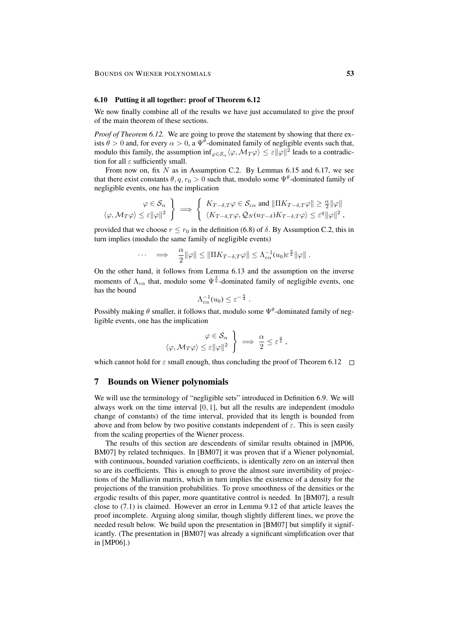# 6.10 Putting it all together: proof of Theorem 6.12

We now finally combine all of the results we have just accumulated to give the proof of the main theorem of these sections.

*Proof of Theorem 6.12.* We are going to prove the statement by showing that there exists  $\theta > 0$  and, for every  $\alpha > 0$ , a  $\Psi^{\theta}$ -dominated family of negligible events such that, modulo this family, the assumption  $\inf_{\varphi \in S_\alpha} \langle \varphi, \mathcal M_T \varphi \rangle \leq \varepsilon ||\varphi||^2$  leads to a contradiction for all  $\varepsilon$  sufficiently small.

From now on, fix  $N$  as in Assumption C.2. By Lemmas 6.15 and 6.17, we see that there exist constants  $\theta, q, r_0 > 0$  such that, modulo some  $\Psi^{\theta}$ -dominated family of negligible events, one has the implication

$$
\varphi \in \mathcal{S}_{\alpha} \quad \left\{ \begin{array}{c} \varphi \in \mathcal{S}_{\alpha} \\ \langle \varphi, \mathcal{M}_T \varphi \rangle \leq \varepsilon ||\varphi||^2 \end{array} \right\} \implies \left\{ \begin{array}{c} K_{T-\delta, T} \varphi \in \mathcal{S}_{c\alpha} \text{ and } ||\Pi K_{T-\delta, T} \varphi|| \geq \frac{\alpha}{2} ||\varphi|| \\ \langle K_{T-\delta, T} \varphi, \mathcal{Q}_N(u_{T-\delta}) K_{T-\delta, T} \varphi \rangle \leq \varepsilon^q ||\varphi||^2 \end{array} \right.
$$

provided that we choose  $r \le r_0$  in the definition (6.8) of  $\delta$ . By Assumption C.2, this in turn implies (modulo the same family of negligible events)

$$
\cdots \quad \Longrightarrow \quad \frac{\alpha}{2} \|\varphi\| \le \|\Pi K_{T-\delta,T}\varphi\| \le \Lambda_{c\alpha}^{-1}(u_0) \varepsilon^{\frac{q}{2}} \|\varphi\|.
$$

On the other hand, it follows from Lemma 6.13 and the assumption on the inverse moments of  $\Lambda_{c\alpha}$  that, modulo some  $\Psi^{\frac{4}{q}}$ -dominated family of negligible events, one has the bound

$$
\Lambda_{c\alpha}^{-1}(u_0) \leq \varepsilon^{-\frac{q}{4}}.
$$

Possibly making  $\theta$  smaller, it follows that, modulo some  $\Psi^{\theta}$ -dominated family of negligible events, one has the implication

$$
\begin{aligned}\n\varphi \in \mathcal{S}_{\alpha} \\
\langle \varphi, \mathcal{M}_T \varphi \rangle \leq \varepsilon ||\varphi||^2\n\end{aligned}\n\bigg\} \implies \frac{\alpha}{2} \leq \varepsilon^{\frac{q}{4}} ,
$$

which cannot hold for  $\varepsilon$  small enough, thus concluding the proof of Theorem 6.12  $\Box$ 

# 7 Bounds on Wiener polynomials

We will use the terminology of "negligible sets" introduced in Definition 6.9. We will always work on the time interval  $[0, 1]$ , but all the results are independent (modulo change of constants) of the time interval, provided that its length is bounded from above and from below by two positive constants independent of  $\varepsilon$ . This is seen easily from the scaling properties of the Wiener process.

The results of this section are descendents of similar results obtained in [MP06, BM07] by related techniques. In [BM07] it was proven that if a Wiener polynomial, with continuous, bounded variation coefficients, is identically zero on an interval then so are its coefficients. This is enough to prove the almost sure invertibility of projections of the Malliavin matrix, which in turn implies the existence of a density for the projections of the transition probabilities. To prove smoothness of the densities or the ergodic results of this paper, more quantitative control is needed. In [BM07], a result close to (7.1) is claimed. However an error in Lemma 9.12 of that article leaves the proof incomplete. Arguing along similar, though slightly different lines, we prove the needed result below. We build upon the presentation in [BM07] but simplify it significantly. (The presentation in [BM07] was already a significant simplification over that in [MP06].)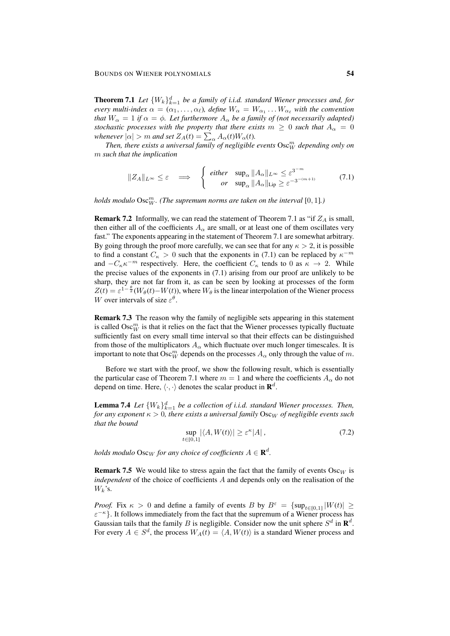**Theorem 7.1** Let  $\{W_k\}_{k=1}^d$  be a family of i.i.d. standard Wiener processes and, for *every multi-index*  $\alpha = (\alpha_1, \dots, \alpha_\ell)$ , define  $W_\alpha = W_{\alpha_1} \dots W_{\alpha_\ell}$  with the convention *that*  $W_{\alpha} = 1$  *if*  $\alpha = \phi$ *. Let furthermore*  $A_{\alpha}$  *be a family of (not necessarily adapted) stochastic processes with the property that there exists*  $m \geq 0$  *such that*  $A_{\alpha} = 0$ *whenever*  $|\alpha| > m$  *and set*  $Z_A(t) = \sum_{\alpha} A_{\alpha}(t)W_{\alpha}(t)$ *.* 

Then, there exists a universal family of negligible events  $\mathrm{Osc}^m_W$  depending only on m *such that the implication*

$$
||Z_A||_{L^{\infty}} \leq \varepsilon \quad \Longrightarrow \quad \left\{ \begin{array}{rcl} \text{either} & \sup_{\alpha} ||A_{\alpha}||_{L^{\infty}} \leq \varepsilon^{3^{-m}} \\ \text{or} & \sup_{\alpha} ||A_{\alpha}||_{\text{Lip}} \geq \varepsilon^{-3^{-(m+1)}} \end{array} \right. \tag{7.1}
$$

*holds modulo*  $\mathrm{Osc}^m_W$ . (The supremum norms are taken on the interval  $[0,1]$ .)

**Remark 7.2** Informally, we can read the statement of Theorem 7.1 as "if  $Z_A$  is small, then either all of the coefficients  $A_{\alpha}$  are small, or at least one of them oscillates very fast." The exponents appearing in the statement of Theorem 7.1 are somewhat arbitrary. By going through the proof more carefully, we can see that for any  $\kappa > 2$ , it is possible to find a constant  $C_{\kappa} > 0$  such that the exponents in (7.1) can be replaced by  $\kappa^{-m}$ and  $-C_{\kappa} \kappa^{-m}$  respectively. Here, the coefficient  $C_{\kappa}$  tends to 0 as  $\kappa \to 2$ . While the precise values of the exponents in (7.1) arising from our proof are unlikely to be sharp, they are not far from it, as can be seen by looking at processes of the form  $Z(t) = \varepsilon^{1-\frac{\theta}{2}}(W_{\theta}(t) - W(t))$ , where  $W_{\theta}$  is the linear interpolation of the Wiener process W over intervals of size  $\varepsilon^{\theta}$ .

Remark 7.3 The reason why the family of negligible sets appearing in this statement is called  $\mathrm{Osc}^m_W$  is that it relies on the fact that the Wiener processes typically fluctuate sufficiently fast on every small time interval so that their effects can be distinguished from those of the multiplicators  $A_{\alpha}$  which fluctuate over much longer timescales. It is important to note that  $\mathrm{Osc}^m_W$  depends on the processes  $A_\alpha$  only through the value of m.

Before we start with the proof, we show the following result, which is essentially the particular case of Theorem 7.1 where  $m = 1$  and where the coefficients  $A_{\alpha}$  do not depend on time. Here,  $\langle \cdot, \cdot \rangle$  denotes the scalar product in  $\mathbf{R}^d$ .

**Lemma 7.4** Let  $\{W_k\}_{k=1}^d$  be a collection of i.i.d. standard Wiener processes. Then, *for any exponent*  $\kappa > 0$ , there exists a universal family  $\text{Osc}_W$  of negligible events such *that the bound*

$$
\sup_{t \in [0,1]} |\langle A, W(t) \rangle| \ge \varepsilon^{\kappa} |A| \,, \tag{7.2}
$$

 $h$ olds modulo  $\mathrm{Osc}_W$  for any choice of coefficients  $A \in \mathbf{R}^d.$ 

**Remark 7.5** We would like to stress again the fact that the family of events Oscw is *independent* of the choice of coefficients A and depends only on the realisation of the  $W_k$ 's.

*Proof.* Fix  $\kappa > 0$  and define a family of events B by  $B^{\varepsilon} = {\sup_{t \in [0,1]} |W(t)| \geq 1}$  $\varepsilon^{-\kappa}$ . It follows immediately from the fact that the supremum of a Wiener process has Gaussian tails that the family B is negligible. Consider now the unit sphere  $S^d$  in  $\mathbf{R}^d$ . For every  $A \in S^d$ , the process  $W_A(t) = \langle A, W(t) \rangle$  is a standard Wiener process and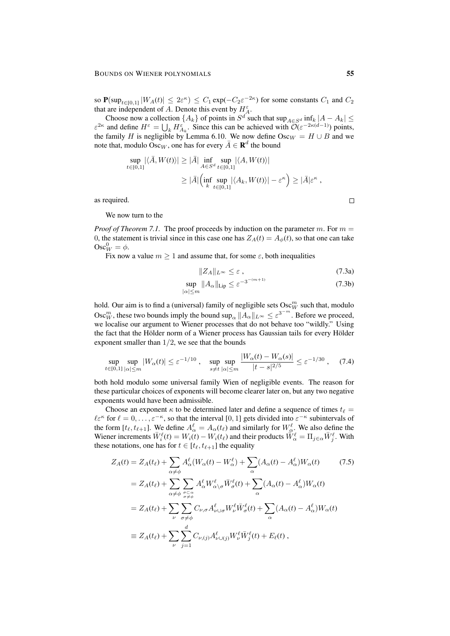so  $P(\sup_{t\in[0,1]}|W_A(t)| \leq 2\varepsilon^{\kappa}) \leq C_1 \exp(-C_2\varepsilon^{-2\kappa})$  for some constants  $C_1$  and  $C_2$ that are independent of A. Denote this event by  $H_A^{\varepsilon}$ .

Choose now a collection  $\{A_k\}$  of points in  $S^d$  such that  $\sup_{A \in S^d} \inf_k |A - A_k| \leq$  $\varepsilon^{2\kappa}$  and define  $H^{\varepsilon} = \bigcup_k H^{\varepsilon}_{A_k}$ . Since this can be achieved with  $\mathcal{O}(\varepsilon^{-2\kappa(d-1)})$  points, the family H is negligible by Lemma 6.10. We now define  $\text{Osc}_W = H \cup B$  and we note that, modulo Osc<sub>*W*</sub>, one has for every  $\overline{A} \in \mathbf{R}^d$  the bound

$$
\sup_{t \in [0,1]} |\langle \bar{A}, W(t) \rangle| \ge |\bar{A}| \inf_{A \in S^d} \sup_{t \in [0,1]} |\langle A, W(t) \rangle|
$$
  
 
$$
\ge |\bar{A}| \Big( \inf_{k} \sup_{t \in [0,1]} |\langle A_k, W(t) \rangle| - \varepsilon^{\kappa} \Big) \ge |\bar{A}| \varepsilon^{\kappa} ,
$$

as required.

We now turn to the

*Proof of Theorem 7.1.* The proof proceeds by induction on the parameter m. For  $m =$ 0, the statement is trivial since in this case one has  $Z_A(t) = A_\phi(t)$ , so that one can take  $\mathrm{Osc}_W^0 = \phi.$ 

Fix now a value  $m > 1$  and assume that, for some  $\varepsilon$ , both inequalities

$$
||Z_A||_{L^{\infty}} \leq \varepsilon , \qquad (7.3a)
$$

$$
\sup_{|\alpha| \le m} \|A_{\alpha}\|_{\text{Lip}} \le \varepsilon^{-3^{-(m+1)}} \tag{7.3b}
$$

hold. Our aim is to find a (universal) family of negligible sets  $\mathrm{Osc}^m_W$  such that, modulo Osc<sup>*m*</sup>, these two bounds imply the bound sup<sub> $\alpha$ </sub>  $||A_{\alpha}||_{L^{\infty}} \leq \varepsilon^{3^{-m}}$ . Before we proceed, we localise our argument to Wiener processes that do not behave too "wildly." Using the fact that the Hölder norm of a Wiener process has Gaussian tails for every Hölder exponent smaller than  $1/2$ , we see that the bounds

$$
\sup_{t \in [0,1]} \sup_{|\alpha| \le m} |W_{\alpha}(t)| \le \varepsilon^{-1/10} \,, \quad \sup_{s \ne t} \sup_{|\alpha| \le m} \frac{|W_{\alpha}(t) - W_{\alpha}(s)|}{|t - s|^{2/5}} \le \varepsilon^{-1/30} \,, \quad (7.4)
$$

both hold modulo some universal family Wien of negligible events. The reason for these particular choices of exponents will become clearer later on, but any two negative exponents would have been admissible.

Choose an exponent  $\kappa$  to be determined later and define a sequence of times  $t_{\ell} =$  $\ell \in \mathcal{E}^{\kappa}$  for  $\ell = 0, \ldots, \varepsilon^{-\kappa}$ , so that the interval [0, 1] gets divided into  $\varepsilon^{-\kappa}$  subintervals of the form  $[t_\ell, t_{\ell+1}]$ . We define  $A_\alpha^\ell = A_\alpha(t_\ell)$  and similarly for  $W_\alpha^\ell$ . We also define the Wiener increments  $\bar{W}_i^{\ell}(t) = W_i(t) - W_i(t_\ell)$  and their products  $\bar{W}_\alpha^{\ell} = \Pi_{j \in \alpha} \bar{W}_j^{\ell}$ . With these notations, one has for  $t \in [t_{\ell}, t_{\ell+1}]$  the equality

$$
Z_{A}(t) = Z_{A}(t_{\ell}) + \sum_{\alpha \neq \phi} A_{\alpha}^{\ell}(W_{\alpha}(t) - W_{\alpha}^{\ell}) + \sum_{\alpha} (A_{\alpha}(t) - A_{\alpha}^{\ell})W_{\alpha}(t) \qquad (7.5)
$$
  
\n
$$
= Z_{A}(t_{\ell}) + \sum_{\alpha \neq \phi} \sum_{\substack{\sigma \subset \alpha \\ \sigma \neq \phi}} A_{\alpha}^{\ell} W_{\alpha}^{\ell}{}_{\sigma} \bar{W}_{\sigma}^{\ell}(t) + \sum_{\alpha} (A_{\alpha}(t) - A_{\alpha}^{\ell})W_{\alpha}(t)
$$
  
\n
$$
= Z_{A}(t_{\ell}) + \sum_{\nu} \sum_{\substack{\sigma \neq \phi \\ \sigma \neq \phi}} C_{\nu,\sigma} A_{\nu \cup \sigma}^{\ell} W_{\nu}^{\ell} \bar{W}_{\sigma}^{\ell}(t) + \sum_{\alpha} (A_{\alpha}(t) - A_{\alpha}^{\ell})W_{\alpha}(t)
$$
  
\n
$$
\equiv Z_{A}(t_{\ell}) + \sum_{\nu} \sum_{j=1}^{d} C_{\nu,j} A_{\nu \cup (j)}^{\ell} W_{\nu}^{\ell} \bar{W}_{j}^{\ell}(t) + E_{\ell}(t) ,
$$

 $\Box$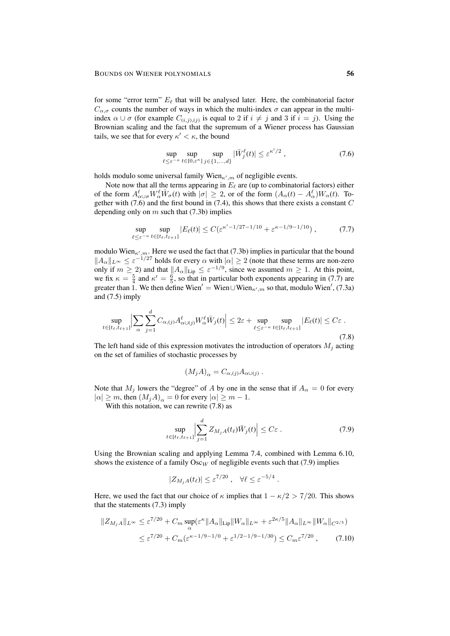for some "error term"  $E_\ell$  that will be analysed later. Here, the combinatorial factor  $C_{\alpha,\sigma}$  counts the number of ways in which the multi-index  $\sigma$  can appear in the multiindex  $\alpha \cup \sigma$  (for example  $C_{(i,j),(j)}$  is equal to 2 if  $i \neq j$  and 3 if  $i = j$ ). Using the Brownian scaling and the fact that the supremum of a Wiener process has Gaussian tails, we see that for every  $\kappa' < \kappa$ , the bound

$$
\sup_{\ell \le \varepsilon^{-\kappa}} \sup_{t \in [0,\varepsilon^{\kappa}]} \sup_{j \in \{1,\dots,d\}} |\bar{W}_j^{\ell}(t)| \le \varepsilon^{\kappa'/2},\tag{7.6}
$$

holds modulo some universal family Wien $_{\kappa',m}$  of negligible events.

Note now that all the terms appearing in  $E_\ell$  are (up to combinatorial factors) either of the form  $A^{\ell}_{\alpha\cup\sigma}W^{\ell}_{\alpha}\bar{W}_{\sigma}(t)$  with  $|\sigma|\geq 2$ , or of the form  $(A_{\alpha}(t) - A^{\ell}_{\alpha})W_{\alpha}(t)$ . Together with  $(7.6)$  and the first bound in  $(7.4)$ , this shows that there exists a constant  $C$ depending only on  $m$  such that (7.3b) implies

$$
\sup_{\ell \le \varepsilon^{-\kappa}} \sup_{t \in [t_{\ell}, t_{\ell+1}]} |E_{\ell}(t)| \le C(\varepsilon^{\kappa'-1/27 - 1/10} + \varepsilon^{\kappa-1/9 - 1/10}), \tag{7.7}
$$

modulo Wien $_{\kappa',m}$ . Here we used the fact that (7.3b) implies in particular that the bound  $||A_\alpha||_{L^\infty} \leq \varepsilon^{-1/27}$  holds for every  $\alpha$  with  $|\alpha| \geq 2$  (note that these terms are non-zero only if  $m \ge 2$ ) and that  $||A_\alpha||_{\text{Lip}} \le \varepsilon^{-1/9}$ , since we assumed  $m \ge 1$ . At this point, we fix  $\kappa = \frac{5}{4}$  and  $\kappa' = \frac{6}{5}$ , so that in particular both exponents appearing in (7.7) are greater than 1. We then define Wien' = Wien∪Wien<sub> $\kappa', m$ </sub> so that, modulo Wien', (7.3a) and (7.5) imply

$$
\sup_{t \in [t_{\ell}, t_{\ell+1}]} \Big| \sum_{\alpha} \sum_{j=1}^{d} C_{\alpha, (j)} A_{\alpha \cup (j)}^{\ell} W_{\alpha}^{\ell} \bar{W}_j(t) \Big| \leq 2\varepsilon + \sup_{\ell \leq \varepsilon^{-\kappa}} \sup_{t \in [t_{\ell}, t_{\ell+1}]} |E_{\ell}(t)| \leq C\varepsilon.
$$
\n(7.8)

The left hand side of this expression motivates the introduction of operators  $M_j$  acting on the set of families of stochastic processes by

$$
(M_j A)_{\alpha} = C_{\alpha,(j)} A_{\alpha \cup (j)} .
$$

Note that  $M_j$  lowers the "degree" of A by one in the sense that if  $A_\alpha = 0$  for every  $|\alpha| \ge m$ , then  $(M_j A)_{\alpha} = 0$  for every  $|\alpha| \ge m - 1$ .

With this notation, we can rewrite  $(7.8)$  as

$$
\sup_{t \in [t_{\ell}, t_{\ell+1}]} \left| \sum_{j=1}^{d} Z_{M_j A}(t_{\ell}) \bar{W}_j(t) \right| \le C \varepsilon . \tag{7.9}
$$

.

Using the Brownian scaling and applying Lemma 7.4, combined with Lemma 6.10, shows the existence of a family  $Osc_W$  of negligible events such that (7.9) implies

$$
|Z_{M_jA}(t_\ell)| \le \varepsilon^{7/20} \,, \quad \forall \ell \le \varepsilon^{-5/4}
$$

Here, we used the fact that our choice of  $\kappa$  implies that  $1 - \kappa/2 > 7/20$ . This shows that the statements (7.3) imply

$$
||Z_{M_jA}||_{L^{\infty}} \leq \varepsilon^{7/20} + C_m \sup_{\alpha} (\varepsilon^{\kappa} ||A_{\alpha}||_{\text{Lip}} ||W_{\alpha}||_{L^{\infty}} + \varepsilon^{2\kappa/5} ||A_{\alpha}||_{L^{\infty}} ||W_{\alpha}||_{C^{2/5}})
$$
  

$$
\leq \varepsilon^{7/20} + C_m (\varepsilon^{\kappa - 1/9 - 1/0} + \varepsilon^{1/2 - 1/9 - 1/30}) \leq C_m \varepsilon^{7/20} , \qquad (7.10)
$$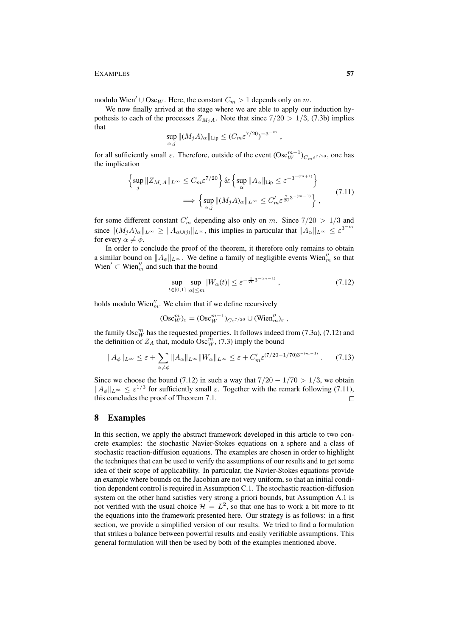modulo Wien'  $\cup$  Osc<sub>W</sub>. Here, the constant  $C_m > 1$  depends only on m.

We now finally arrived at the stage where we are able to apply our induction hypothesis to each of the processes  $Z_{M_iA}$ . Note that since  $7/20 > 1/3$ , (7.3b) implies that

$$
\sup_{\alpha,j} \|(M_j A)_{\alpha}\|_{\text{Lip}} \le (C_m \varepsilon^{7/20})^{-3^{-m}},
$$

for all sufficiently small  $\varepsilon$ . Therefore, outside of the event  $(Osc_{W}^{m-1})_{C_{m}\varepsilon^{7/20}}$ , one has the implication

$$
\left\{ \sup_{j} \|Z_{M_{j}A}\|_{L^{\infty}} \leq C_{m} \varepsilon^{7/20} \right\} \& \left\{ \sup_{\alpha} \|A_{\alpha}\|_{\text{Lip}} \leq \varepsilon^{-3^{-(m+1)}} \right\}
$$

$$
\implies \left\{ \sup_{\alpha, j} \|(M_{j}A)_{\alpha}\|_{L^{\infty}} \leq C'_{m} \varepsilon^{\frac{7}{20}3^{-(m-1)}} \right\},\tag{7.11}
$$

for some different constant  $C'_m$  depending also only on m. Since  $7/20 > 1/3$  and since  $||(M_jA)_{\alpha}||_{L^{\infty}} \ge ||A_{\alpha \cup (j)}||_{L^{\infty}}$ , this implies in particular that  $||A_{\alpha}||_{L^{\infty}} \le \varepsilon^{3^{-m}}$ for every  $\alpha \neq \phi$ .

In order to conclude the proof of the theorem, it therefore only remains to obtain a similar bound on  $||A_{\phi}||_{L^{\infty}}$ . We define a family of negligible events Wien<sup>''</sup><sub>m</sub> so that Wien'  $\subset$  Wien''<sub>m</sub> and such that the bound

$$
\sup_{t \in [0,1]} \sup_{|\alpha| \le m} |W_{\alpha}(t)| \le \varepsilon^{-\frac{1}{70}3^{-(m-1)}}, \tag{7.12}
$$

holds modulo Wien<sup> $m$ </sup>. We claim that if we define recursively

$$
(\operatorname{Osc}^m_W)_{\varepsilon} = (\operatorname{Osc}^{m-1}_W)_{C\in\mathbb{R}^{7/20}} \cup (\operatorname{Wien}^{\prime\prime}_m)_{\varepsilon} ,
$$

the family  $\mathrm{Osc}^m_W$  has the requested properties. It follows indeed from (7.3a), (7.12) and the definition of  $Z_A$  that, modulo  $\operatorname{Osc}^m_W$ , (7.3) imply the bound

$$
||A_{\phi}||_{L^{\infty}} \leq \varepsilon + \sum_{\alpha \neq \phi} ||A_{\alpha}||_{L^{\infty}} ||W_{\alpha}||_{L^{\infty}} \leq \varepsilon + C'_{m} \varepsilon^{(7/20 - 1/70)3^{-(m-1)}}. \tag{7.13}
$$

Since we choose the bound (7.12) in such a way that  $7/20 - 1/70 > 1/3$ , we obtain  $||A_{\phi}||_{L^{\infty}} \leq \varepsilon^{1/3}$  for sufficiently small  $\varepsilon$ . Together with the remark following (7.11), this concludes the proof of Theorem 7.1.  $\Box$ 

# 8 Examples

In this section, we apply the abstract framework developed in this article to two concrete examples: the stochastic Navier-Stokes equations on a sphere and a class of stochastic reaction-diffusion equations. The examples are chosen in order to highlight the techniques that can be used to verify the assumptions of our results and to get some idea of their scope of applicability. In particular, the Navier-Stokes equations provide an example where bounds on the Jacobian are not very uniform, so that an initial condition dependent control is required in Assumption C.1. The stochastic reaction-diffusion system on the other hand satisfies very strong a priori bounds, but Assumption A.1 is not verified with the usual choice  $\mathcal{H} = L^2$ , so that one has to work a bit more to fit the equations into the framework presented here. Our strategy is as follows: in a first section, we provide a simplified version of our results. We tried to find a formulation that strikes a balance between powerful results and easily verifiable assumptions. This general formulation will then be used by both of the examples mentioned above.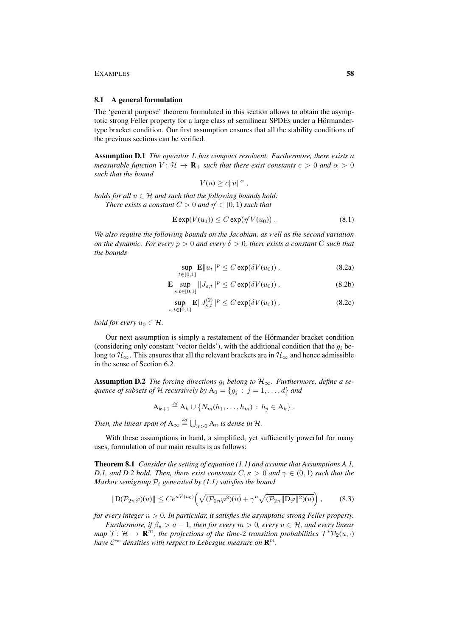### 8.1 A general formulation

The 'general purpose' theorem formulated in this section allows to obtain the asymptotic strong Feller property for a large class of semilinear SPDEs under a Hörmandertype bracket condition. Our first assumption ensures that all the stability conditions of the previous sections can be verified.

Assumption D.1 *The operator* L *has compact resolvent. Furthermore, there exists a measurable function*  $V: \mathcal{H} \to \mathbf{R}_{+}$  *such that there exist constants*  $c > 0$  *and*  $\alpha > 0$ *such that the bound*

$$
V(u) \ge c \|u\|^{\alpha}
$$

*holds for all*  $u \in H$  *and such that the following bounds hold: There exists a constant*  $C > 0$  *and*  $\eta' \in [0, 1)$  *such that* 

$$
\mathbf{E} \exp(V(u_1)) \le C \exp(\eta' V(u_0)). \tag{8.1}
$$

*,*

*We also require the following bounds on the Jacobian, as well as the second variation on the dynamic. For every*  $p > 0$  *and every*  $\delta > 0$ *, there exists a constant* C *such that the bounds*

$$
\sup_{t \in [0,1]} \mathbf{E} \|u_t\|^p \le C \exp(\delta V(u_0)), \tag{8.2a}
$$

$$
\mathbf{E} \sup_{s,t \in [0,1]} \|J_{s,t}\|^p \le C \exp(\delta V(u_0)), \tag{8.2b}
$$

$$
\sup_{s,t \in [0,1]} \mathbf{E} ||J_{s,t}^{(2)}||^p \le C \exp(\delta V(u_0)), \tag{8.2c}
$$

*hold for every*  $u_0 \in \mathcal{H}$ .

Our next assumption is simply a restatement of the Hörmander bracket condition (considering only constant 'vector fields'), with the additional condition that the  $g_i$  belong to  $\mathcal{H}_{\infty}$ . This ensures that all the relevant brackets are in  $\mathcal{H}_{\infty}$  and hence admissible in the sense of Section 6.2.

**Assumption D.2** *The forcing directions*  $g_i$  *belong to*  $H_{\infty}$ *. Furthermore, define a sequence of subsets of* H *recursively by*  $A_0 = \{g_j : j = 1, ..., d\}$  *and* 

$$
A_{k+1} \stackrel{\text{def}}{=} A_k \cup \{N_m(h_1,\ldots,h_m) : h_j \in A_k\}.
$$

*Then, the linear span of*  $A_{\infty} \stackrel{\text{\tiny def}}{=} \bigcup_{n>0} A_n$  *is dense in* H.

With these assumptions in hand, a simplified, yet sufficiently powerful for many uses, formulation of our main results is as follows:

Theorem 8.1 *Consider the setting of equation (1.1) and assume that Assumptions A.1, D.1, and D.2 hold. Then, there exist constants*  $C, \kappa > 0$  *and*  $\gamma \in (0, 1)$  *such that the Markov semigroup*  $P_t$  *generated by (1.1) satisfies the bound* 

$$
\|\mathcal{D}(\mathcal{P}_{2n}\varphi)(u)\| \le Ce^{\kappa V(u_0)} \left(\sqrt{(\mathcal{P}_{2n}\varphi^2)(u)} + \gamma^n \sqrt{(\mathcal{P}_{2n} \|\mathcal{D}\varphi\|^2)(u)}\right),\tag{8.3}
$$

*for every integer* n > 0*. In particular, it satisfies the asymptotic strong Feller property.*

*Furthermore, if*  $\beta_{\star} > a - 1$ *, then for every*  $m > 0$ *, every*  $u \in H$ *, and every linear map*  $\mathcal{T} \colon \mathcal{H} \to \mathbf{R}^m$ , the projections of the time-2 transition probabilities  $\mathcal{T}^* \mathcal{P}_2(u, \cdot)$ have  $\mathcal{C}^\infty$  densities with respect to Lebesgue measure on  $\mathbf{R}^m.$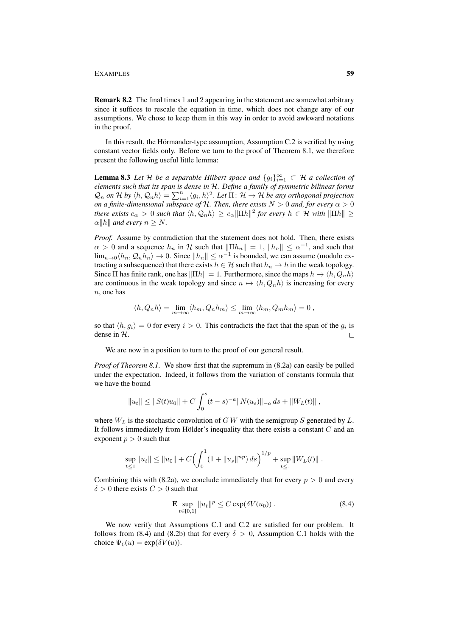Remark 8.2 The final times 1 and 2 appearing in the statement are somewhat arbitrary since it suffices to rescale the equation in time, which does not change any of our assumptions. We chose to keep them in this way in order to avoid awkward notations in the proof.

In this result, the Hörmander-type assumption, Assumption C.2 is verified by using constant vector fields only. Before we turn to the proof of Theorem 8.1, we therefore present the following useful little lemma:

**Lemma 8.3** *Let*  $H$  *be a separable Hilbert space and*  $\{g_i\}_{i=1}^{\infty} \subset H$  *a collection of elements such that its span is dense in* H*. Define a family of symmetric bilinear forms*  $\mathcal{Q}_n$  on H by  $\langle h, \mathcal{Q}_n h \rangle = \sum_{i=1}^n \langle g_i, h \rangle^2$ . Let  $\Pi \colon \mathcal{H} \to \mathcal{H}$  be any orthogonal projection *on a finite-dimensional subspace of H. Then, there exists*  $N > 0$  *and, for every*  $\alpha > 0$ *there exists*  $c_{\alpha} > 0$  *such that*  $\langle h, Q_n h \rangle \ge c_{\alpha} ||\Pi h||^2$  for every  $h \in \mathcal{H}$  with  $||\Pi h|| \ge$  $\alpha$ ||h|| and every  $n \geq N$ .

*Proof.* Assume by contradiction that the statement does not hold. Then, there exists  $\alpha > 0$  and a sequence  $h_n$  in H such that  $\|\Pi h_n\| = 1$ ,  $\|h_n\| \leq \alpha^{-1}$ , and such that  $\lim_{n\to 0} \langle h_n, Q_n h_n \rangle \to 0$ . Since  $||h_n|| \le \alpha^{-1}$  is bounded, we can assume (modulo extracting a subsequence) that there exists  $h \in \mathcal{H}$  such that  $h_n \to h$  in the weak topology. Since Π has finite rank, one has  $\|\Pi h\| = 1$ . Furthermore, since the maps  $h \mapsto \langle h, Q_n h \rangle$ are continuous in the weak topology and since  $n \mapsto \langle h, Q_n h \rangle$  is increasing for every n, one has

$$
\langle h, Q_n h \rangle = \lim_{m \to \infty} \langle h_m, Q_n h_m \rangle \le \lim_{m \to \infty} \langle h_m, Q_m h_m \rangle = 0,
$$

so that  $\langle h, g_i \rangle = 0$  for every  $i > 0$ . This contradicts the fact that the span of the  $g_i$  is dense in H.  $\Box$ 

We are now in a position to turn to the proof of our general result.

*Proof of Theorem 8.1.* We show first that the supremum in  $(8.2a)$  can easily be pulled under the expectation. Indeed, it follows from the variation of constants formula that we have the bound

$$
||u_t|| \leq ||S(t)u_0|| + C \int_0^s (t-s)^{-a} ||N(u_s)||_{-a} ds + ||W_L(t)||,
$$

where  $W_L$  is the stochastic convolution of G W with the semigroup S generated by L. It follows immediately from Hölder's inequality that there exists a constant  $C$  and an exponent  $p > 0$  such that

$$
\sup_{t\leq 1} \|u_t\| \leq \|u_0\| + C \Big(\int_0^1 (1 + \|u_s\|^{np}) ds\Big)^{1/p} + \sup_{t\leq 1} \|W_L(t)\|.
$$

Combining this with (8.2a), we conclude immediately that for every  $p > 0$  and every  $\delta > 0$  there exists  $C > 0$  such that

$$
\mathbf{E} \sup_{t \in [0,1]} ||u_t||^p \le C \exp(\delta V(u_0)). \tag{8.4}
$$

We now verify that Assumptions C.1 and C.2 are satisfied for our problem. It follows from (8.4) and (8.2b) that for every  $\delta > 0$ , Assumption C.1 holds with the choice  $\Psi_0(u) = \exp(\delta V(u))$ .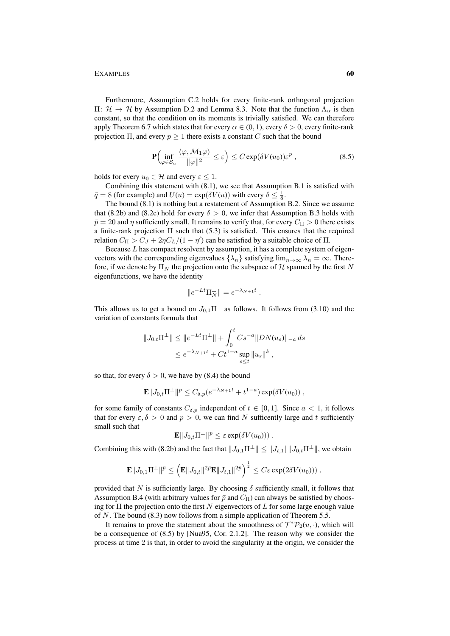Furthermore, Assumption C.2 holds for every finite-rank orthogonal projection  $\Pi: \mathcal{H} \to \mathcal{H}$  by Assumption D.2 and Lemma 8.3. Note that the function  $Λ_{\alpha}$  is then constant, so that the condition on its moments is trivially satisfied. We can therefore apply Theorem 6.7 which states that for every  $\alpha \in (0, 1)$ , every  $\delta > 0$ , every finite-rank projection  $\Pi$ , and every  $p \geq 1$  there exists a constant C such that the bound

$$
\mathbf{P}\Big(\inf_{\varphi \in \mathcal{S}_{\alpha}} \frac{\langle \varphi, \mathcal{M}_1 \varphi \rangle}{\|\varphi\|^2} \le \varepsilon\Big) \le C \exp(\delta V(u_0)) \varepsilon^p ,\tag{8.5}
$$

holds for every  $u_0 \in \mathcal{H}$  and every  $\varepsilon \leq 1$ .

Combining this statement with (8.1), we see that Assumption B.1 is satisfied with  $\bar{q} = 8$  (for example) and  $U(u) = \exp(\delta V(u))$  with every  $\delta \le \frac{1}{8}$ .

The bound (8.1) is nothing but a restatement of Assumption B.2. Since we assume that (8.2b) and (8.2c) hold for every  $\delta > 0$ , we infer that Assumption B.3 holds with  $\bar{p} = 20$  and  $\eta$  sufficiently small. It remains to verify that, for every  $C_{\Pi} > 0$  there exists a finite-rank projection Π such that (5.3) is satisfied. This ensures that the required relation  $C_{\Pi} > C_J + 2\eta C_L/(1 - \eta')$  can be satisfied by a suitable choice of  $\Pi$ .

Because  $L$  has compact resolvent by assumption, it has a complete system of eigenvectors with the corresponding eigenvalues  $\{\lambda_n\}$  satisfying  $\lim_{n\to\infty}\lambda_n = \infty$ . Therefore, if we denote by  $\Pi_N$  the projection onto the subspace of H spanned by the first N eigenfunctions, we have the identity

$$
\|e^{-Lt}\Pi_N^{\perp}\|=e^{-\lambda_{N+1}t}\;.
$$

This allows us to get a bound on  $J_{0,1}\Pi^{\perp}$  as follows. It follows from (3.10) and the variation of constants formula that

$$
||J_{0,t}\Pi^{\perp}|| \le ||e^{-Lt}\Pi^{\perp}|| + \int_0^t Cs^{-a}||DN(u_s)||_{-a} ds
$$
  

$$
\le e^{-\lambda_{N+1}t} + Ct^{1-a}\sup_{s\le t}||u_s||^k,
$$

so that, for every  $\delta > 0$ , we have by (8.4) the bound

$$
\mathbf{E}||J_{0,t}\Pi^{\perp}||^p \leq C_{\delta,p}(e^{-\lambda_{N+1}t} + t^{1-a})\exp(\delta V(u_0)),
$$

for some family of constants  $C_{\delta,p}$  independent of  $t \in [0,1]$ . Since  $a < 1$ , it follows that for every  $\epsilon, \delta > 0$  and  $p > 0$ , we can find N sufficently large and t sufficiently small such that

$$
\mathbf{E}||J_{0,t}\Pi^{\perp}||^p \leq \varepsilon \exp(\delta V(u_0))).
$$

Combining this with (8.2b) and the fact that  $||J_{0,1}\Pi^{\perp}|| \le ||J_{t,1}|| ||J_{0,t}\Pi^{\perp}||$ , we obtain

$$
\mathbf{E} \|J_{0,1} \Pi^{\perp} \|^{ \bar{p}} \leq \left( \mathbf{E} \|J_{0,t}\|^{2\bar{p}} \mathbf{E} \|J_{t,1} \|^{2\bar{p}} \right)^{\frac{1}{2}} \leq C \varepsilon \exp( 2\delta V(u_0) ) ) \;,
$$

provided that N is sufficiently large. By choosing  $\delta$  sufficiently small, it follows that Assumption B.4 (with arbitrary values for  $\bar{p}$  and  $C_{\Pi}$ ) can always be satisfied by choosing for  $\Pi$  the projection onto the first N eigenvectors of L for some large enough value of N. The bound (8.3) now follows from a simple application of Theorem 5.5.

It remains to prove the statement about the smoothness of  $\mathcal{T}^* \mathcal{P}_2(u, \cdot)$ , which will be a consequence of (8.5) by [Nua95, Cor. 2.1.2]. The reason why we consider the process at time 2 is that, in order to avoid the singularity at the origin, we consider the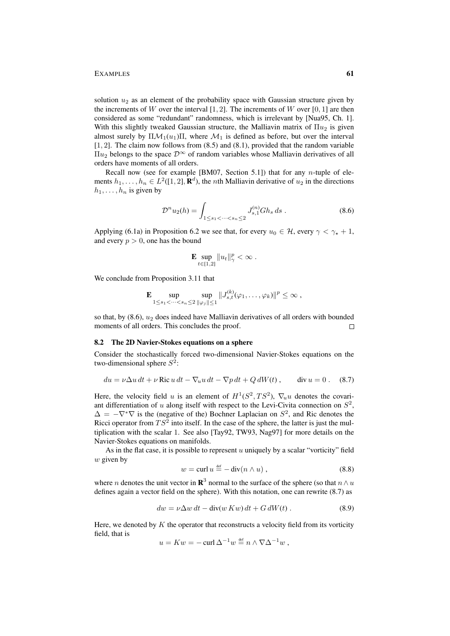solution  $u_2$  as an element of the probability space with Gaussian structure given by the increments of W over the interval  $[1, 2]$ . The increments of W over  $[0, 1]$  are then considered as some "redundant" randomness, which is irrelevant by [Nua95, Ch. 1]. With this slightly tweaked Gaussian structure, the Malliavin matrix of  $\Pi u_2$  is given almost surely by  $\Pi \mathcal{M}_1(u_1) \Pi$ , where  $\mathcal{M}_1$  is defined as before, but over the interval [1, 2]. The claim now follows from (8.5) and (8.1), provided that the random variable  $\Pi u_2$  belongs to the space  $\mathcal{D}^{\infty}$  of random variables whose Malliavin derivatives of all orders have moments of all orders.

Recall now (see for example [BM07, Section 5.1]) that for any *n*-tuple of elements  $h_1, \ldots, h_n \in L^2([1, 2], \mathbf{R}^d)$ , the *n*th Malliavin derivative of  $u_2$  in the directions  $h_1, \ldots, h_n$  is given by

$$
\mathcal{D}^n u_2(h) = \int_{1 \le s_1 < \dots < s_n \le 2} J_{s,1}^{(n)} Gh_s ds . \tag{8.6}
$$

Applying (6.1a) in Proposition 6.2 we see that, for every  $u_0 \in \mathcal{H}$ , every  $\gamma < \gamma_* + 1$ , and every  $p > 0$ , one has the bound

$$
\mathbf{E} \sup_{t \in [1,2]} \|u_t\|_{\gamma}^p < \infty.
$$

We conclude from Proposition 3.11 that

$$
\mathbf{E} \sup_{1 \leq s_1 < \dots < s_n \leq 2} \sup_{\|\varphi_j\| \leq 1} \|J_{s,t}^{(k)}(\varphi_1, \dots, \varphi_k)\|^p \leq \infty ,
$$

so that, by  $(8.6)$ ,  $u_2$  does indeed have Malliavin derivatives of all orders with bounded moments of all orders. This concludes the proof.  $\Box$ 

# 8.2 The 2D Navier-Stokes equations on a sphere

Consider the stochastically forced two-dimensional Navier-Stokes equations on the two-dimensional sphere  $S^2$ :

$$
du = \nu \Delta u \, dt + \nu \operatorname{Ric} u \, dt - \nabla_u u \, dt - \nabla p \, dt + Q \, dW(t) \,, \qquad \text{div } u = 0 \,. \tag{8.7}
$$

Here, the velocity field u is an element of  $H^1(S^2, TS^2)$ ,  $\nabla_u u$  denotes the covariant differentiation of u along itself with respect to the Levi-Civita connection on  $S^2$ ,  $\Delta = -\nabla^*\nabla$  is the (negative of the) Bochner Laplacian on  $S^2$ , and Ric denotes the Ricci operator from  $TS^2$  into itself. In the case of the sphere, the latter is just the multiplication with the scalar 1. See also [Tay92, TW93, Nag97] for more details on the Navier-Stokes equations on manifolds.

As in the flat case, it is possible to represent  $u$  uniquely by a scalar "vorticity" field  $w$  given by

$$
w = \operatorname{curl} u \stackrel{\text{def}}{=} -\operatorname{div}(n \wedge u) , \qquad (8.8)
$$

where *n* denotes the unit vector in  $\mathbb{R}^3$  normal to the surface of the sphere (so that  $n \wedge u$ defines again a vector field on the sphere). With this notation, one can rewrite (8.7) as

$$
dw = \nu \Delta w dt - \operatorname{div}(w Kw) dt + G dW(t).
$$
 (8.9)

Here, we denoted by  $K$  the operator that reconstructs a velocity field from its vorticity field, that is

$$
u = Kw = -\operatorname{curl} \Delta^{-1} w \stackrel{\text{\tiny def}}{=} n \wedge \nabla \Delta^{-1} w ,
$$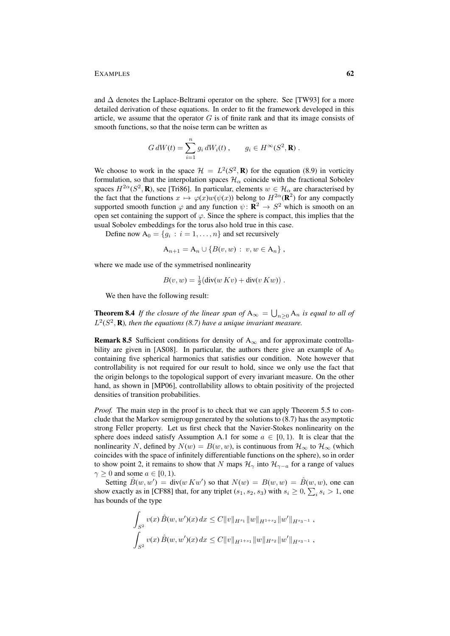and  $\Delta$  denotes the Laplace-Beltrami operator on the sphere. See [TW93] for a more detailed derivation of these equations. In order to fit the framework developed in this article, we assume that the operator  $G$  is of finite rank and that its image consists of smooth functions, so that the noise term can be written as

$$
G dW(t) = \sum_{i=1}^{n} g_i dW_i(t) , \qquad g_i \in H^{\infty}(S^2, \mathbf{R}) .
$$

We choose to work in the space  $\mathcal{H} = L^2(S^2, \mathbf{R})$  for the equation (8.9) in vorticity formulation, so that the interpolation spaces  $\mathcal{H}_{\alpha}$  coincide with the fractional Sobolev spaces  $H^{2\alpha}(S^2, \mathbf{R})$ , see [Tri86]. In particular, elements  $w \in \mathcal{H}_\alpha$  are characterised by the fact that the functions  $x \mapsto \varphi(x)w(\psi(x))$  belong to  $H^{2\alpha}(\mathbf{R}^2)$  for any compactly supported smooth function  $\varphi$  and any function  $\psi \colon \mathbf{R}^2 \to S^2$  which is smooth on an open set containing the support of  $\varphi$ . Since the sphere is compact, this implies that the usual Sobolev embeddings for the torus also hold true in this case.

Define now  $A_0 = \{g_i : i = 1, \dots, n\}$  and set recursively

$$
A_{n+1} = A_n \cup \{B(v, w) : v, w \in A_n\},\
$$

where we made use of the symmetrised nonlinearity

$$
B(v, w) = \frac{1}{2}(\text{div}(w Kv) + \text{div}(v Kw)).
$$

We then have the following result:

**Theorem 8.4** If the closure of the linear span of  $A_{\infty} = \bigcup_{n \geq 0} A_n$  is equal to all of  $L^2(S^2, \mathbf{R})$ , then the equations (8.7) have a unique invariant measure.

**Remark 8.5** Sufficient conditions for density of  $A_{\infty}$  and for approximate controllability are given in [AS08]. In particular, the authors there give an example of  $A_0$ containing five spherical harmonics that satisfies our condition. Note however that controllability is not required for our result to hold, since we only use the fact that the origin belongs to the topological support of every invariant measure. On the other hand, as shown in [MP06], controllability allows to obtain positivity of the projected densities of transition probabilities.

*Proof.* The main step in the proof is to check that we can apply Theorem 5.5 to conclude that the Markov semigroup generated by the solutions to (8.7) has the asymptotic strong Feller property. Let us first check that the Navier-Stokes nonlinearity on the sphere does indeed satisfy Assumption A.1 for some  $a \in [0, 1)$ . It is clear that the nonlinearity N, defined by  $N(w) = B(w, w)$ , is continuous from  $\mathcal{H}_{\infty}$  to  $\mathcal{H}_{\infty}$  (which coincides with the space of infinitely differentiable functions on the sphere), so in order to show point 2, it remains to show that N maps  $\mathcal{H}_{\gamma}$  into  $\mathcal{H}_{\gamma-a}$  for a range of values  $\gamma \geq 0$  and some  $a \in [0, 1)$ .

Setting  $\hat{B}(w, w') = \text{div}(w K w')$  so that  $N(w) = B(w, w) = \hat{B}(w, w)$ , one can show exactly as in [CF88] that, for any triplet  $(s_1, s_2, s_3)$  with  $s_i \geq 0$ ,  $\sum_i s_i > 1$ , one has bounds of the type

$$
\int_{S^2} v(x) \hat{B}(w, w')(x) dx \leq C ||v||_{H^{s_1}} ||w||_{H^{1+s_2}} ||w'||_{H^{s_3-1}},
$$
  

$$
\int_{S^2} v(x) \hat{B}(w, w')(x) dx \leq C ||v||_{H^{1+s_1}} ||w||_{H^{s_2}} ||w'||_{H^{s_3-1}},
$$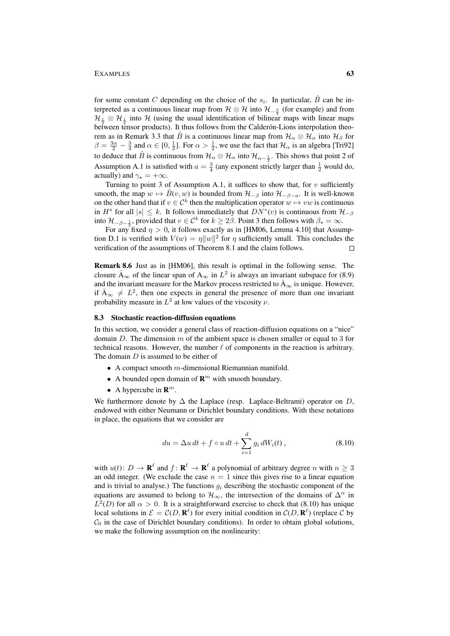for some constant C depending on the choice of the  $s_i$ . In particular,  $\hat{B}$  can be interpreted as a continuous linear map from  $\mathcal{H} \otimes \mathcal{H}$  into  $\mathcal{H}_{-\frac{3}{4}}$  (for example) and from  $\mathcal{H}_{\frac{1}{2}} \otimes \mathcal{H}_{\frac{1}{2}}$  into  $\mathcal{H}$  (using the usual identification of bilinear maps with linear maps between tensor products). It thus follows from the Calderón-Lions interpolation theorem as in Remark 3.3 that  $\hat{B}$  is a continuous linear map from  $\mathcal{H}_{\alpha}\otimes\mathcal{H}_{\alpha}$  into  $\mathcal{H}_{\beta}$  for  $\beta = \frac{3\alpha}{2} - \frac{3}{4}$  and  $\alpha \in [0, \frac{1}{2}]$ . For  $\alpha > \frac{1}{2}$ , we use the fact that  $\mathcal{H}_{\alpha}$  is an algebra [Tri92] to deduce that  $\hat{B}$  is continuous from  $\mathcal{H}_{\alpha}\otimes\mathcal{H}_{\alpha}$  into  $\mathcal{H}_{\alpha-\frac{1}{2}}$ . This shows that point 2 of Assumption A.1 is satisfied with  $a = \frac{3}{4}$  (any exponent strictly larger than  $\frac{1}{2}$  would do, actually) and  $\gamma_* = +\infty$ .

Turning to point 3 of Assumption A.1, it suffices to show that, for  $v$  sufficiently smooth, the map  $w \mapsto \hat{B}(v, w)$  is bounded from  $\mathcal{H}_{-\beta}$  into  $\mathcal{H}_{-\beta-a}$ . It is well-known on the other hand that if  $v \in \mathcal{C}^k$  then the multiplication operator  $w \mapsto vw$  is continuous in  $H^s$  for all  $|s| \leq k$ . It follows immediately that  $DN^*(v)$  is continuous from  $\mathcal{H}_{-\beta}$ into  $\mathcal{H}_{-\beta-\frac{1}{2}}$ , provided that  $v \in \mathcal{C}^k$  for  $k \ge 2\beta$ . Point 3 then follows with  $\beta_{\star} = \infty$ .

For any fixed  $\eta > 0$ , it follows exactly as in [HM06, Lemma 4.10] that Assumption D.1 is verified with  $V(w) = \eta ||w||^2$  for  $\eta$  sufficiently small. This concludes the verification of the assumptions of Theorem 8.1 and the claim follows.  $\Box$ 

Remark 8.6 Just as in [HM06], this result is optimal in the following sense. The closure  $\bar{A}_{\infty}$  of the linear span of  $A_{\infty}$  in  $L^2$  is always an invariant subspace for (8.9) and the invariant measure for the Markov process restricted to  $\bar{A}_{\infty}$  is unique. However, if  $\bar{A}_{\infty} \neq L^2$ , then one expects in general the presence of more than one invariant probability measure in  $L^2$  at low values of the viscosity  $\nu$ .

# 8.3 Stochastic reaction-diffusion equations

In this section, we consider a general class of reaction-diffusion equations on a "nice" domain D. The dimension  $m$  of the ambient space is chosen smaller or equal to 3 for technical reasons. However, the number  $\ell$  of components in the reaction is arbitrary. The domain  $D$  is assumed to be either of

- A compact smooth  $m$ -dimensional Riemannian manifold.
- A bounded open domain of  $\mathbf{R}^m$  with smooth boundary.
- A hypercube in  $\mathbf{R}^m$ .

We furthermore denote by  $\Delta$  the Laplace (resp. Laplace-Beltrami) operator on D, endowed with either Neumann or Dirichlet boundary conditions. With these notations in place, the equations that we consider are

$$
du = \Delta u \, dt + f \circ u \, dt + \sum_{i=1}^{d} g_i \, dW_i(t) \,, \tag{8.10}
$$

with  $u(t)$ :  $D \to \mathbf{R}^{\ell}$  and  $f: \mathbf{R}^{\ell} \to \mathbf{R}^{\ell}$  a polynomial of arbitrary degree n with  $n \geq 3$ an odd integer. (We exclude the case  $n = 1$  since this gives rise to a linear equation and is trivial to analyse.) The functions  $q_i$  describing the stochastic component of the equations are assumed to belong to  $\mathcal{H}_{\infty}$ , the intersection of the domains of  $\Delta^{\alpha}$  in  $L^2(D)$  for all  $\alpha > 0$ . It is a straightforward exercise to check that (8.10) has unique local solutions in  $\mathcal{E} = C(D, \mathbf{R}^{\ell})$  for every initial condition in  $C(D, \mathbf{R}^{\ell})$  (replace  $\mathcal{C}$  by  $C_0$  in the case of Dirichlet boundary conditions). In order to obtain global solutions, we make the following assumption on the nonlinearity: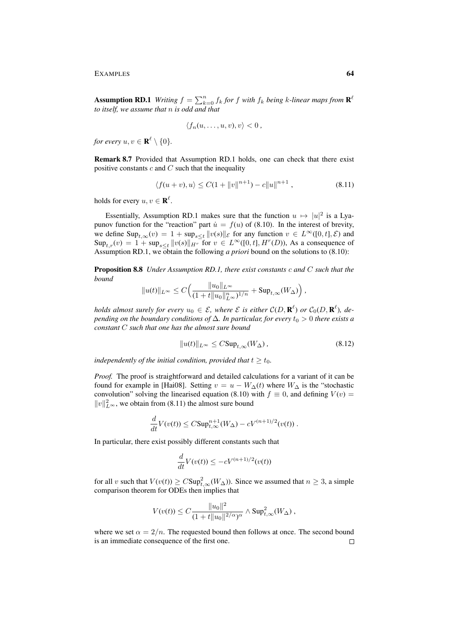Assumption RD.1 *Writing*  $f = \sum_{k=0}^{n} f_k$  for f with  $f_k$  being k-linear maps from  $\mathbf{R}^k$ *to itself, we assume that* n *is odd and that*

$$
\langle f_n(u,\ldots,u,v),v\rangle<0\,,
$$

*for every*  $u, v \in \mathbf{R}^{\ell} \setminus \{0\}.$ 

Remark 8.7 Provided that Assumption RD.1 holds, one can check that there exist positive constants  $c$  and  $C$  such that the inequality

$$
\langle f(u+v), u \rangle \le C(1 + \|v\|^{n+1}) - c\|u\|^{n+1}, \tag{8.11}
$$

holds for every  $u, v \in \mathbf{R}^{\ell}$ .

Essentially, Assumption RD.1 makes sure that the function  $u \mapsto |u|^2$  is a Lyapunov function for the "reaction" part  $\dot{u} = f(u)$  of (8.10). In the interest of brevity, we define  $\text{Sup}_{t,\infty}(v) = 1 + \text{sup}_{s \leq t} ||v(s)||_{\mathcal{E}}$  for any function  $v \in L^{\infty}([0,t],\mathcal{E})$  and  $\text{Sup}_{t,r}(v) = 1 + \text{sup}_{s \le t} ||v(s)||_{H^r}$  for  $v \in L^{\infty}([0, t], H^r(D))$ , As a consequence of Assumption RD.1, we obtain the following *a priori* bound on the solutions to (8.10):

Proposition 8.8 *Under Assumption RD.1, there exist constants* c *and* C *such that the bound*

$$
||u(t)||_{L^{\infty}} \leq C \Big( \frac{||u_0||_{L^{\infty}}}{(1+t||u_0||_{L^{\infty}}^n)^{1/n}} + \text{Sup}_{t,\infty}(W_{\Delta}) \Big) ,
$$

*holds almost surely for every*  $u_0 \in \mathcal{E}$ , where  $\mathcal{E}$  is either  $\mathcal{C}(D,\mathbf{R}^{\ell})$  or  $\mathcal{C}_0(D,\mathbf{R}^{\ell})$ , de*pending on the boundary conditions of*  $\Delta$ *. In particular, for every*  $t_0 > 0$  *there exists a constant* C *such that one has the almost sure bound*

$$
||u(t)||_{L^{\infty}} \leq C\text{Sup}_{t,\infty}(W_{\Delta}), \qquad (8.12)
$$

*independently of the initial condition, provided that*  $t > t_0$ *.* 

*Proof.* The proof is straightforward and detailed calculations for a variant of it can be found for example in [Hai08]. Setting  $v = u - W_{\Delta}(t)$  where  $W_{\Delta}$  is the "stochastic convolution" solving the linearised equation (8.10) with  $f \equiv 0$ , and defining  $V(v) =$  $||v||_{L^{\infty}}^2$ , we obtain from (8.11) the almost sure bound

$$
\frac{d}{dt}V(v(t)) \leq C\mathrm{Sup}_{t,\infty}^{n+1}(W_{\Delta}) - cV^{(n+1)/2}(v(t)) .
$$

In particular, there exist possibly different constants such that

$$
\frac{d}{dt}V(v(t)) \le -cV^{(n+1)/2}(v(t))
$$

for all v such that  $V(v(t)) \geq C \text{Sup}_{t,\infty}^2(W_\Delta)$ ). Since we assumed that  $n \geq 3$ , a simple comparison theorem for ODEs then implies that

$$
V(v(t)) \leq C \frac{\|u_0\|^2}{(1+t\|u_0\|^{2/\alpha})^{\alpha}} \wedge \text{Sup}_{t,\infty}^2(W_{\Delta}),
$$

where we set  $\alpha = 2/n$ . The requested bound then follows at once. The second bound is an immediate consequence of the first one. $\Box$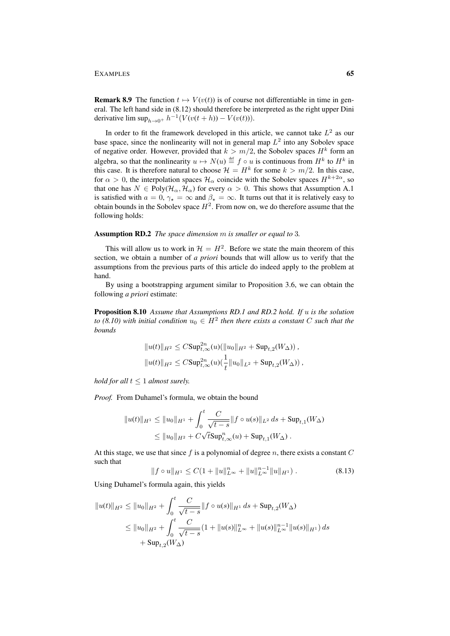**Remark 8.9** The function  $t \mapsto V(v(t))$  is of course not differentiable in time in general. The left hand side in (8.12) should therefore be interpreted as the right upper Dini derivative lim  $\sup_{h\to 0^+} h^{-1}(V(v(t+h)) - V(v(t))).$ 

In order to fit the framework developed in this article, we cannot take  $L^2$  as our base space, since the nonlinearity will not in general map  $L^2$  into any Sobolev space of negative order. However, provided that  $k > m/2$ , the Sobolev spaces  $H<sup>k</sup>$  form an algebra, so that the nonlinearity  $u \mapsto N(u) \stackrel{\text{def}}{=} f \circ u$  is continuous from  $H^k$  to  $H^k$  in this case. It is therefore natural to choose  $\mathcal{H} = H^k$  for some  $k > m/2$ . In this case, for  $\alpha > 0$ , the interpolation spaces  $\mathcal{H}_{\alpha}$  coincide with the Sobolev spaces  $H^{k+2\alpha}$ , so that one has  $N \in Poly(\mathcal{H}_{\alpha}, \mathcal{H}_{\alpha})$  for every  $\alpha > 0$ . This shows that Assumption A.1 is satisfied with  $a = 0$ ,  $\gamma_{\star} = \infty$  and  $\beta_{\star} = \infty$ . It turns out that it is relatively easy to obtain bounds in the Sobolev space  $H^2$ . From now on, we do therefore assume that the following holds:

# Assumption RD.2 *The space dimension* m *is smaller or equal to* 3*.*

This will allow us to work in  $\mathcal{H} = H^2$ . Before we state the main theorem of this section, we obtain a number of *a priori* bounds that will allow us to verify that the assumptions from the previous parts of this article do indeed apply to the problem at hand.

By using a bootstrapping argument similar to Proposition 3.6, we can obtain the following *a priori* estimate:

Proposition 8.10 *Assume that Assumptions RD.1 and RD.2 hold. If* u *is the solution to (8.10) with initial condition*  $u_0 \in H^2$  then there exists a constant C such that the *bounds*

$$
||u(t)||_{H^2} \leq C\text{Sup}_{t,\infty}^{2n}(u)(||u_0||_{H^2} + \text{Sup}_{t,2}(W_{\Delta})),
$$
  

$$
||u(t)||_{H^2} \leq C\text{Sup}_{t,\infty}^{2n}(u)(\frac{1}{t}||u_0||_{L^2} + \text{Sup}_{t,2}(W_{\Delta}))
$$

*hold for all*  $t < 1$  *almost surely.* 

*Proof.* From Duhamel's formula, we obtain the bound

$$
||u(t)||_{H^1} \le ||u_0||_{H^1} + \int_0^t \frac{C}{\sqrt{t-s}} ||f \circ u(s)||_{L^2} ds + \text{Sup}_{t,1}(W_\Delta)
$$
  

$$
\le ||u_0||_{H^2} + C\sqrt{t} \text{Sup}_{t,\infty}^n(u) + \text{Sup}_{t,1}(W_\Delta).
$$

At this stage, we use that since  $f$  is a polynomial of degree  $n$ , there exists a constant  $C$ such that

$$
||f \circ u||_{H^1} \le C(1 + ||u||_{L^{\infty}}^n + ||u||_{L^{\infty}}^{n-1} ||u||_{H^1}). \tag{8.13}
$$

Using Duhamel's formula again, this yields

$$
||u(t)||_{H^2} \le ||u_0||_{H^2} + \int_0^t \frac{C}{\sqrt{t-s}} ||f \circ u(s)||_{H^1} ds + \text{Sup}_{t,2}(W_\Delta)
$$
  
\n
$$
\le ||u_0||_{H^2} + \int_0^t \frac{C}{\sqrt{t-s}} (1 + ||u(s)||_{L^\infty}^n + ||u(s)||_{L^\infty}^{n-1} ||u(s)||_{H^1} ds
$$
  
\n
$$
+ \text{Sup}_{t,2}(W_\Delta)
$$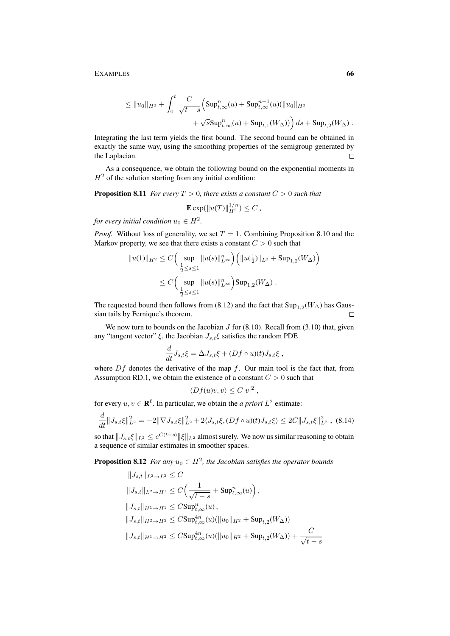$$
\leq ||u_0||_{H^2} + \int_0^t \frac{C}{\sqrt{t-s}} \Big( \mathrm{Sup}_{t,\infty}^n(u) + \mathrm{Sup}_{t,\infty}^{n-1}(u) (||u_0||_{H^2} + \sqrt{s} \mathrm{Sup}_{t,\infty}^n(u) + \mathrm{Sup}_{t,1}(W_\Delta)) \Big) ds + \mathrm{Sup}_{t,2}(W_\Delta) .
$$

Integrating the last term yields the first bound. The second bound can be obtained in exactly the same way, using the smoothing properties of the semigroup generated by the Laplacian.  $\Box$ 

As a consequence, we obtain the following bound on the exponential moments in  $H<sup>2</sup>$  of the solution starting from any initial condition:

**Proposition 8.11** *For every*  $T > 0$ *, there exists a constant*  $C > 0$  *such that* 

 $\mathbf{E} \exp(||u(T)||_{H^2}^{1/n}) \leq C$ ,

*for every initial condition*  $u_0 \in H^2$ .

*Proof.* Without loss of generality, we set  $T = 1$ . Combining Proposition 8.10 and the Markov property, we see that there exists a constant  $C > 0$  such that

$$
||u(1)||_{H^2} \leq C \Big( \sup_{\frac{1}{2} \leq s \leq 1} ||u(s)||_{L^{\infty}}^n \Big) \Big( ||u(\frac{1}{2})||_{L^2} + \text{Sup}_{1,2}(W_{\Delta}) \Big)
$$
  

$$
\leq C \Big( \sup_{\frac{1}{2} \leq s \leq 1} ||u(s)||_{L^{\infty}}^n \Big) \text{Sup}_{1,2}(W_{\Delta}) .
$$

The requested bound then follows from (8.12) and the fact that  $\text{Sup}_{1,2}(W_{\Delta})$  has Gaussian tails by Fernique's theorem.  $\Box$ 

We now turn to bounds on the Jacobian  $J$  for (8.10). Recall from (3.10) that, given any "tangent vector"  $\xi$ , the Jacobian  $J_{s,t}\xi$  satisfies the random PDE

$$
\frac{d}{dt}J_{s,t}\xi = \Delta J_{s,t}\xi + (Df \circ u)(t)J_{s,t}\xi ,
$$

where  $Df$  denotes the derivative of the map  $f$ . Our main tool is the fact that, from Assumption RD.1, we obtain the existence of a constant  $C > 0$  such that

$$
\langle Df(u)v, v \rangle \leq C|v|^2,
$$

for every  $u, v \in \mathbf{R}^{\ell}$ . In particular, we obtain the *a priori*  $L^2$  estimate:

$$
\frac{d}{dt} \|J_{s,t}\xi\|_{L^2}^2 = -2\|\nabla J_{s,t}\xi\|_{L^2}^2 + 2\langle J_{s,t}\xi, (Df \circ u)(t)J_{s,t}\xi\rangle \le 2C\|J_{s,t}\xi\|_{L^2}^2 , \tag{8.14}
$$

so that  $\|J_{s,t}\xi\|_{L^2}\leq e^{C(t-s)}\|\xi\|_{L^2}$  almost surely. We now us similar reasoning to obtain a sequence of similar estimates in smoother spaces.

**Proposition 8.12** *For any*  $u_0 \in H^2$ , the Jacobian satisfies the operator bounds

$$
||J_{s,t}||_{L^2 \to L^2} \leq C
$$
  
\n
$$
||J_{s,t}||_{L^2 \to H^1} \leq C \Big( \frac{1}{\sqrt{t-s}} + \text{Sup}_{t,\infty}^n(u) \Big),
$$
  
\n
$$
||J_{s,t}||_{H^1 \to H^1} \leq C \text{Sup}_{t,\infty}^n(u),
$$
  
\n
$$
||J_{s,t}||_{H^2 \to H^2} \leq C \text{Sup}_{t,\infty}^{4n}(u) (\|u_0\|_{H^2} + \text{Sup}_{t,2}(W_{\Delta}))
$$
  
\n
$$
||J_{s,t}||_{H^1 \to H^2} \leq C \text{Sup}_{t,\infty}^{4n}(u) (\|u_0\|_{H^2} + \text{Sup}_{t,2}(W_{\Delta})) + \frac{C}{\sqrt{t-s}}
$$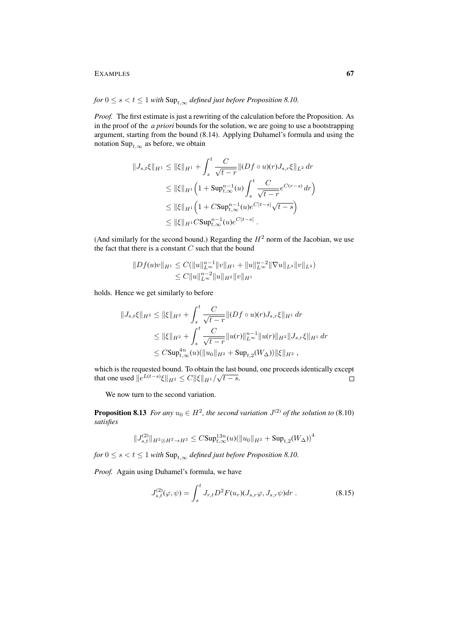# *for*  $0 \le s < t \le 1$  *with*  $\text{Sup}_{t,\infty}$  *defined just before Proposition 8.10.*

*Proof.* The first estimate is just a rewriting of the calculation before the Proposition. As in the proof of the *a priori* bounds for the solution, we are going to use a bootstrapping argument, starting from the bound (8.14). Applying Duhamel's formula and using the notation Sup<sub>t, $\infty$ </sub> as before, we obtain

$$
||J_{s,t}\xi||_{H^1} \le ||\xi||_{H^1} + \int_s^t \frac{C}{\sqrt{t-r}} ||(Df \circ u)(r)J_{s,r}\xi||_{L^2} dr
$$
  
\n
$$
\le ||\xi||_{H^1} \Big(1 + \text{Sup}_{t,\infty}^{n-1}(u) \int_s^t \frac{C}{\sqrt{t-r}} e^{C(r-s)} dr\Big)
$$
  
\n
$$
\le ||\xi||_{H^1} \Big(1 + C\text{Sup}_{t,\infty}^{n-1}(u) e^{C|t-s|} \sqrt{t-s}\Big)
$$
  
\n
$$
\le ||\xi||_{H^1} C\text{Sup}_{t,\infty}^{n-1}(u) e^{C|t-s|} .
$$

(And similarly for the second bound.) Regarding the  $H<sup>2</sup>$  norm of the Jacobian, we use the fact that there is a constant  $C$  such that the bound

$$
||Df(u)v||_{H^1} \leq C(||u||_{L^{\infty}}^{n-1} ||v||_{H^1} + ||u||_{L^{\infty}}^{n-2} ||\nabla u||_{L^4} ||v||_{L^4})
$$
  

$$
\leq C||u||_{L^{\infty}}^{n-2} ||u||_{H^2} ||v||_{H^1}
$$

holds. Hence we get similarly to before

$$
||J_{s,t}\xi||_{H^2} \le ||\xi||_{H^2} + \int_s^t \frac{C}{\sqrt{t-r}} ||(Df \circ u)(r)J_{s,r}\xi||_{H^1} dr
$$
  
\n
$$
\le ||\xi||_{H^2} + \int_s^t \frac{C}{\sqrt{t-r}} ||u(r)||_{L^\infty}^{n-1} ||u(r)||_{H^2} ||J_{s,r}\xi||_{H^1} dr
$$
  
\n
$$
\le C \text{Sup}_{t,\infty}^{4n} (u)(||u_0||_{H^2} + \text{Sup}_{t,2}(W_\Delta)) ||\xi||_{H^2},
$$

which is the requested bound. To obtain the last bound, one proceeds identically except which is the requested bound. To obtain the last that one used  $||e^{L(t-s)}\xi||_{H^2} \leq C ||\xi||_{H^1}/\sqrt{t-s}$ .

We now turn to the second variation.

**Proposition 8.13** *For any*  $u_0 \in H^2$ , the second variation  $J^{(2)}$  of the solution to (8.10) *satisfies*

$$
\|J_{s,t}^{(2)}\|_{H^2\otimes H^2\to H^2}\leq C\mathrm{Sup}^{13n}_{t,\infty}(u)(\|u_0\|_{H^2}+\mathrm{Sup}_{t,2}(W_{\Delta}))^4
$$

*for*  $0 \le s < t \le 1$  *with*  $\text{Sup}_{t,\infty}$  *defined just before Proposition 8.10.* 

*Proof.* Again using Duhamel's formula, we have

$$
J_{s,t}^{(2)}(\varphi,\psi) = \int_s^t J_{r,t} D^2 F(u_r) (J_{s,r}\varphi, J_{s,r}\psi) dr . \qquad (8.15)
$$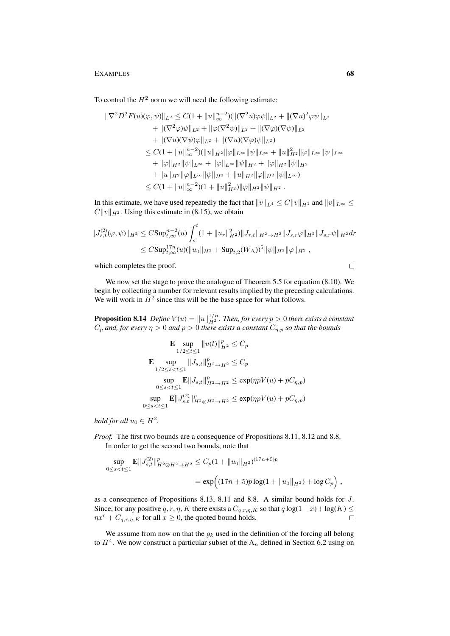To control the  $H^2$  norm we will need the following estimate:

$$
\|\nabla^2 D^2 F(u)(\varphi, \psi)\|_{L^2} \leq C(1 + \|u\|_{\infty}^{n-2})(\|(\nabla^2 u)\varphi\psi\|_{L^2} + \|(\nabla u)^2 \varphi\psi\|_{L^2} \n+ \|(\nabla^2 \varphi)\psi\|_{L^2} + \|\varphi(\nabla^2 \psi)\|_{L^2} + \|(\nabla \varphi)(\nabla \psi)\|_{L^2} \n+ \|(\nabla u)(\nabla \psi)\varphi\|_{L^2} + \|(\nabla u)(\nabla \varphi)\psi\|_{L^2}) \n\leq C(1 + \|u\|_{\infty}^{n-2})(\|u\|_{H^2}\|\varphi\|_{L^{\infty}}\|\psi\|_{L^{\infty}} + \|u\|_{H^2}^2\|\varphi\|_{L^{\infty}}\|\psi\|_{L^{\infty}} \n+ \|\varphi\|_{H^2}\|\psi\|_{L^{\infty}} + \|\varphi\|_{L^{\infty}}\|\psi\|_{H^2} + \|\varphi\|_{H^2}\|\psi\|_{H^2} \n+ \|u\|_{H^2}\|\varphi\|_{L^{\infty}}\|\psi\|_{H^2} + \|u\|_{H^2}\|\varphi\|_{H^2}\|\psi\|_{L^{\infty}}) \n\leq C(1 + \|u\|_{\infty}^{n-2})(1 + \|u\|_{H^2}^2)\|\varphi\|_{H^2}\|\psi\|_{H^2}.
$$

In this estimate, we have used repeatedly the fact that  $||v||_{L^4} \leq C||v||_{H^1}$  and  $||v||_{L^{\infty}} \leq$  $C||v||_{H^2}$ . Using this estimate in (8.15), we obtain

$$
||J_{s,t}^{(2)}(\varphi,\psi)||_{H^2} \leq C\text{Sup}_{t,\infty}^{n-2}(u) \int_s^t (1+||u_r||_{H^2}^2) ||J_{r,t}||_{H^2 \to H^2} ||J_{s,r}\varphi||_{H^2} ||J_{s,r}\psi||_{H^2} dr
$$
  

$$
\leq C\text{Sup}_{t,\infty}^{17n}(u)(||u_0||_{H^2} + \text{Sup}_{t,2}(W_{\Delta}))^5 ||\psi||_{H^2} ||\varphi||_{H^2},
$$

which completes the proof.

We now set the stage to prove the analogue of Theorem 5.5 for equation (8.10). We begin by collecting a number for relevant results implied by the preceding calculations. We will work in  $H^2$  since this will be the base space for what follows.

**Proposition 8.14** Define  $V(u) = ||u||_{H^2}^{1/n}$ . Then, for every  $p > 0$  there exists a constant  $C_p$  and, for every  $\eta > 0$  and  $p > 0$  there exists a constant  $C_{n,p}$  so that the bounds

$$
\mathbf{E} \sup_{1/2 \le t \le 1} \|u(t)\|_{H^2}^p \le C_p
$$
\n
$$
\mathbf{E} \sup_{1/2 \le s < t \le 1} \|J_{s,t}\|_{H^2 \to H^2}^p \le C_p
$$
\n
$$
\sup_{0 \le s < t \le 1} \mathbf{E} \|J_{s,t}\|_{H^2 \to H^2}^p \le \exp(\eta p V(u) + pC_{\eta, p})
$$
\n
$$
\sup_{0 \le s < t \le 1} \mathbf{E} \|J_{s,t}\|_{H^2 \otimes H^2 \to H^2}^p \le \exp(\eta p V(u) + pC_{\eta, p})
$$

*hold for all*  $u_0 \in H^2$ .

*Proof.* The first two bounds are a consequence of Propositions 8.11, 8.12 and 8.8. In order to get the second two bounds, note that

$$
\sup_{0 \le s < t \le 1} \mathbf{E} \| J_{s,t}^{(2)} \|_{H^2 \otimes H^2 \to H^2}^p \le C_p (1 + \| u_0 \|_{H^2})^{(17n+5)p} \\
= \exp \Big( (17n+5)p \log(1 + \| u_0 \|_{H^2}) + \log C_p \Big) \,,
$$

as a consequence of Propositions 8.13, 8.11 and 8.8. A similar bound holds for J. Since, for any positive q, r,  $\eta$ , K there exists a  $C_{q,r,\eta,K}$  so that  $q \log(1+x) + \log(K) \le$  $\eta x^r + C_{q,r,n,K}$  for all  $x \ge 0$ , the quoted bound holds.  $\Box$ 

We assume from now on that the  $g_k$  used in the definition of the forcing all belong to  $H<sup>4</sup>$ . We now construct a particular subset of the  $A<sub>n</sub>$  defined in Section 6.2 using on

 $\Box$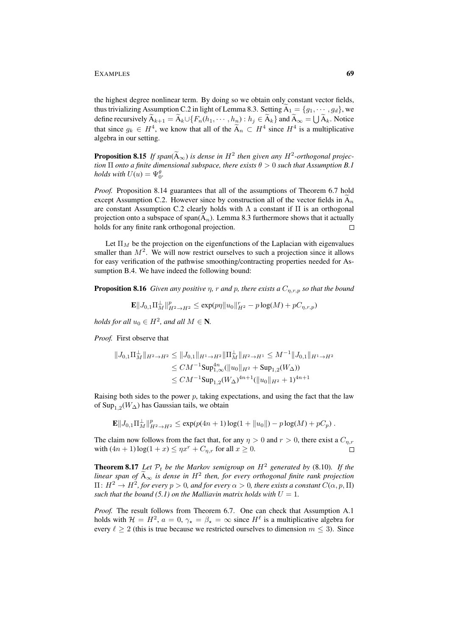the highest degree nonlinear term. By doing so we obtain only constant vector fields, thus trivializing Assumption C.2 in light of Lemma 8.3. Setting  $A_1 = \{g_1, \dots, g_d\}$ , we define recursively  $A_{k+1} = A_k \cup \{F_n(h_1, \dots, h_n) : h_j \in A_k\}$  and  $A_\infty = \bigcup A_k$ . Notice that since  $g_k \in H^4$ , we know that all of the  $A_n \subset H^4$  since  $H^4$  is a multiplicative algebra in our setting.

**Proposition 8.15** *If span*( $\tilde{A}_{\infty}$ ) *is dense in*  $H^2$  *then given any*  $H^2$ *-orthogonal projection tion*  $\Pi$  *onto a finite dimensional subspace, there exists*  $\theta > 0$  *such that Assumption B.1 holds with*  $U(u) = \Psi_0^{\theta}$ .

*Proof.* Proposition 8.14 guarantees that all of the assumptions of Theorem 6.7 hold except Assumption C.2. However since by construction all of the vector fields in  $A_n$ are constant Assumption C.2 clearly holds with  $\Lambda$  a constant if  $\Pi$  is an orthogonal projection onto a subspace of span( $\overline{A_n}$ ). Lemma 8.3 furthermore shows that it actually holds for any finite rank orthogonal projection. holds for any finite rank orthogonal projection.

Let  $\Pi_M$  be the projection on the eigenfunctions of the Laplacian with eigenvalues smaller than  $M^2$ . We will now restrict ourselves to such a projection since it allows for easy verification of the pathwise smoothing/contracting properties needed for Assumption B.4. We have indeed the following bound:

**Proposition 8.16** *Given any positive*  $\eta$ *, r and*  $p$ *, there exists a*  $C_{\eta,r,p}$  *so that the bound* 

 $\mathbf{E} ||J_{0,1} \Pi_M^{\perp}||_{H^2 \to H^2}^p \leq \exp(p\eta ||u_0||_{H^2}^r - p \log(M) + pC_{\eta,r,p})$ 

*holds for all*  $u_0 \in H^2$ *, and all*  $M \in \mathbb{N}$ *.* 

*Proof.* First observe that

$$
||J_{0,1}\Pi_M^{\perp}||_{H^2 \to H^2} \le ||J_{0,1}||_{H^1 \to H^2} ||\Pi_M^{\perp}||_{H^2 \to H^1} \le M^{-1} ||J_{0,1}||_{H^1 \to H^2}
$$
  
\n
$$
\le CM^{-1} \sup_{1,\infty} \left( ||u_0||_{H^2} + \sup_{1,2} (W_\Delta) \right)
$$
  
\n
$$
\le CM^{-1} \sup_{1,2} (W_\Delta)^{4n+1} (||u_0||_{H^2} + 1)^{4n+1}
$$

Raising both sides to the power  $p$ , taking expectations, and using the fact that the law of Sup<sub>1,2</sub>( $W_{\Delta}$ ) has Gaussian tails, we obtain

$$
\mathbf{E}||J_{0,1}\Pi_M^{\perp}||_{H^2\to H^2}^p \le \exp(p(4n+1)\log(1+||u_0||)-p\log(M)+pC_p).
$$

The claim now follows from the fact that, for any  $\eta > 0$  and  $r > 0$ , there exist a  $C_{\eta,r}$ with  $(4n + 1) \log(1 + x) \le \eta x^r + C_{\eta,r}$  for all  $x \ge 0$ .

**Theorem 8.17** Let  $\mathcal{P}_t$  be the Markov semigroup on  $H^2$  generated by (8.10). If the *linear span of*  $\widetilde{A}_{\infty}$  *is dense in*  $H^2$  *then, for every orthogonal finite rank projection*  $\Pi\colon H^2\to H^2$ , for every  $p>0$ , and for every  $\alpha>0$ , there exists a constant  $C(\alpha,p,\Pi)$ *such that the bound (5.1) on the Malliavin matrix holds with*  $U = 1$ .

*Proof.* The result follows from Theorem 6.7. One can check that Assumption A.1 holds with  $\mathcal{H} = H^2$ ,  $a = 0$ ,  $\gamma_{\star} = \beta_{\star} = \infty$  since  $H^{\ell}$  is a multiplicative algebra for every  $\ell \ge 2$  (this is true because we restricted ourselves to dimension  $m \le 3$ ). Since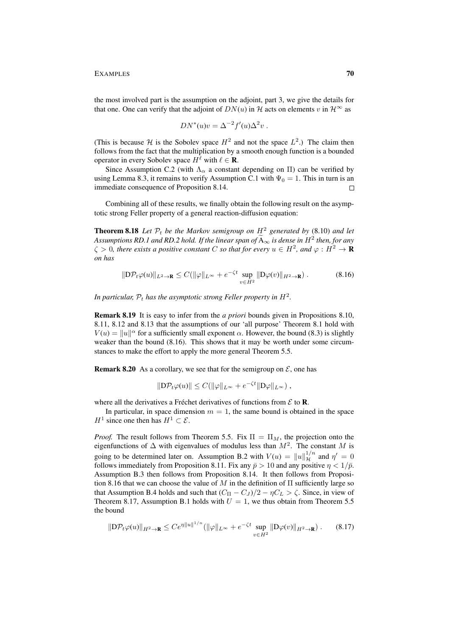the most involved part is the assumption on the adjoint, part 3, we give the details for that one. One can verify that the adjoint of  $DN(u)$  in H acts on elements v in  $\mathcal{H}^{\infty}$  as

$$
DN^*(u)v = \Delta^{-2}f'(u)\Delta^2v.
$$

(This is because H is the Sobolev space  $H^2$  and not the space  $L^2$ .) The claim then follows from the fact that the multiplication by a smooth enough function is a bounded operator in every Sobolev space  $H^{\ell}$  with  $\ell \in \mathbf{R}$ .

Since Assumption C.2 (with  $\Lambda_{\alpha}$  a constant depending on  $\Pi$ ) can be verified by using Lemma 8.3, it remains to verify Assumption C.1 with  $\Psi_0 = 1$ . This in turn is an immediate consequence of Proposition 8.14.  $\Box$ 

Combining all of these results, we finally obtain the following result on the asymptotic strong Feller property of a general reaction-diffusion equation:

**Theorem 8.18** Let  $\mathcal{P}_t$  be the Markov semigroup on  $H^2$  generated by (8.10) and let *Assumptions RD.1 and RD.2 hold. If the linear span of*  $\widetilde{A}_{\infty}$  *is dense in*  $H^2$  *then, for any*  $\zeta > 0$ , there exists a positive constant C so that for every  $u \in H^2$ , and  $\varphi : H^2 \to \mathbf{R}$ *on has*

$$
\|\mathcal{D}\mathcal{P}_t\varphi(u)\|_{L^2\to\mathbf{R}} \le C(\|\varphi\|_{L^\infty} + e^{-\zeta t} \sup_{v\in H^2} \|\mathcal{D}\varphi(v)\|_{H^2\to\mathbf{R}}). \tag{8.16}
$$

In particular,  $\mathcal{P}_t$  has the asymptotic strong Feller property in  $H^2$ .

Remark 8.19 It is easy to infer from the *a priori* bounds given in Propositions 8.10, 8.11, 8.12 and 8.13 that the assumptions of our 'all purpose' Theorem 8.1 hold with  $V(u) = ||u||^{\alpha}$  for a sufficiently small exponent  $\alpha$ . However, the bound (8.3) is slightly weaker than the bound (8.16). This shows that it may be worth under some circumstances to make the effort to apply the more general Theorem 5.5.

**Remark 8.20** As a corollary, we see that for the semigroup on  $\mathcal{E}$ , one has

$$
\|\mathcal{D}\mathcal{P}_t\varphi(u)\| \leq C(\|\varphi\|_{L^\infty} + e^{-\zeta t} \|\mathcal{D}\varphi\|_{L^\infty}),
$$

where all the derivatives a Fréchet derivatives of functions from  $\mathcal E$  to **R**.

In particular, in space dimension  $m = 1$ , the same bound is obtained in the space  $H^1$  since one then has  $H^1 \subset \mathcal{E}$ .

*Proof.* The result follows from Theorem 5.5. Fix  $\Pi = \Pi_M$ , the projection onto the eigenfunctions of  $\Delta$  with eigenvalues of modulus less than  $M^2$ . The constant M is going to be determined later on. Assumption B.2 with  $V(u) = ||u||_{\mathcal{H}}^{1/n}$  and  $\eta' = 0$ follows immediately from Proposition 8.11. Fix any  $\bar{p} > 10$  and any positive  $\eta < 1/\bar{p}$ . Assumption B.3 then follows from Proposition 8.14. It then follows from Proposition 8.16 that we can choose the value of M in the definition of  $\Pi$  sufficiently large so that Assumption B.4 holds and such that  $(C_{\Pi} - C_{J})/2 - \eta C_{L} > \zeta$ . Since, in view of Theorem 8.17, Assumption B.1 holds with  $U = 1$ , we thus obtain from Theorem 5.5 the bound

$$
\|\mathcal{D}\mathcal{P}_t\varphi(u)\|_{H^2\to\mathbf{R}} \le Ce^{\eta\|u\|^{1/n}} \left(\|\varphi\|_{L^\infty} + e^{-\zeta t} \sup_{v\in H^2} \|\mathcal{D}\varphi(v)\|_{H^2\to\mathbf{R}}\right). \tag{8.17}
$$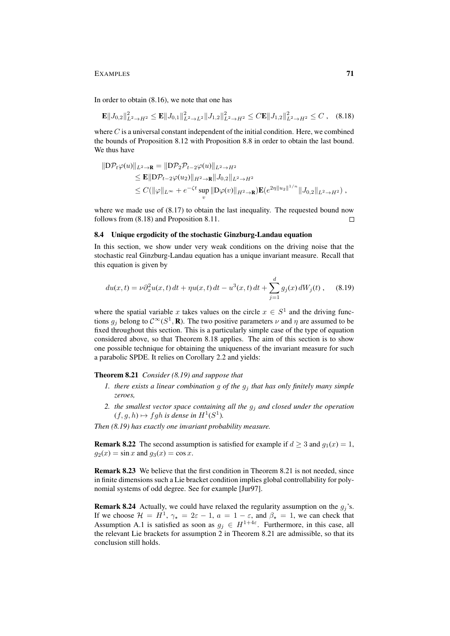In order to obtain (8.16), we note that one has

$$
\mathbf{E}||J_{0,2}||_{L^{2}\to H^{2}}^{2} \leq \mathbf{E}||J_{0,1}||_{L^{2}\to L^{2}}^{2}||J_{1,2}||_{L^{2}\to H^{2}}^{2} \leq C\mathbf{E}||J_{1,2}||_{L^{2}\to H^{2}}^{2} \leq C , \quad (8.18)
$$

where  $C$  is a universal constant independent of the initial condition. Here, we combined the bounds of Proposition 8.12 with Proposition 8.8 in order to obtain the last bound. We thus have

$$
\|D \mathcal{P}_t \varphi(u)\|_{L^2 \to \mathbf{R}} = \|D \mathcal{P}_2 \mathcal{P}_{t-2} \varphi(u)\|_{L^2 \to H^2} \n\leq \mathbf{E} \|D \mathcal{P}_{t-2} \varphi(u_2)\|_{H^2 \to \mathbf{R}} \|J_{0,2}\|_{L^2 \to H^2} \n\leq C(\|\varphi\|_{L^\infty} + e^{-\zeta t} \sup_v \|D \varphi(v)\|_{H^2 \to \mathbf{R}}) \mathbf{E}(e^{2\eta \|u_2\|^{1/n}} \|J_{0,2}\|_{L^2 \to H^2}),
$$

where we made use of  $(8.17)$  to obtain the last inequality. The requested bound now follows from (8.18) and Proposition 8.11.  $\Box$ 

# 8.4 Unique ergodicity of the stochastic Ginzburg-Landau equation

In this section, we show under very weak conditions on the driving noise that the stochastic real Ginzburg-Landau equation has a unique invariant measure. Recall that this equation is given by

$$
du(x,t) = \nu \partial_x^2 u(x,t) dt + \eta u(x,t) dt - u^3(x,t) dt + \sum_{j=1}^d g_j(x) dW_j(t) , \quad (8.19)
$$

where the spatial variable x takes values on the circle  $x \in S<sup>1</sup>$  and the driving functions  $g_j$  belong to  $\mathcal{C}^{\infty}(S^1, \mathbf{R})$ . The two positive parameters  $\nu$  and  $\eta$  are assumed to be fixed throughout this section. This is a particularly simple case of the type of equation considered above, so that Theorem 8.18 applies. The aim of this section is to show one possible technique for obtaining the uniqueness of the invariant measure for such a parabolic SPDE. It relies on Corollary 2.2 and yields:

## Theorem 8.21 *Consider (8.19) and suppose that*

- *1. there exists a linear combination* g of the  $g_i$  that has only finitely many simple *zeroes,*
- *2. the smallest vector space containing all the* g<sup>j</sup> *and closed under the operation*  $(f, g, h) \mapsto fgh$  *is dense in*  $H^1(S^1)$ *.*

*Then (8.19) has exactly one invariant probability measure.*

**Remark 8.22** The second assumption is satisfied for example if  $d \geq 3$  and  $q_1(x) = 1$ ,  $g_2(x) = \sin x$  and  $g_3(x) = \cos x$ .

Remark 8.23 We believe that the first condition in Theorem 8.21 is not needed, since in finite dimensions such a Lie bracket condition implies global controllability for polynomial systems of odd degree. See for example [Jur97].

**Remark 8.24** Actually, we could have relaxed the regularity assumption on the  $g_j$ 's. If we choose  $\mathcal{H} = H^1$ ,  $\gamma_{\star} = 2\varepsilon - 1$ ,  $a = 1 - \varepsilon$ , and  $\beta_{\star} = 1$ , we can check that Assumption A.1 is satisfied as soon as  $g_j \in H^{1+4\varepsilon}$ . Furthermore, in this case, all the relevant Lie brackets for assumption 2 in Theorem 8.21 are admissible, so that its conclusion still holds.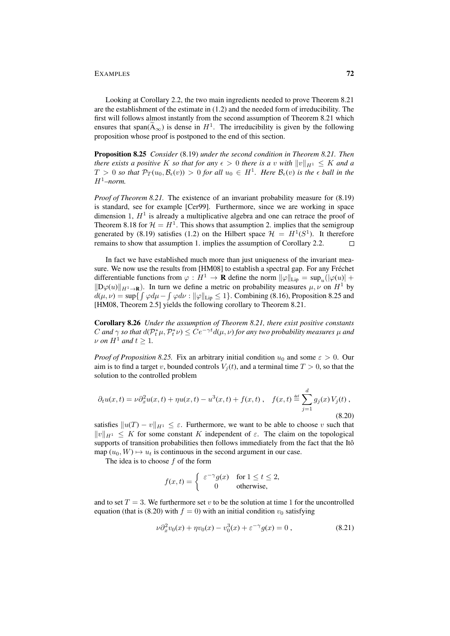Looking at Corollary 2.2, the two main ingredients needed to prove Theorem 8.21 are the establishment of the estimate in (1.2) and the needed form of irreducibility. The first will follows almost instantly from the second assumption of Theorem 8.21 which ensures that span( $\widetilde{A}_{\infty}$ ) is dense in  $H^1$ . The irreducibility is given by the following proposition whose proof is postponed to the end of this section.

Proposition 8.25 *Consider* (8.19) *under the second condition in Theorem 8.21. Then there exists a positive* K *so that for any*  $\epsilon > 0$  *there is a v with*  $||v||_{H_1} \leq K$  *and a*  $T > 0$  so that  $\mathcal{P}_T(u_0, \mathcal{B}_{\epsilon}(v)) > 0$  for all  $u_0 \in H^1$ . Here  $\mathcal{B}_{\epsilon}(v)$  is the  $\epsilon$  ball in the  $H^1$ *–norm.* 

*Proof of Theorem 8.21.* The existence of an invariant probability measure for  $(8.19)$ is standard, see for example [Cer99]. Furthermore, since we are working in space dimension 1,  $H<sup>1</sup>$  is already a multiplicative algebra and one can retrace the proof of Theorem 8.18 for  $\mathcal{H} = H^1$ . This shows that assumption 2. implies that the semigroup generated by (8.19) satisfies (1.2) on the Hilbert space  $\mathcal{H} = H^1(S^1)$ . It therefore remains to show that assumption 1. implies the assumption of Corollary 2.2.  $\Box$ 

In fact we have established much more than just uniqueness of the invariant measure. We now use the results from [HM08] to establish a spectral gap. For any Fréchet differentiable functions from  $\varphi: H^1 \to \mathbf{R}$  define the norm  $\|\varphi\|_{\text{Lip}} = \sup_u(|\varphi(u)| +$  $||D\varphi(u)||_{H^1\to\mathbf{R}}$ . In turn we define a metric on probability measures  $\mu, \nu$  on  $H^1$  by  $d(\mu, \nu) = \sup \{ \int \varphi d\mu - \int \varphi d\nu : ||\varphi||_{\text{Lip}} \leq 1 \}.$  Combining (8.16), Proposition 8.25 and [HM08, Theorem 2.5] yields the following corollary to Theorem 8.21.

Corollary 8.26 *Under the assumption of Theorem 8.21, there exist positive constants* C and  $\gamma$  so that  $d(\mathcal{P}_t^*\mu, \mathcal{P}_t^*\nu) \leq Ce^{-\gamma t}d(\mu, \nu)$  for any two probability measures  $\mu$  and  $\nu$  *on*  $H^1$  *and*  $t > 1$ *.* 

*Proof of Proposition 8.25.* Fix an arbitrary initial condition  $u_0$  and some  $\varepsilon > 0$ . Our aim is to find a target v, bounded controls  $V_i(t)$ , and a terminal time  $T > 0$ , so that the solution to the controlled problem

$$
\partial_t u(x,t) = \nu \partial_x^2 u(x,t) + \eta u(x,t) - u^3(x,t) + f(x,t), \quad f(x,t) \stackrel{\text{def}}{=} \sum_{j=1}^d g_j(x) V_j(t),
$$
\n(8.20)

satisfies  $||u(T) - v||_{H^1} \le \varepsilon$ . Furthermore, we want to be able to choose v such that  $||v||_{H^1} \leq K$  for some constant K independent of  $\varepsilon$ . The claim on the topological supports of transition probabilities then follows immediately from the fact that the Itô map  $(u_0, W) \mapsto u_t$  is continuous in the second argument in our case.

The idea is to choose f of the form

$$
f(x,t) = \begin{cases} \varepsilon^{-\gamma} g(x) & \text{for } 1 \le t \le 2, \\ 0 & \text{otherwise,} \end{cases}
$$

and to set  $T = 3$ . We furthermore set v to be the solution at time 1 for the uncontrolled equation (that is (8.20) with  $f = 0$ ) with an initial condition  $v_0$  satisfying

$$
\nu \partial_x^2 v_0(x) + \eta v_0(x) - v_0^3(x) + \varepsilon^{-\gamma} g(x) = 0 , \qquad (8.21)
$$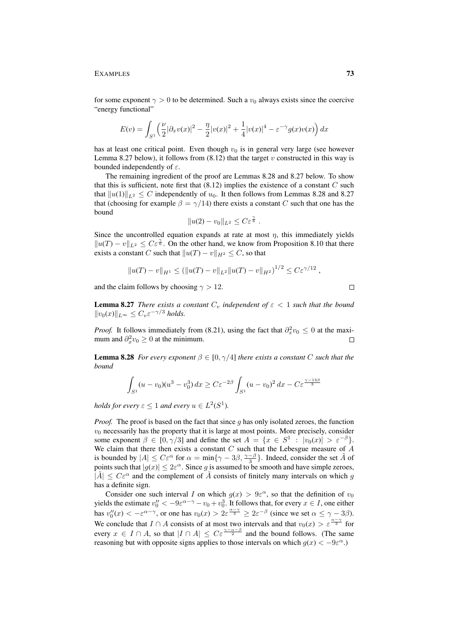EXAMPLES 73

for some exponent  $\gamma > 0$  to be determined. Such a  $v_0$  always exists since the coercive "energy functional"

$$
E(v) = \int_{S^1} \left( \frac{\nu}{2} |\partial_x v(x)|^2 - \frac{\eta}{2} |v(x)|^2 + \frac{1}{4} |v(x)|^4 - \varepsilon^{-\gamma} g(x) v(x) \right) dx
$$

has at least one critical point. Even though  $v_0$  is in general very large (see however Lemma 8.27 below), it follows from  $(8.12)$  that the target v constructed in this way is bounded independently of  $\varepsilon$ .

The remaining ingredient of the proof are Lemmas 8.28 and 8.27 below. To show that this is sufficient, note first that  $(8.12)$  implies the existence of a constant  $C$  such that  $||u(1)||_{L^2} \leq C$  independently of  $u_0$ . It then follows from Lemmas 8.28 and 8.27 that (choosing for example  $\beta = \gamma/14$ ) there exists a constant C such that one has the bound

$$
||u(2) - v_0||_{L^2} \leq C\varepsilon^{\frac{\gamma}{6}}.
$$

Since the uncontrolled equation expands at rate at most  $\eta$ , this immediately yields  $||u(T) - v||_{L^2}$  ≤  $C \varepsilon^{\frac{\gamma}{6}}$ . On the other hand, we know from Proposition 8.10 that there exists a constant C such that  $||u(T) - v||_{H^2} \leq C$ , so that

$$
||u(T) - v||_{H^1} \le (||u(T) - v||_{L^2} ||u(T) - v||_{H^2})^{1/2} \le C\varepsilon^{\gamma/12},
$$

and the claim follows by choosing  $\gamma > 12$ .

**Lemma 8.27** *There exists a constant*  $C_v$  *independent* of  $\varepsilon < 1$  *such that the bound*  $||v_0(x)||_{L^{\infty}} \leq C_v \varepsilon^{-\gamma/3}$  *holds.* 

*Proof.* It follows immediately from (8.21), using the fact that  $\partial_x^2 v_0 \leq 0$  at the maximum and  $\partial_x^2 v_0 \geq 0$  at the minimum.  $\Box$ 

**Lemma 8.28** *For every exponent*  $\beta \in [0, \gamma/4]$  *there exists a constant* C *such that the bound*

$$
\int_{S^1} (u - v_0)(u^3 - v_0^3) dx \ge C\varepsilon^{-2\beta} \int_{S^1} (u - v_0)^2 dx - C\varepsilon^{\frac{\gamma - 13\beta}{3}}
$$

*holds for every*  $\varepsilon \leq 1$  *and every*  $u \in L^2(S^1)$ *.* 

*Proof.* The proof is based on the fact that since g has only isolated zeroes, the function  $v<sub>0</sub>$  necessarily has the property that it is large at most points. More precisely, consider some exponent  $\beta \in [0, \gamma/3]$  and define the set  $A = \{x \in S^1 : |v_0(x)| > \varepsilon^{-\beta}\}.$ We claim that there then exists a constant  $C$  such that the Lebesgue measure of  $\overline{A}$ is bounded by  $|A| \leq C\varepsilon^{\alpha}$  for  $\alpha = \min\{\gamma - 3\beta, \frac{\gamma - \beta}{3}\}\$ . Indeed, consider the set  $\tilde{A}$  of points such that  $|g(x)| \leq 2\varepsilon^{\alpha}$ . Since g is assumed to be smooth and have simple zeroes,  $|\tilde{A}| \leq C \varepsilon^{\alpha}$  and the complement of  $\tilde{A}$  consists of finitely many intervals on which g has a definite sign.

Consider one such interval I on which  $g(x) > 9\varepsilon^{\alpha}$ , so that the definition of  $v_0$ yields the estimate  $v_0'' < -9\varepsilon^{\alpha-\gamma} - v_0 + v_0^3$ . It follows that, for every  $x \in I$ , one either has  $v_0''(x) < -\varepsilon^{\alpha-\gamma}$ , or one has  $v_0(x) > 2\varepsilon^{\frac{\alpha-\gamma}{3}} \ge 2\varepsilon^{-\beta}$  (since we set  $\alpha \le \gamma - 3\beta$ ). We conclude that  $I \cap A$  consists of at most two intervals and that  $v_0(x) > \varepsilon^{\frac{\alpha - \gamma}{3}}$  for every  $x \in I \cap A$ , so that  $|I \cap A| \leq C \varepsilon^{\frac{\gamma-\alpha-\beta}{2}}$  and the bound follows. (The same reasoning but with opposite signs applies to those intervals on which  $g(x) < -9\varepsilon^{\alpha}$ .)

 $\Box$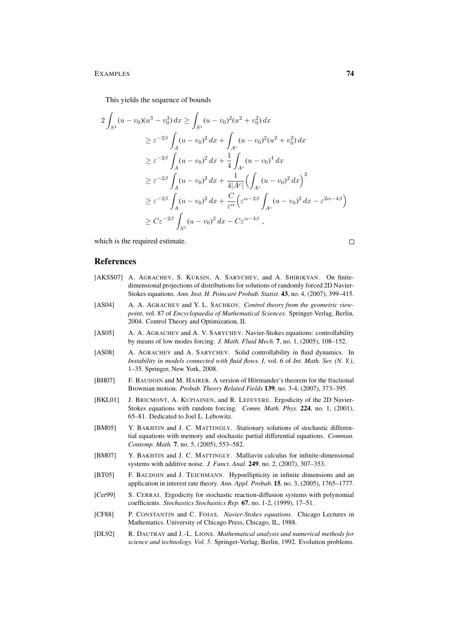## EXAMPLES 74

This yields the sequence of bounds

$$
2\int_{S^1} (u - v_0)(u^3 - v_0^3) dx \ge \int_{S^1} (u - v_0)^2 (u^2 + v_0^2) dx
$$
  
\n
$$
\ge \varepsilon^{-2\beta} \int_A (u - v_0)^2 dx + \int_{A^c} (u - v_0)^2 (u^2 + v_0^2) dx
$$
  
\n
$$
\ge \varepsilon^{-2\beta} \int_A (u - v_0)^2 dx + \frac{1}{4} \int_{A^c} (u - v_0)^4 dx
$$
  
\n
$$
\ge \varepsilon^{-2\beta} \int_A (u - v_0)^2 dx + \frac{1}{4|A^c|} \Biggl( \int_{A^c} (u - v_0)^2 dx \Biggr)^2
$$
  
\n
$$
\ge \varepsilon^{-2\beta} \int_A (u - v_0)^2 dx + \frac{C}{\varepsilon^{\alpha}} \Biggl( \varepsilon^{\alpha - 2\beta} \int_{A^c} (u - v_0)^2 dx - \varepsilon^{2\alpha - 4\beta} \Biggr)
$$
  
\n
$$
\ge C\varepsilon^{-2\beta} \int_{S^1} (u - v_0)^2 dx - C\varepsilon^{\alpha - 4\beta},
$$

which is the required estimate.

 $\Box$ 

## References

- [AKSS07] A. AGRACHEV, S. KUKSIN, A. SARYCHEV, and A. SHIRIKYAN. On finitedimensional projections of distributions for solutions of randomly forced 2D Navier-Stokes equations. *Ann. Inst. H. Poincare Probab. Statist. ´* 43, no. 4, (2007), 399–415.
- [AS04] A. A. AGRACHEV and Y. L. SACHKOV. *Control theory from the geometric viewpoint*, vol. 87 of *Encyclopaedia of Mathematical Sciences*. Springer-Verlag, Berlin, 2004. Control Theory and Optimization, II.
- [AS05] A. A. AGRACHEV and A. V. SARYCHEV. Navier-Stokes equations: controllability by means of low modes forcing. *J. Math. Fluid Mech.* 7, no. 1, (2005), 108–152.
- [AS08] A. AGRACHEV and A. SARYCHEV. Solid controllability in fluid dynamics. In *Instability in models connected with fluid flows. I*, vol. 6 of *Int. Math. Ser. (N. Y.)*, 1–35. Springer, New York, 2008.
- [BH07] F. BAUDOIN and M. HAIRER. A version of Hörmander's theorem for the fractional Brownian motion. *Probab. Theory Related Fields* 139, no. 3-4, (2007), 373–395.
- [BKL01] J. BRICMONT, A. KUPIAINEN, and R. LEFEVERE. Ergodicity of the 2D Navier-Stokes equations with random forcing. *Comm. Math. Phys.* 224, no. 1, (2001), 65–81. Dedicated to Joel L. Lebowitz.
- [BM05] Y. BAKHTIN and J. C. MATTINGLY. Stationary solutions of stochastic differential equations with memory and stochastic partial differential equations. *Commun. Contemp. Math.* 7, no. 5, (2005), 553–582.
- [BM07] Y. BAKHTIN and J. C. MATTINGLY. Malliavin calculus for infinite-dimensional systems with additive noise. *J. Funct. Anal.* 249, no. 2, (2007), 307–353.
- [BT05] F. BAUDOIN and J. TEICHMANN. Hypoellipticity in infinite dimensions and an application in interest rate theory. *Ann. Appl. Probab.* 15, no. 3, (2005), 1765–1777.
- [Cer99] S. CERRAI. Ergodicity for stochastic reaction-diffusion systems with polynomial coefficients. *Stochastics Stochastics Rep.* 67, no. 1-2, (1999), 17–51.
- [CF88] P. CONSTANTIN and C. FOIAS. *Navier-Stokes equations*. Chicago Lectures in Mathematics. University of Chicago Press, Chicago, IL, 1988.
- [DL92] R. DAUTRAY and J.-L. LIONS. *Mathematical analysis and numerical methods for science and technology. Vol. 5*. Springer-Verlag, Berlin, 1992. Evolution problems.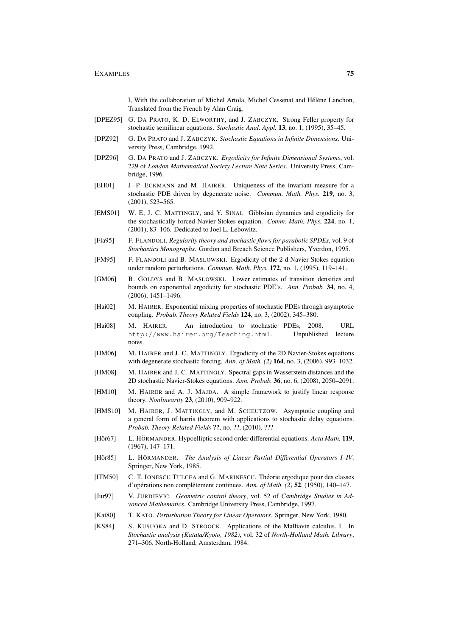I, With the collaboration of Michel Artola, Michel Cessenat and Hélène Lanchon, Translated from the French by Alan Craig.

- [DPEZ95] G. DA PRATO, K. D. ELWORTHY, and J. ZABCZYK. Strong Feller property for stochastic semilinear equations. *Stochastic Anal. Appl.* 13, no. 1, (1995), 35–45.
- [DPZ92] G. DA PRATO and J. ZABCZYK. *Stochastic Equations in Infinite Dimensions*. University Press, Cambridge, 1992.
- [DPZ96] G. DA PRATO and J. ZABCZYK. *Ergodicity for Infinite Dimensional Systems*, vol. 229 of *London Mathematical Society Lecture Note Series*. University Press, Cambridge, 1996.
- [EH01] J.-P. ECKMANN and M. HAIRER. Uniqueness of the invariant measure for a stochastic PDE driven by degenerate noise. *Commun. Math. Phys.* 219, no. 3, (2001), 523–565.
- [EMS01] W. E, J. C. MATTINGLY, and Y. SINAI. Gibbsian dynamics and ergodicity for the stochastically forced Navier-Stokes equation. *Comm. Math. Phys.* 224, no. 1, (2001), 83–106. Dedicated to Joel L. Lebowitz.
- [Fla95] F. FLANDOLI. *Regularity theory and stochastic flows for parabolic SPDEs*, vol. 9 of *Stochastics Monographs*. Gordon and Breach Science Publishers, Yverdon, 1995.
- [FM95] F. FLANDOLI and B. MASLOWSKI. Ergodicity of the 2-d Navier-Stokes equation under random perturbations. *Commun. Math. Phys.* 172, no. 1, (1995), 119–141.
- [GM06] B. GOLDYS and B. MASLOWSKI. Lower estimates of transition densities and bounds on exponential ergodicity for stochastic PDE's. *Ann. Probab.* 34, no. 4, (2006), 1451–1496.
- [Hai02] M. HAIRER. Exponential mixing properties of stochastic PDEs through asymptotic coupling. *Probab. Theory Related Fields* 124, no. 3, (2002), 345–380.
- [Hai08] M. HAIRER. An introduction to stochastic PDEs, 2008. URL http://www.hairer.org/Teaching.html. Unpublished lecture notes.
- [HM06] M. HAIRER and J. C. MATTINGLY. Ergodicity of the 2D Navier-Stokes equations with degenerate stochastic forcing. *Ann. of Math. (2)* 164, no. 3, (2006), 993–1032.
- [HM08] M. HAIRER and J. C. MATTINGLY. Spectral gaps in Wasserstein distances and the 2D stochastic Navier-Stokes equations. *Ann. Probab.* 36, no. 6, (2008), 2050–2091.
- [HM10] M. HAIRER and A. J. MAJDA. A simple framework to justify linear response theory. *Nonlinearity* 23, (2010), 909–922.
- [HMS10] M. HAIRER, J. MATTINGLY, and M. SCHEUTZOW. Asymptotic coupling and a general form of harris theorem with applications to stochastic delay equations. *Probab. Theory Related Fields* ??, no. ??, (2010), ???
- [Hör67] L. HÖRMANDER. Hypoelliptic second order differential equations. *Acta Math.* 119, (1967), 147–171.
- [Hör85] L. HÖRMANDER. *The Analysis of Linear Partial Differential Operators I–IV*. Springer, New York, 1985.
- [ITM50] C. T. IONESCU TULCEA and G. MARINESCU. Theorie ergodique pour des classes ´ d'opérations non complètement continues. Ann. of Math. (2) **52**, (1950), 140–147.
- [Jur97] V. JURDJEVIC. *Geometric control theory*, vol. 52 of *Cambridge Studies in Advanced Mathematics*. Cambridge University Press, Cambridge, 1997.
- [Kat80] T. KATO. *Perturbation Theory for Linear Operators*. Springer, New York, 1980.
- [KS84] S. KUSUOKA and D. STROOCK. Applications of the Malliavin calculus. I. In *Stochastic analysis (Katata/Kyoto, 1982)*, vol. 32 of *North-Holland Math. Library*, 271–306. North-Holland, Amsterdam, 1984.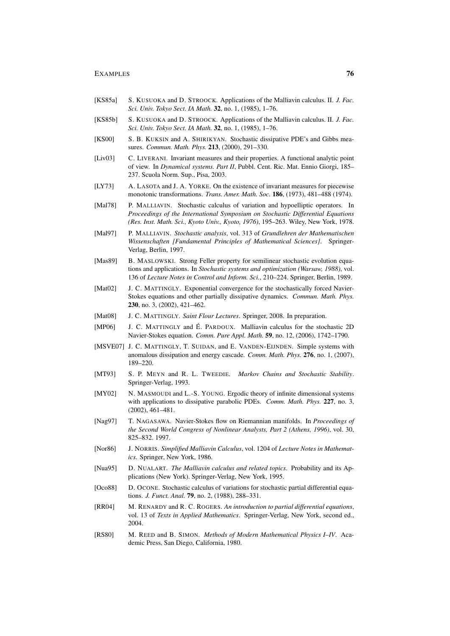- [KS85a] S. KUSUOKA and D. STROOCK. Applications of the Malliavin calculus. II. *J. Fac. Sci. Univ. Tokyo Sect. IA Math.* 32, no. 1, (1985), 1–76.
- [KS85b] S. KUSUOKA and D. STROOCK. Applications of the Malliavin calculus. II. *J. Fac. Sci. Univ. Tokyo Sect. IA Math.* 32, no. 1, (1985), 1–76.
- [KS00] S. B. KUKSIN and A. SHIRIKYAN. Stochastic dissipative PDE's and Gibbs measures. *Commun. Math. Phys.* 213, (2000), 291–330.
- [Liv03] C. LIVERANI. Invariant measures and their properties. A functional analytic point of view. In *Dynamical systems. Part II*, Pubbl. Cent. Ric. Mat. Ennio Giorgi, 185– 237. Scuola Norm. Sup., Pisa, 2003.
- [LY73] A. LASOTA and J. A. YORKE. On the existence of invariant measures for piecewise monotonic transformations. *Trans. Amer. Math. Soc.* 186, (1973), 481–488 (1974).
- [Mal78] P. MALLIAVIN. Stochastic calculus of variation and hypoelliptic operators. In *Proceedings of the International Symposium on Stochastic Differential Equations (Res. Inst. Math. Sci., Kyoto Univ., Kyoto, 1976)*, 195–263. Wiley, New York, 1978.
- [Mal97] P. MALLIAVIN. *Stochastic analysis*, vol. 313 of *Grundlehren der Mathematischen Wissenschaften [Fundamental Principles of Mathematical Sciences]*. Springer-Verlag, Berlin, 1997.
- [Mas89] B. MASLOWSKI. Strong Feller property for semilinear stochastic evolution equations and applications. In *Stochastic systems and optimization (Warsaw, 1988)*, vol. 136 of *Lecture Notes in Control and Inform. Sci.*, 210–224. Springer, Berlin, 1989.
- [Mat02] J. C. MATTINGLY. Exponential convergence for the stochastically forced Navier-Stokes equations and other partially dissipative dynamics. *Commun. Math. Phys.* 230, no. 3, (2002), 421–462.
- [Mat08] J. C. MATTINGLY. *Saint Flour Lectures*. Springer, 2008. In preparation.
- [MP06] J. C. MATTINGLY and É. PARDOUX. Malliavin calculus for the stochastic 2D Navier-Stokes equation. *Comm. Pure Appl. Math.* 59, no. 12, (2006), 1742–1790.
- [MSVE07] J. C. MATTINGLY, T. SUIDAN, and E. VANDEN-EIJNDEN. Simple systems with anomalous dissipation and energy cascade. *Comm. Math. Phys.* 276, no. 1, (2007), 189–220.
- [MT93] S. P. MEYN and R. L. TWEEDIE. *Markov Chains and Stochastic Stability*. Springer-Verlag, 1993.
- [MY02] N. MASMOUDI and L.-S. YOUNG. Ergodic theory of infinite dimensional systems with applications to dissipative parabolic PDEs. *Comm. Math. Phys.* 227, no. 3, (2002), 461–481.
- [Nag97] T. NAGASAWA. Navier-Stokes flow on Riemannian manifolds. In *Proceedings of the Second World Congress of Nonlinear Analysts, Part 2 (Athens, 1996)*, vol. 30, 825–832. 1997.
- [Nor86] J. NORRIS. *Simplified Malliavin Calculus*, vol. 1204 of *Lecture Notes in Mathematics*. Springer, New York, 1986.
- [Nua95] D. NUALART. *The Malliavin calculus and related topics*. Probability and its Applications (New York). Springer-Verlag, New York, 1995.
- [Oco88] D. OCONE. Stochastic calculus of variations for stochastic partial differential equations. *J. Funct. Anal.* 79, no. 2, (1988), 288–331.
- [RR04] M. RENARDY and R. C. ROGERS. *An introduction to partial differential equations*, vol. 13 of *Texts in Applied Mathematics*. Springer-Verlag, New York, second ed., 2004.
- [RS80] M. REED and B. SIMON. *Methods of Modern Mathematical Physics I–IV*. Academic Press, San Diego, California, 1980.